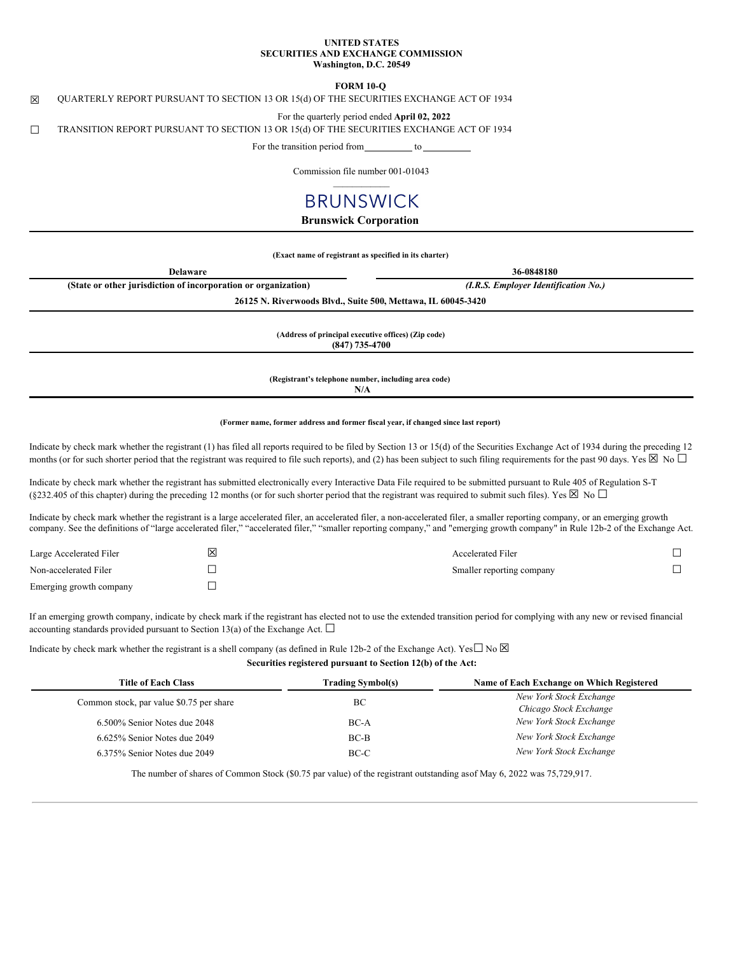#### **UNITED STATES SECURITIES AND EXCHANGE COMMISSION Washington, D.C. 20549**

**FORM 10-Q**

☒ QUARTERLY REPORT PURSUANT TO SECTION 13 OR 15(d) OF THE SECURITIES EXCHANGE ACT OF 1934

For the quarterly period ended **April 02, 2022**

☐ TRANSITION REPORT PURSUANT TO SECTION 13 OR 15(d) OF THE SECURITIES EXCHANGE ACT OF 1934

For the transition period from to

Commission file number 001-01043  $\mathcal{L}=\mathcal{L}^{\mathcal{L}}$ 

## **BRUNSWICK**

## **Brunswick Corporation**

#### **(Exact name of registrant as specified in its charter)**

| <b>Delaware</b>                                                | 36-0848180                           |  |  |  |  |  |  |  |
|----------------------------------------------------------------|--------------------------------------|--|--|--|--|--|--|--|
| (State or other jurisdiction of incorporation or organization) | (I.R.S. Employer Identification No.) |  |  |  |  |  |  |  |
| 26125 N. Riverwoods Blvd., Suite 500, Mettawa, IL 60045-3420   |                                      |  |  |  |  |  |  |  |
|                                                                |                                      |  |  |  |  |  |  |  |
| (Address of principal executive offices) (Zip code)            |                                      |  |  |  |  |  |  |  |

**(Address of principal executive offices) (Zip code) (847) 735-4700**

**(Registrant's telephone number, including area code)**

**N/A**

#### **(Former name, former address and former fiscal year, if changed since last report)**

Indicate by check mark whether the registrant (1) has filed all reports required to be filed by Section 13 or 15(d) of the Securities Exchange Act of 1934 during the preceding 12 months (or for such shorter period that the registrant was required to file such reports), and (2) has been subject to such filing requirements for the past 90 days. Yes  $\boxtimes$  No  $\Box$ 

Indicate by check mark whether the registrant has submitted electronically every Interactive Data File required to be submitted pursuant to Rule 405 of Regulation S-T (§232.405 of this chapter) during the preceding 12 months (or for such shorter period that the registrant was required to submit such files). Yes  $\boxtimes$  No  $\Box$ 

Indicate by check mark whether the registrant is a large accelerated filer, an accelerated filer, a non-accelerated filer, a smaller reporting company, or an emerging growth company. See the definitions of "large accelerated filer," "accelerated filer," "smaller reporting company," and "emerging growth company" in Rule 12b-2 of the Exchange Act.

| Large Accelerated Filer | 'x | <b>Accelerated Filer</b>  |  |
|-------------------------|----|---------------------------|--|
| Non-accelerated Filer   |    | Smaller reporting company |  |
| Emerging growth company |    |                           |  |

If an emerging growth company, indicate by check mark if the registrant has elected not to use the extended transition period for complying with any new or revised financial accounting standards provided pursuant to Section 13(a) of the Exchange Act.  $\square$ 

## Indicate by check mark whether the registrant is a shell company (as defined in Rule 12b-2 of the Exchange Act). Yes $\square$  No  $\boxtimes$

**Securities registered pursuant to Section 12(b) of the Act:**

| <b>Title of Each Class</b>               | <b>Trading Symbol(s)</b> | Name of Each Exchange on Which Registered         |
|------------------------------------------|--------------------------|---------------------------------------------------|
| Common stock, par value \$0.75 per share | BC                       | New York Stock Exchange<br>Chicago Stock Exchange |
| 6.500% Senior Notes due 2048             | $BC-A$                   | New York Stock Exchange                           |
| 6.625% Senior Notes due 2049             | $BC-B$                   | New York Stock Exchange                           |
| 6.375% Senior Notes due 2049             | $BC-C$                   | New York Stock Exchange                           |

<span id="page-0-0"></span>The number of shares of Common Stock (\$0.75 par value) of the registrant outstanding asof May 6, 2022 was 75,729,917.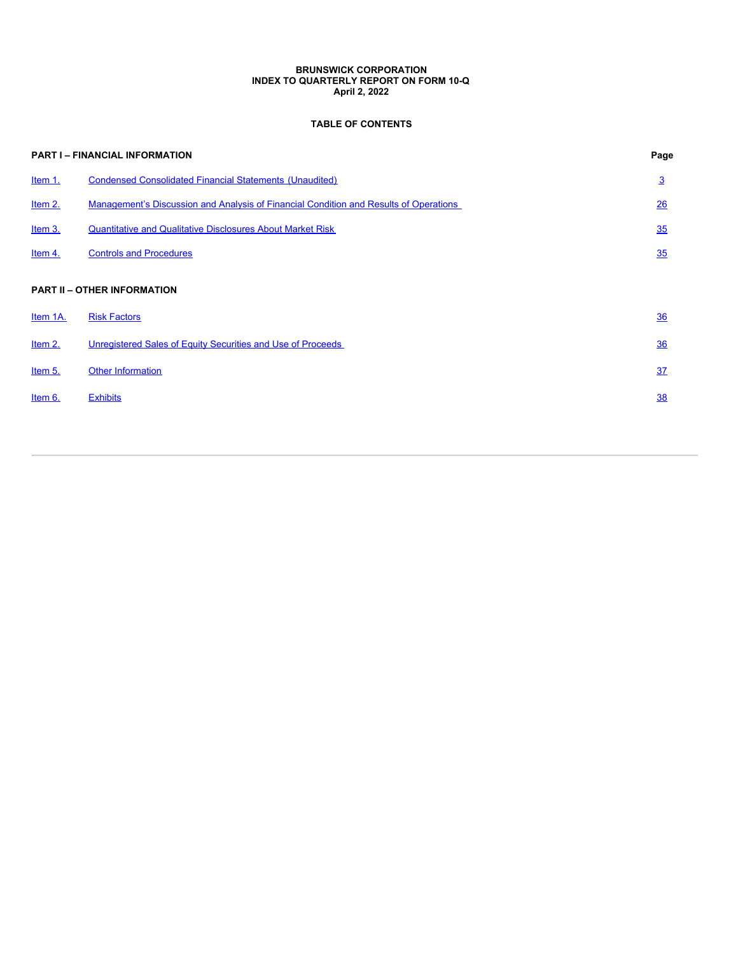#### **BRUNSWICK CORPORATION INDEX TO QUARTERLY REPORT ON FORM 10-Q April 2, 2022**

### **TABLE OF CONTENTS**

|          | PART I - FINANCIAL INFORMATION                                                        | Page           |
|----------|---------------------------------------------------------------------------------------|----------------|
| ltem 1.  | <b>Condensed Consolidated Financial Statements (Unaudited)</b>                        | $\overline{3}$ |
| Item 2.  | Management's Discussion and Analysis of Financial Condition and Results of Operations | 26             |
| Item 3.  | <b>Quantitative and Qualitative Disclosures About Market Risk</b>                     | 35             |
| Item 4.  | <b>Controls and Procedures</b>                                                        | 35             |
|          | PART II - OTHER INFORMATION                                                           |                |
| Item 1A. | <b>Risk Factors</b>                                                                   | 36             |
| ltem 2.  | Unregistered Sales of Equity Securities and Use of Proceeds                           | 36             |
| Item 5.  | <b>Other Information</b>                                                              | 37             |
| ltem 6.  | <b>Exhibits</b>                                                                       | 38             |
|          |                                                                                       |                |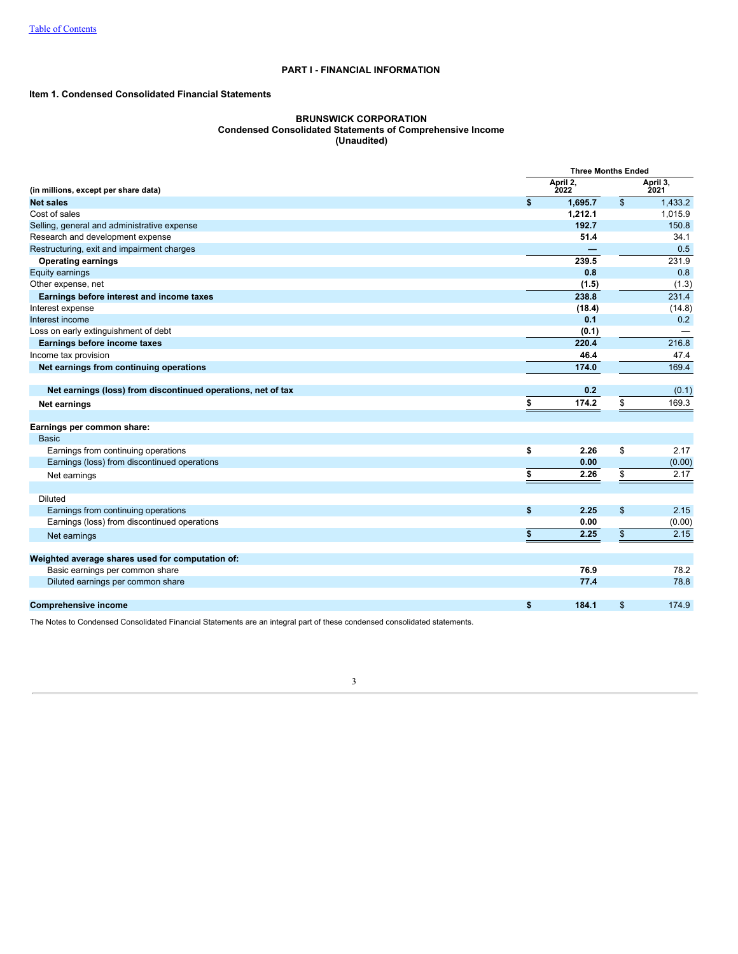### **PART I - FINANCIAL INFORMATION**

### <span id="page-2-1"></span><span id="page-2-0"></span>**Item 1. Condensed Consolidated Financial Statements**

#### **BRUNSWICK CORPORATION Condensed Consolidated Statements of Comprehensive Income (Unaudited)**

|                                                              | <b>Three Months Ended</b> |                |                  |  |  |  |  |
|--------------------------------------------------------------|---------------------------|----------------|------------------|--|--|--|--|
| (in millions, except per share data)                         | April 2,<br><b>2022</b>   |                | April 3,<br>2021 |  |  |  |  |
| <b>Net sales</b>                                             | \$<br>1,695.7             | $\mathfrak{s}$ | 1.433.2          |  |  |  |  |
| Cost of sales                                                | 1,212.1                   |                | 1,015.9          |  |  |  |  |
| Selling, general and administrative expense                  | 192.7                     |                | 150.8            |  |  |  |  |
| Research and development expense                             | 51.4                      |                | 34.1             |  |  |  |  |
| Restructuring, exit and impairment charges                   |                           |                | 0.5              |  |  |  |  |
| <b>Operating earnings</b>                                    | 239.5                     |                | 231.9            |  |  |  |  |
| Equity earnings                                              | 0.8                       |                | 0.8              |  |  |  |  |
| Other expense, net                                           | (1.5)                     |                | (1.3)            |  |  |  |  |
| Earnings before interest and income taxes                    | 238.8                     |                | 231.4            |  |  |  |  |
| Interest expense                                             | (18.4)                    |                | (14.8)           |  |  |  |  |
| Interest income                                              | 0.1                       |                | 0.2              |  |  |  |  |
| Loss on early extinguishment of debt                         | (0.1)                     |                |                  |  |  |  |  |
| Earnings before income taxes                                 | 220.4                     |                | 216.8            |  |  |  |  |
| Income tax provision                                         | 46.4                      |                | 47.4             |  |  |  |  |
| Net earnings from continuing operations                      | 174.0                     |                | 169.4            |  |  |  |  |
| Net earnings (loss) from discontinued operations, net of tax | 0.2                       |                | (0.1)            |  |  |  |  |
|                                                              | \$<br>174.2               | \$             | 169.3            |  |  |  |  |
| <b>Net earnings</b>                                          |                           |                |                  |  |  |  |  |
| Earnings per common share:                                   |                           |                |                  |  |  |  |  |
| <b>Basic</b>                                                 |                           |                |                  |  |  |  |  |
| Earnings from continuing operations                          | \$<br>2.26                | \$             | 2.17             |  |  |  |  |
| Earnings (loss) from discontinued operations                 | 0.00                      |                | (0.00)           |  |  |  |  |
|                                                              | \$<br>2.26                | \$             | 2.17             |  |  |  |  |
| Net earnings                                                 |                           |                |                  |  |  |  |  |
| <b>Diluted</b>                                               |                           |                |                  |  |  |  |  |
| Earnings from continuing operations                          | \$<br>2.25                | \$             | 2.15             |  |  |  |  |
| Earnings (loss) from discontinued operations                 | 0.00                      |                | (0.00)           |  |  |  |  |
|                                                              | \$<br>2.25                | \$             | 2.15             |  |  |  |  |
| Net earnings                                                 |                           |                |                  |  |  |  |  |
| Weighted average shares used for computation of:             |                           |                |                  |  |  |  |  |
| Basic earnings per common share                              | 76.9                      |                | 78.2             |  |  |  |  |
| Diluted earnings per common share                            | 77.4                      |                | 78.8             |  |  |  |  |
| <b>Comprehensive income</b>                                  | \$<br>184.1               | \$             | 174.9            |  |  |  |  |

The Notes to Condensed Consolidated Financial Statements are an integral part of these condensed consolidated statements.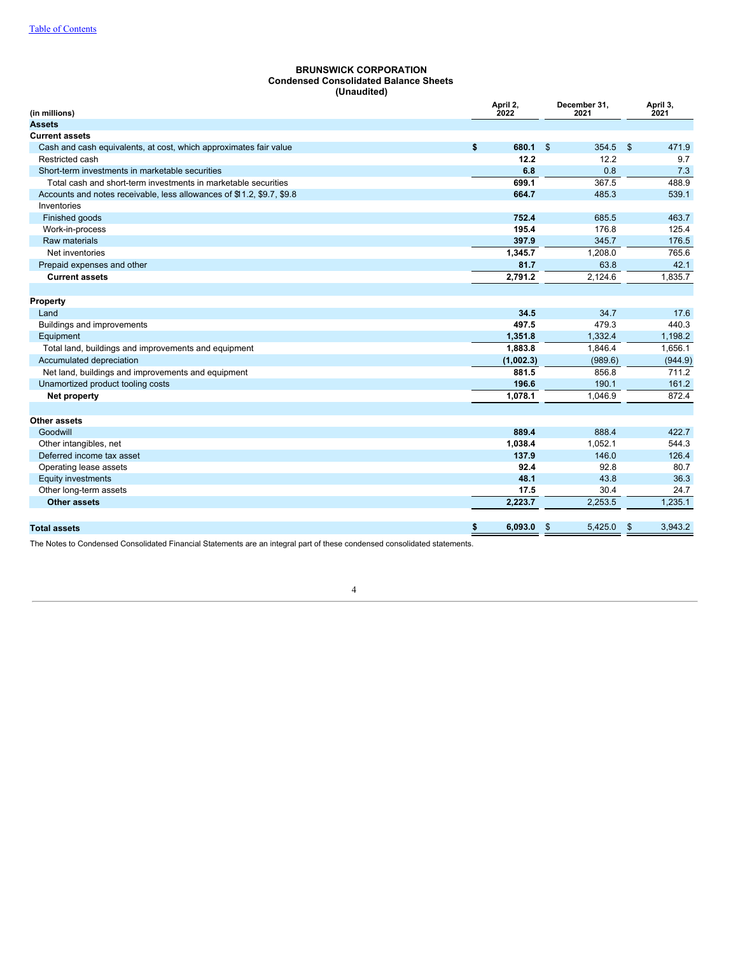### **BRUNSWICK CORPORATION Condensed Consolidated Balance Sheets (Unaudited)**

| (in millions)                                                          | April 2,<br>2022 | December 31,<br>2021 |         |     | April 3,<br>2021 |
|------------------------------------------------------------------------|------------------|----------------------|---------|-----|------------------|
| <b>Assets</b>                                                          |                  |                      |         |     |                  |
| <b>Current assets</b>                                                  |                  |                      |         |     |                  |
| Cash and cash equivalents, at cost, which approximates fair value      | \$<br>680.1      | $\mathbb{S}$         | 354.5   | -\$ | 471.9            |
| Restricted cash                                                        | 12.2             |                      | 12.2    |     | 9.7              |
| Short-term investments in marketable securities                        | 6.8              |                      | 0.8     |     | 7.3              |
| Total cash and short-term investments in marketable securities         | 699.1            |                      | 367.5   |     | 488.9            |
| Accounts and notes receivable, less allowances of \$11.2, \$9.7, \$9.8 | 664.7            |                      | 485.3   |     | 539.1            |
| Inventories                                                            |                  |                      |         |     |                  |
| Finished goods                                                         | 752.4            |                      | 685.5   |     | 463.7            |
| Work-in-process                                                        | 195.4            |                      | 176.8   |     | 125.4            |
| Raw materials                                                          | 397.9            |                      | 345.7   |     | 176.5            |
| Net inventories                                                        | 1,345.7          |                      | 1,208.0 |     | 765.6            |
| Prepaid expenses and other                                             | 81.7             |                      | 63.8    |     | 42.1             |
| <b>Current assets</b>                                                  | 2,791.2          |                      | 2,124.6 |     | 1,835.7          |
|                                                                        |                  |                      |         |     |                  |
| Property                                                               |                  |                      |         |     |                  |
| Land                                                                   | 34.5             |                      | 34.7    |     | 17.6             |
| Buildings and improvements                                             | 497.5            |                      | 479.3   |     | 440.3            |
| Equipment                                                              | 1,351.8          |                      | 1,332.4 |     | 1,198.2          |
| Total land, buildings and improvements and equipment                   | 1,883.8          |                      | 1,846.4 |     | 1,656.1          |
| Accumulated depreciation                                               | (1,002.3)        |                      | (989.6) |     | (944.9)          |
| Net land, buildings and improvements and equipment                     | 881.5            |                      | 856.8   |     | 711.2            |
| Unamortized product tooling costs                                      | 196.6            |                      | 190.1   |     | 161.2            |
| Net property                                                           | 1,078.1          |                      | 1,046.9 |     | 872.4            |
|                                                                        |                  |                      |         |     |                  |
| Other assets                                                           |                  |                      |         |     |                  |
| Goodwill                                                               | 889.4            |                      | 888.4   |     | 422.7            |
| Other intangibles, net                                                 | 1,038.4          |                      | 1.052.1 |     | 544.3            |
| Deferred income tax asset                                              | 137.9            |                      | 146.0   |     | 126.4            |
| Operating lease assets                                                 | 92.4             |                      | 92.8    |     | 80.7             |
| <b>Equity investments</b>                                              | 48.1             |                      | 43.8    |     | 36.3             |
| Other long-term assets                                                 | 17.5             |                      | 30.4    |     | 24.7             |
| Other assets                                                           | 2,223.7          |                      | 2,253.5 |     | 1,235.1          |
|                                                                        |                  |                      |         |     |                  |
| <b>Total assets</b>                                                    | \$<br>6,093.0    | \$                   | 5,425.0 | \$  | 3,943.2          |

The Notes to Condensed Consolidated Financial Statements are an integral part of these condensed consolidated statements.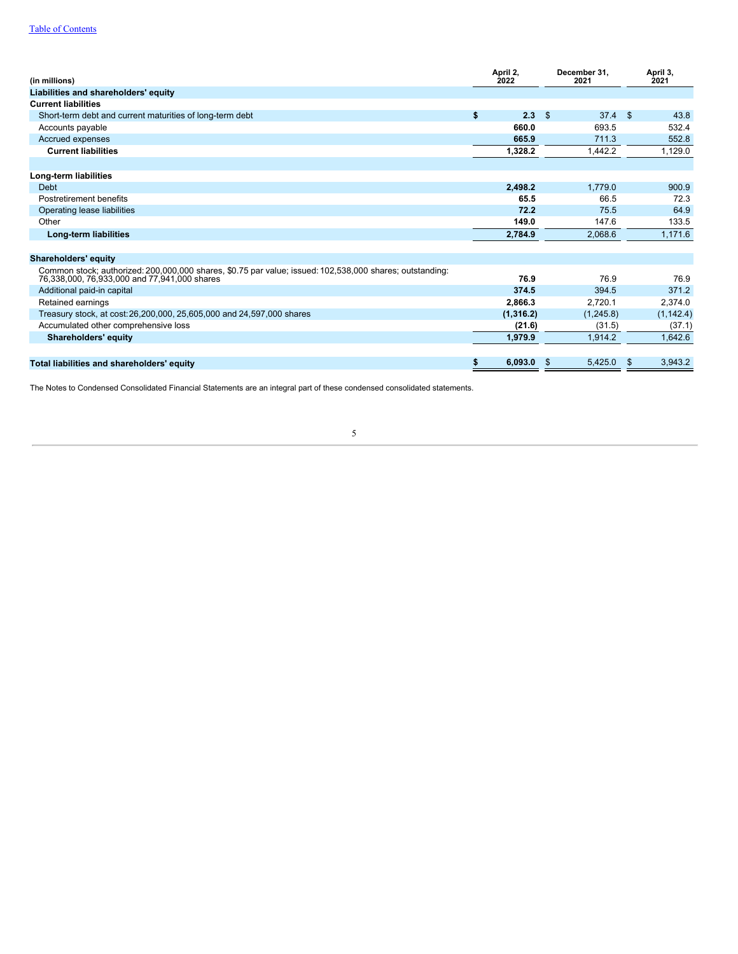| (in millions)                                                                                                                                            | April 2,<br>2022 |           | December 31.<br>2021 |            |     | April 3,<br>2021 |
|----------------------------------------------------------------------------------------------------------------------------------------------------------|------------------|-----------|----------------------|------------|-----|------------------|
| Liabilities and shareholders' equity                                                                                                                     |                  |           |                      |            |     |                  |
| <b>Current liabilities</b>                                                                                                                               |                  |           |                      |            |     |                  |
| Short-term debt and current maturities of long-term debt                                                                                                 | \$               | 2.3       | $\mathfrak{S}$       | 37.4       | \$  | 43.8             |
| Accounts payable                                                                                                                                         |                  | 660.0     |                      | 693.5      |     | 532.4            |
| Accrued expenses                                                                                                                                         |                  | 665.9     |                      | 711.3      |     | 552.8            |
| <b>Current liabilities</b>                                                                                                                               |                  | 1,328.2   |                      | 1,442.2    |     | 1,129.0          |
|                                                                                                                                                          |                  |           |                      |            |     |                  |
| Long-term liabilities                                                                                                                                    |                  |           |                      |            |     |                  |
| <b>Debt</b>                                                                                                                                              |                  | 2,498.2   |                      | 1.779.0    |     | 900.9            |
| Postretirement benefits                                                                                                                                  |                  | 65.5      |                      | 66.5       |     | 72.3             |
| Operating lease liabilities                                                                                                                              |                  | 72.2      |                      | 75.5       |     | 64.9             |
| Other                                                                                                                                                    |                  | 149.0     |                      | 147.6      |     | 133.5            |
| Long-term liabilities                                                                                                                                    |                  | 2.784.9   |                      | 2.068.6    |     | 1.171.6          |
|                                                                                                                                                          |                  |           |                      |            |     |                  |
| <b>Shareholders' equity</b>                                                                                                                              |                  |           |                      |            |     |                  |
| Common stock; authorized: 200,000,000 shares, \$0.75 par value; issued: 102,538,000 shares; outstanding:<br>76,338,000, 76,933,000 and 77,941,000 shares |                  | 76.9      |                      | 76.9       |     | 76.9             |
| Additional paid-in capital                                                                                                                               |                  | 374.5     |                      | 394.5      |     | 371.2            |
| Retained earnings                                                                                                                                        |                  | 2,866.3   |                      | 2,720.1    |     | 2,374.0          |
| Treasury stock, at cost: 26, 200, 000, 25, 605, 000 and 24, 597, 000 shares                                                                              |                  | (1,316.2) |                      | (1, 245.8) |     | (1, 142.4)       |
| Accumulated other comprehensive loss                                                                                                                     |                  | (21.6)    |                      | (31.5)     |     | (37.1)           |
| <b>Shareholders' equity</b>                                                                                                                              |                  | 1,979.9   |                      | 1.914.2    |     | 1,642.6          |
|                                                                                                                                                          |                  |           |                      |            |     |                  |
| Total liabilities and shareholders' equity                                                                                                               |                  | 6,093.0   |                      | 5,425.0    | \$. | 3,943.2          |

The Notes to Condensed Consolidated Financial Statements are an integral part of these condensed consolidated statements.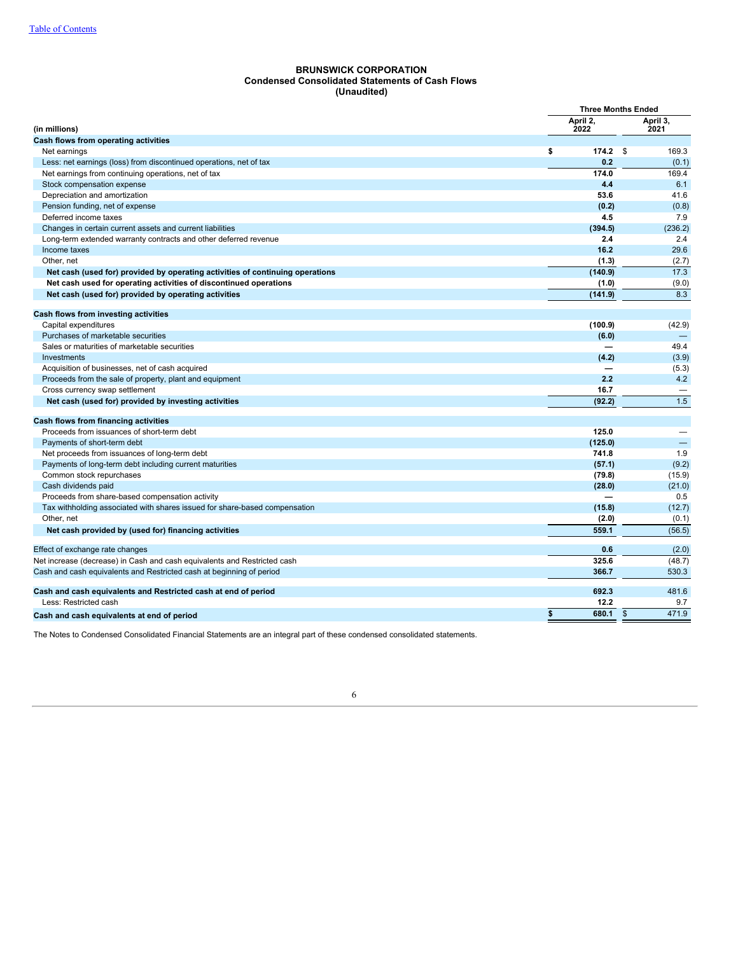#### **BRUNSWICK CORPORATION Condensed Consolidated Statements of Cash Flows (Unaudited)**

|                                                                               | <b>Three Months Ended</b> |                |                  |  |
|-------------------------------------------------------------------------------|---------------------------|----------------|------------------|--|
| (in millions)                                                                 | April 2,<br>2022          |                | April 3,<br>2021 |  |
| Cash flows from operating activities                                          |                           |                |                  |  |
| Net earnings                                                                  | \$<br>174.2               | \$             | 169.3            |  |
| Less: net earnings (loss) from discontinued operations, net of tax            | 0.2                       |                | (0.1)            |  |
| Net earnings from continuing operations, net of tax                           | 174.0                     |                | 169.4            |  |
| Stock compensation expense                                                    | 4.4                       |                | 6.1              |  |
| Depreciation and amortization                                                 | 53.6                      |                | 41.6             |  |
| Pension funding, net of expense                                               | (0.2)                     |                | (0.8)            |  |
| Deferred income taxes                                                         | 4.5                       |                | 7.9              |  |
| Changes in certain current assets and current liabilities                     | (394.5)                   |                | (236.2)          |  |
| Long-term extended warranty contracts and other deferred revenue              | 2.4                       |                | 2.4              |  |
| Income taxes                                                                  | 16.2                      |                | 29.6             |  |
| Other, net                                                                    | (1.3)                     |                | (2.7)            |  |
| Net cash (used for) provided by operating activities of continuing operations | (140.9)                   |                | 17.3             |  |
| Net cash used for operating activities of discontinued operations             | (1.0)                     |                | (9.0)            |  |
| Net cash (used for) provided by operating activities                          | (141.9)                   |                | 8.3              |  |
| Cash flows from investing activities                                          |                           |                |                  |  |
| Capital expenditures                                                          | (100.9)                   |                | (42.9)           |  |
| Purchases of marketable securities                                            | (6.0)                     |                |                  |  |
| Sales or maturities of marketable securities                                  |                           |                | 49.4             |  |
| Investments                                                                   | (4.2)                     |                | (3.9)            |  |
| Acquisition of businesses, net of cash acquired                               |                           |                | (5.3)            |  |
| Proceeds from the sale of property, plant and equipment                       | 2.2                       |                | 4.2              |  |
| Cross currency swap settlement                                                | 16.7                      |                |                  |  |
| Net cash (used for) provided by investing activities                          | (92.2)                    |                | 1.5              |  |
| Cash flows from financing activities                                          |                           |                |                  |  |
| Proceeds from issuances of short-term debt                                    | 125.0                     |                |                  |  |
| Payments of short-term debt                                                   | (125.0)                   |                |                  |  |
| Net proceeds from issuances of long-term debt                                 | 741.8                     |                | 1.9              |  |
| Payments of long-term debt including current maturities                       | (57.1)                    |                | (9.2)            |  |
| Common stock repurchases                                                      | (79.8)                    |                | (15.9)           |  |
| Cash dividends paid                                                           | (28.0)                    |                | (21.0)           |  |
| Proceeds from share-based compensation activity                               |                           |                | 0.5              |  |
| Tax withholding associated with shares issued for share-based compensation    | (15.8)                    |                | (12.7)           |  |
| Other, net                                                                    | (2.0)                     |                | (0.1)            |  |
| Net cash provided by (used for) financing activities                          | 559.1                     |                | (56.5)           |  |
| Effect of exchange rate changes                                               | 0.6                       |                | (2.0)            |  |
| Net increase (decrease) in Cash and cash equivalents and Restricted cash      | 325.6                     |                | (48.7)           |  |
| Cash and cash equivalents and Restricted cash at beginning of period          | 366.7                     |                | 530.3            |  |
| Cash and cash equivalents and Restricted cash at end of period                | 692.3                     |                | 481.6            |  |
| Less: Restricted cash                                                         | 12.2                      |                | 9.7              |  |
| Cash and cash equivalents at end of period                                    | \$<br>680.1               | $\mathfrak{s}$ | 471.9            |  |

The Notes to Condensed Consolidated Financial Statements are an integral part of these condensed consolidated statements.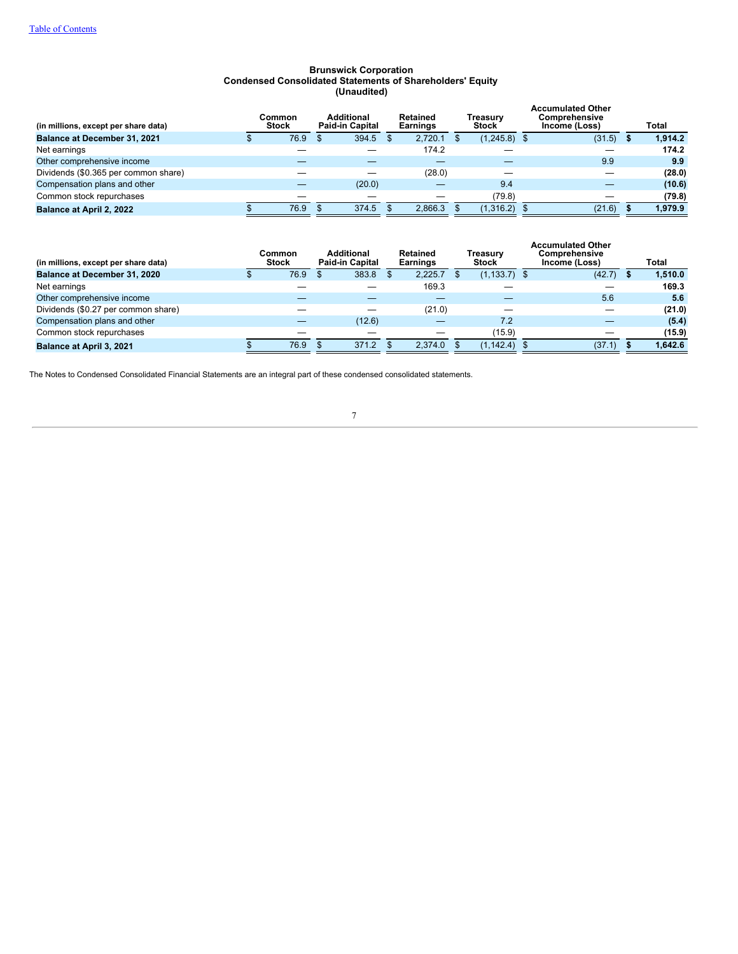#### **Brunswick Corporation Condensed Consolidated Statements of Shareholders' Equity (Unaudited)**

| (in millions, except per share data) | Common<br><b>Stock</b> | <b>Additional</b><br><b>Paid-in Capital</b> | Retained<br><b>Earnings</b> | Treasurv<br>Stock | <b>Accumulated Other</b><br><b>Comprehensive</b><br>Income (Loss) | Total   |
|--------------------------------------|------------------------|---------------------------------------------|-----------------------------|-------------------|-------------------------------------------------------------------|---------|
| <b>Balance at December 31, 2021</b>  | 76.9                   | 394.5<br>\$.                                | 2.720.1                     | $(1,245.8)$ \$    | (31.5)                                                            | 1.914.2 |
| Net earnings                         |                        |                                             | 174.2                       |                   |                                                                   | 174.2   |
| Other comprehensive income           |                        |                                             |                             |                   | 9.9                                                               | 9.9     |
| Dividends (\$0.365 per common share) |                        |                                             | (28.0)                      |                   |                                                                   | (28.0)  |
| Compensation plans and other         |                        | (20.0)                                      |                             | 9.4               |                                                                   | (10.6)  |
| Common stock repurchases             |                        |                                             |                             | (79.8)            |                                                                   | (79.8)  |
| <b>Balance at April 2, 2022</b>      | 76.9                   | 374.5                                       | 2.866.3                     | (1,316.2)         | (21.6)                                                            | 1.979.9 |

| 383.8<br>2.225.7<br><b>Balance at December 31, 2020</b><br>76.9<br>$(1, 133.7)$ \$<br>(42.7)<br>169.3<br>Net earnings<br>5.6<br>Other comprehensive income<br>Dividends (\$0.27 per common share)<br>(21.0)<br>_<br>Compensation plans and other<br>(12.6)<br>7.2<br>Common stock repurchases<br>(15.9)<br>371.2<br>2.374.0<br>(1, 142.4)<br>76.9<br>(37.1)<br><b>Balance at April 3, 2021</b> | (in millions, except per share data) | Common<br><b>Stock</b> | <b>Additional</b><br><b>Paid-in Capital</b> | <b>Retained</b><br><b>Earnings</b> | Treasurv<br><b>Stock</b> | <b>Accumulated Other</b><br>Comprehensive<br>Income (Loss) | Total   |
|------------------------------------------------------------------------------------------------------------------------------------------------------------------------------------------------------------------------------------------------------------------------------------------------------------------------------------------------------------------------------------------------|--------------------------------------|------------------------|---------------------------------------------|------------------------------------|--------------------------|------------------------------------------------------------|---------|
|                                                                                                                                                                                                                                                                                                                                                                                                |                                      |                        |                                             |                                    |                          |                                                            | 1,510.0 |
|                                                                                                                                                                                                                                                                                                                                                                                                |                                      |                        |                                             |                                    |                          |                                                            | 169.3   |
|                                                                                                                                                                                                                                                                                                                                                                                                |                                      |                        |                                             |                                    |                          |                                                            | 5.6     |
|                                                                                                                                                                                                                                                                                                                                                                                                |                                      |                        |                                             |                                    |                          |                                                            | (21.0)  |
|                                                                                                                                                                                                                                                                                                                                                                                                |                                      |                        |                                             |                                    |                          |                                                            | (5.4)   |
|                                                                                                                                                                                                                                                                                                                                                                                                |                                      |                        |                                             |                                    |                          |                                                            | (15.9)  |
|                                                                                                                                                                                                                                                                                                                                                                                                |                                      |                        |                                             |                                    |                          |                                                            | 1,642.6 |

The Notes to Condensed Consolidated Financial Statements are an integral part of these condensed consolidated statements.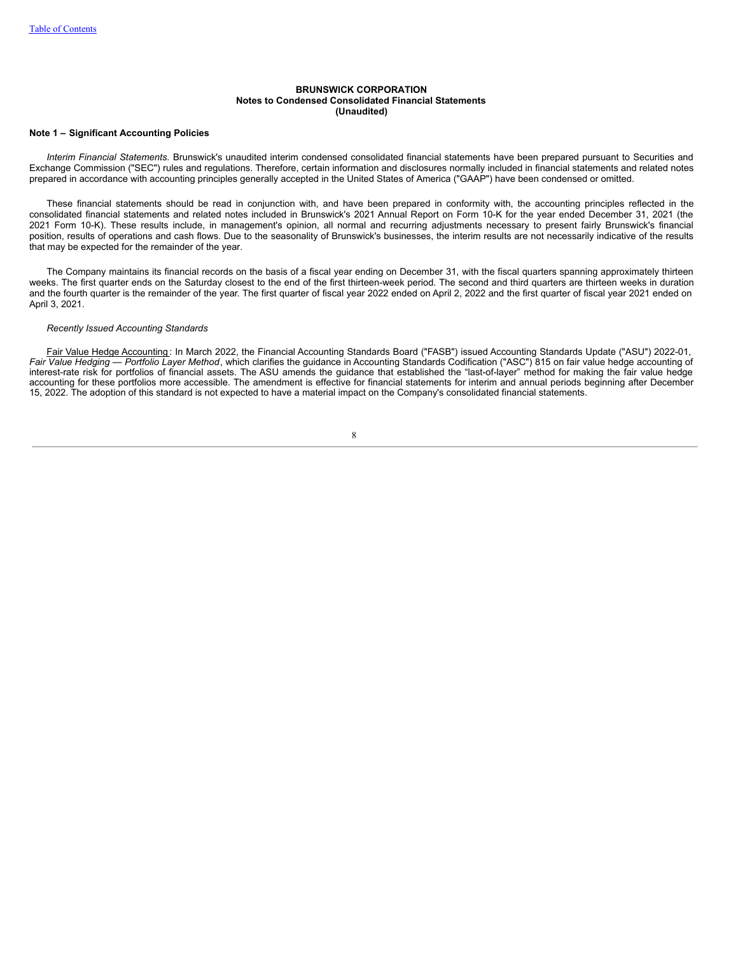#### **BRUNSWICK CORPORATION Notes to Condensed Consolidated Financial Statements (Unaudited)**

#### **Note 1 – Significant Accounting Policies**

*Interim Financial Statements.* Brunswick's unaudited interim condensed consolidated financial statements have been prepared pursuant to Securities and Exchange Commission ("SEC") rules and regulations. Therefore, certain information and disclosures normally included in financial statements and related notes prepared in accordance with accounting principles generally accepted in the United States of America ("GAAP") have been condensed or omitted.

These financial statements should be read in conjunction with, and have been prepared in conformity with, the accounting principles reflected in the consolidated financial statements and related notes included in Brunswick's 2021 Annual Report on Form 10-K for the year ended December 31, 2021 (the 2021 Form 10-K). These results include, in management's opinion, all normal and recurring adjustments necessary to present fairly Brunswick's financial position, results of operations and cash flows. Due to the seasonality of Brunswick's businesses, the interim results are not necessarily indicative of the results that may be expected for the remainder of the year.

The Company maintains its financial records on the basis of a fiscal year ending on December 31, with the fiscal quarters spanning approximately thirteen weeks. The first quarter ends on the Saturday closest to the end of the first thirteen-week period. The second and third quarters are thirteen weeks in duration and the fourth quarter is the remainder of the year. The first quarter of fiscal year 2022 ended on April 2, 2022 and the first quarter of fiscal year 2021 ended on April 3, 2021.

#### *Recently Issued Accounting Standards*

Fair Value Hedge Accounting: In March 2022, the Financial Accounting Standards Board ("FASB") issued Accounting Standards Update ("ASU") 2022-01, *Fair Value Hedging — Portfolio Layer Method*, which clarifies the guidance in Accounting Standards Codification ("ASC") 815 on fair value hedge accounting of interest-rate risk for portfolios of financial assets. The ASU amends the guidance that established the "last-of-layer" method for making the fair value hedge accounting for these portfolios more accessible. The amendment is effective for financial statements for interim and annual periods beginning after December 15, 2022. The adoption of this standard is not expected to have a material impact on the Company's consolidated financial statements.

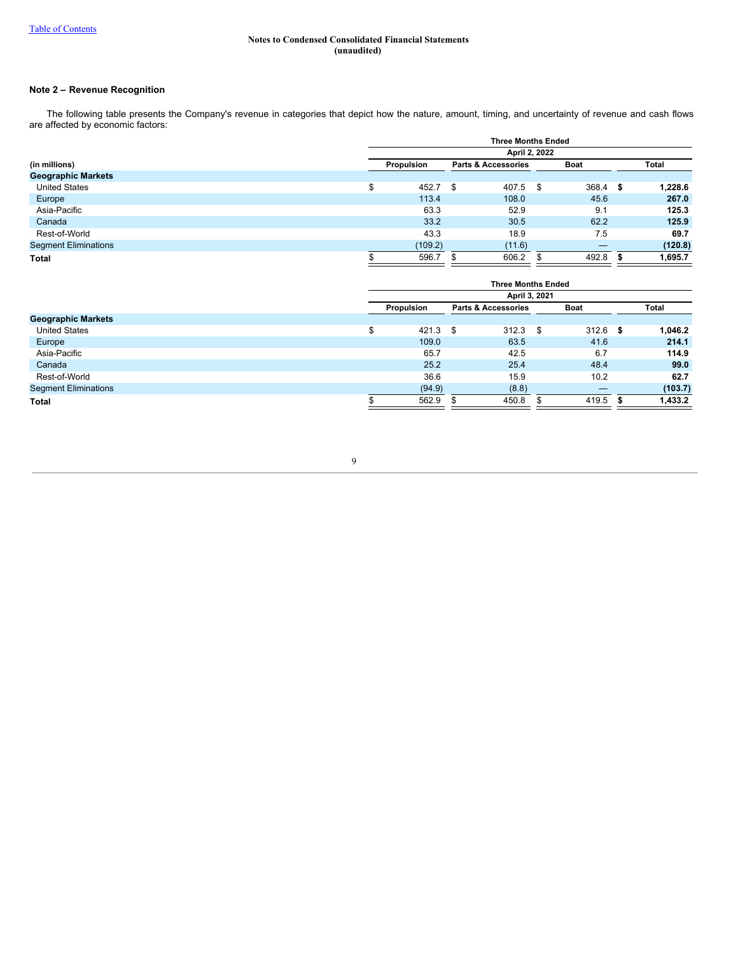### **Note 2 – Revenue Recognition**

The following table presents the Company's revenue in categories that depict how the nature, amount, timing, and uncertainty of revenue and cash flows are affected by economic factors:

| <b>Three Months Ended</b>                                            |         |  |          |    |       |      |         |  |  |
|----------------------------------------------------------------------|---------|--|----------|----|-------|------|---------|--|--|
| April 2, 2022                                                        |         |  |          |    |       |      |         |  |  |
| <b>Parts &amp; Accessories</b><br>Total<br><b>Boat</b><br>Propulsion |         |  |          |    |       |      |         |  |  |
|                                                                      |         |  |          |    |       |      |         |  |  |
| $\triangle$<br>æ                                                     |         |  | 407.5    | \$ | 368.4 | - \$ | 1,228.6 |  |  |
|                                                                      | 113.4   |  | 108.0    |    | 45.6  |      | 267.0   |  |  |
|                                                                      | 63.3    |  | 52.9     |    | 9.1   |      | 125.3   |  |  |
|                                                                      | 33.2    |  | 30.5     |    | 62.2  |      | 125.9   |  |  |
|                                                                      | 43.3    |  | 18.9     |    | 7.5   |      | 69.7    |  |  |
|                                                                      | (109.2) |  | (11.6)   |    |       |      | (120.8) |  |  |
|                                                                      | 596.7   |  | 606.2    |    | 492.8 |      | 1,695.7 |  |  |
|                                                                      |         |  | 452.7 \$ |    |       |      |         |  |  |

| <b>Three Months Ended</b> |        |                                |            |  |       |  |            |  |  |  |
|---------------------------|--------|--------------------------------|------------|--|-------|--|------------|--|--|--|
| April 3, 2021             |        |                                |            |  |       |  |            |  |  |  |
|                           |        | <b>Parts &amp; Accessories</b> |            |  | Boat  |  | Total      |  |  |  |
|                           |        |                                |            |  |       |  |            |  |  |  |
| \$                        |        |                                | 312.3      |  |       |  | 1,046.2    |  |  |  |
|                           | 109.0  |                                | 63.5       |  | 41.6  |  | 214.1      |  |  |  |
|                           | 65.7   |                                | 42.5       |  | 6.7   |  | 114.9      |  |  |  |
|                           | 25.2   |                                | 25.4       |  | 48.4  |  | 99.0       |  |  |  |
|                           | 36.6   |                                | 15.9       |  | 10.2  |  | 62.7       |  |  |  |
|                           | (94.9) |                                | (8.8)      |  | _     |  | (103.7)    |  |  |  |
|                           | 562.9  | S.                             | 450.8      |  | 419.5 |  | 1,433.2    |  |  |  |
|                           |        | Propulsion                     | $421.3$ \$ |  | - \$  |  | $312.6$ \$ |  |  |  |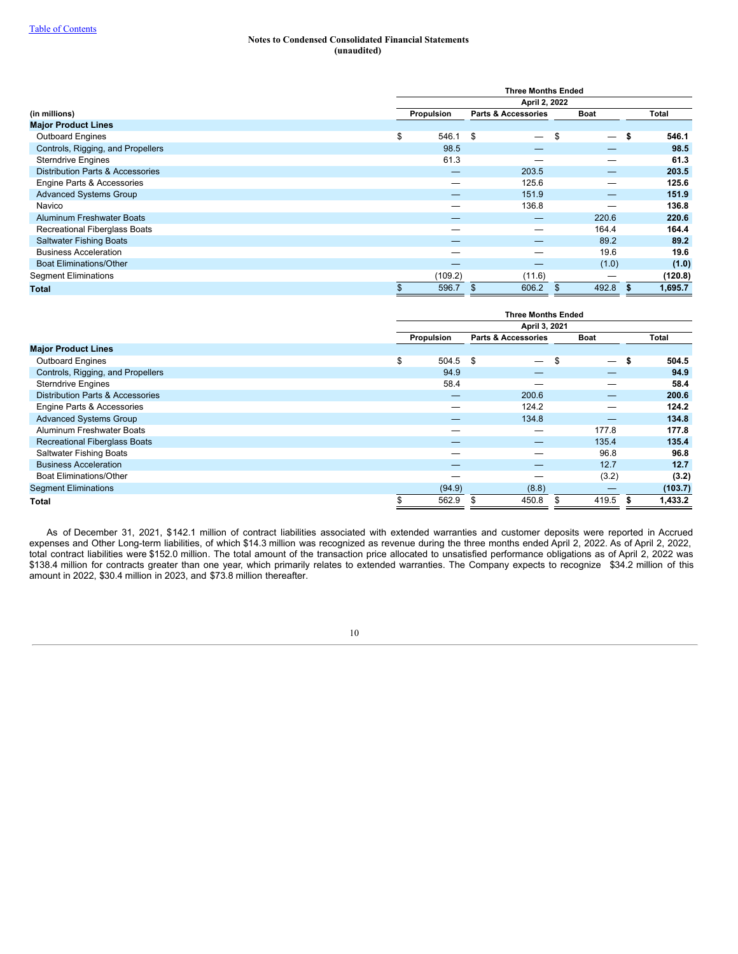|                                             | <b>Three Months Ended</b> |                   |                                |                               |             |                          |      |         |  |
|---------------------------------------------|---------------------------|-------------------|--------------------------------|-------------------------------|-------------|--------------------------|------|---------|--|
|                                             | April 2, 2022             |                   |                                |                               |             |                          |      |         |  |
| (in millions)                               |                           | <b>Propulsion</b> | <b>Parts &amp; Accessories</b> |                               | <b>Boat</b> |                          |      | Total   |  |
| <b>Major Product Lines</b>                  |                           |                   |                                |                               |             |                          |      |         |  |
| <b>Outboard Engines</b>                     | \$                        | 546.1             | <b>S</b>                       | $\overbrace{\phantom{12333}}$ | \$          | $\overline{\phantom{m}}$ | - \$ | 546.1   |  |
| Controls, Rigging, and Propellers           |                           | 98.5              |                                |                               |             |                          |      | 98.5    |  |
| <b>Sterndrive Engines</b>                   |                           | 61.3              |                                |                               |             |                          |      | 61.3    |  |
| <b>Distribution Parts &amp; Accessories</b> |                           | _                 |                                | 203.5                         |             |                          |      | 203.5   |  |
| Engine Parts & Accessories                  |                           | _                 |                                | 125.6                         |             |                          |      | 125.6   |  |
| <b>Advanced Systems Group</b>               |                           |                   |                                | 151.9                         |             |                          |      | 151.9   |  |
| Navico                                      |                           |                   |                                | 136.8                         |             |                          |      | 136.8   |  |
| Aluminum Freshwater Boats                   |                           |                   |                                |                               |             | 220.6                    |      | 220.6   |  |
| <b>Recreational Fiberglass Boats</b>        |                           | –                 |                                | –                             |             | 164.4                    |      | 164.4   |  |
| <b>Saltwater Fishing Boats</b>              |                           |                   |                                |                               |             | 89.2                     |      | 89.2    |  |
| <b>Business Acceleration</b>                |                           | _                 |                                |                               |             | 19.6                     |      | 19.6    |  |
| <b>Boat Eliminations/Other</b>              |                           | –                 |                                |                               |             | (1.0)                    |      | (1.0)   |  |
| <b>Segment Eliminations</b>                 |                           | (109.2)           |                                | (11.6)                        |             |                          |      | (120.8) |  |
| <b>Total</b>                                |                           | 596.7             | \$                             | 606.2                         | \$          | 492.8                    |      | 1,695.7 |  |

|                                             | <b>Three Months Ended</b> |                                |                                |              |  |  |  |  |
|---------------------------------------------|---------------------------|--------------------------------|--------------------------------|--------------|--|--|--|--|
|                                             | April 3, 2021             |                                |                                |              |  |  |  |  |
|                                             | Propulsion                | <b>Parts &amp; Accessories</b> | <b>Boat</b>                    | Total        |  |  |  |  |
| <b>Major Product Lines</b>                  |                           |                                |                                |              |  |  |  |  |
| <b>Outboard Engines</b>                     | \$<br>$504.5$ \$          | $\overline{\phantom{0}}$       | \$<br>$\overline{\phantom{m}}$ | 504.5<br>-\$ |  |  |  |  |
| Controls, Rigging, and Propellers           | 94.9                      | _                              |                                | 94.9         |  |  |  |  |
| <b>Sterndrive Engines</b>                   | 58.4                      |                                |                                | 58.4         |  |  |  |  |
| <b>Distribution Parts &amp; Accessories</b> | –                         | 200.6                          | —                              | 200.6        |  |  |  |  |
| Engine Parts & Accessories                  |                           | 124.2                          |                                | 124.2        |  |  |  |  |
| <b>Advanced Systems Group</b>               |                           | 134.8                          |                                | 134.8        |  |  |  |  |
| Aluminum Freshwater Boats                   | _                         |                                | 177.8                          | 177.8        |  |  |  |  |
| <b>Recreational Fiberglass Boats</b>        | –                         | _                              | 135.4                          | 135.4        |  |  |  |  |
| <b>Saltwater Fishing Boats</b>              |                           |                                | 96.8                           | 96.8         |  |  |  |  |
| <b>Business Acceleration</b>                |                           |                                | 12.7                           | 12.7         |  |  |  |  |
| <b>Boat Eliminations/Other</b>              |                           |                                | (3.2)                          | (3.2)        |  |  |  |  |
| <b>Segment Eliminations</b>                 | (94.9)                    | (8.8)                          | –                              | (103.7)      |  |  |  |  |
| Total                                       | 562.9                     | 450.8                          | 419.5                          | 1,433.2      |  |  |  |  |

As of December 31, 2021, \$142.1 million of contract liabilities associated with extended warranties and customer deposits were reported in Accrued expenses and Other Long-term liabilities, of which \$14.3 million was recognized as revenue during the three months ended April 2, 2022. As of April 2, 2022, total contract liabilities were \$152.0 million. The total amount of the transaction price allocated to unsatisfied performance obligations as of April 2, 2022 was \$138.4 million for contracts greater than one year, which primarily relates to extended warranties. The Company expects to recognize \$34.2 million of this amount in 2022, \$30.4 million in 2023, and \$73.8 million thereafter.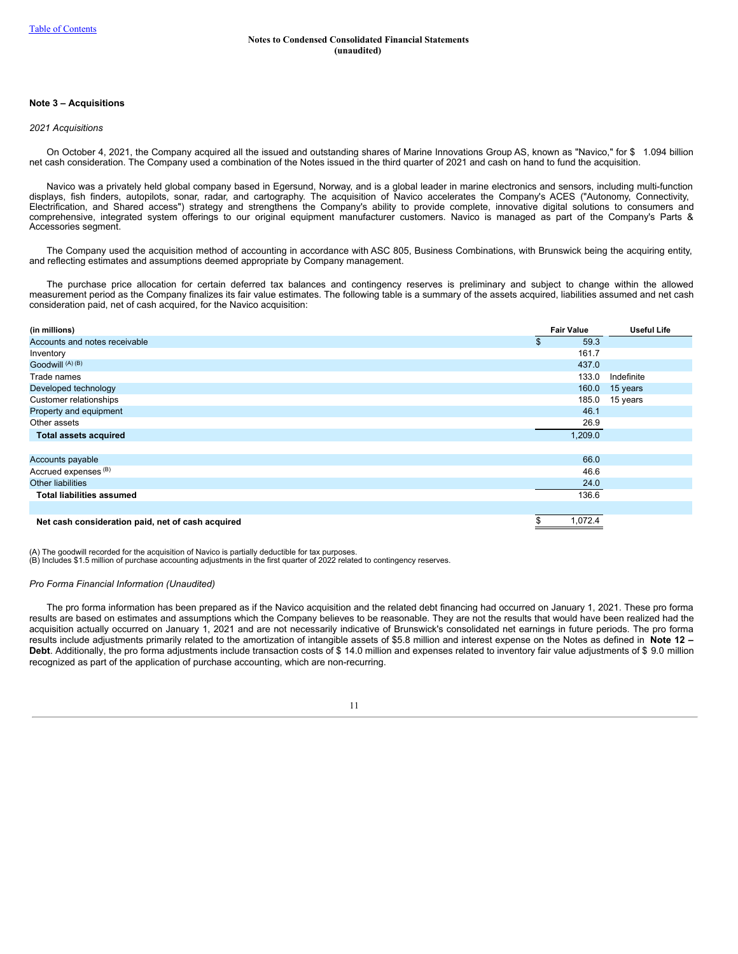#### **Note 3 – Acquisitions**

#### *2021 Acquisitions*

On October 4, 2021, the Company acquired all the issued and outstanding shares of Marine Innovations Group AS, known as "Navico," for \$ 1.094 billion net cash consideration. The Company used a combination of the Notes issued in the third quarter of 2021 and cash on hand to fund the acquisition.

Navico was a privately held global company based in Egersund, Norway, and is a global leader in marine electronics and sensors, including multi-function displays, fish finders, autopilots, sonar, radar, and cartography. The acquisition of Navico accelerates the Company's ACES ("Autonomy, Connectivity, Electrification, and Shared access") strategy and strengthens the Company's ability to provide complete, innovative digital solutions to consumers and comprehensive, integrated system offerings to our original equipment manufacturer customers. Navico is managed as part of the Company's Parts & Accessories segment.

The Company used the acquisition method of accounting in accordance with ASC 805, Business Combinations, with Brunswick being the acquiring entity, and reflecting estimates and assumptions deemed appropriate by Company management.

The purchase price allocation for certain deferred tax balances and contingency reserves is preliminary and subject to change within the allowed measurement period as the Company finalizes its fair value estimates. The following table is a summary of the assets acquired, liabilities assumed and net cash consideration paid, net of cash acquired, for the Navico acquisition:

| (in millions)                                     | <b>Fair Value</b> | <b>Useful Life</b> |
|---------------------------------------------------|-------------------|--------------------|
| Accounts and notes receivable                     | \$<br>59.3        |                    |
| Inventory                                         | 161.7             |                    |
| Goodwill (A) (B)                                  | 437.0             |                    |
| Trade names                                       | 133.0             | Indefinite         |
| Developed technology                              | 160.0             | 15 years           |
| Customer relationships                            | 185.0             | 15 years           |
| Property and equipment                            | 46.1              |                    |
| Other assets                                      | 26.9              |                    |
| <b>Total assets acquired</b>                      | 1,209.0           |                    |
|                                                   |                   |                    |
| Accounts payable                                  | 66.0              |                    |
| Accrued expenses (B)                              | 46.6              |                    |
| <b>Other liabilities</b>                          | 24.0              |                    |
| <b>Total liabilities assumed</b>                  | 136.6             |                    |
|                                                   |                   |                    |
| Net cash consideration paid, net of cash acquired | 1,072.4           |                    |

(A) The goodwill recorded for the acquisition of Navico is partially deductible for tax purposes.

(B) Includes \$1.5 million of purchase accounting adjustments in the first quarter of 2022 related to contingency reserves.

#### *Pro Forma Financial Information (Unaudited)*

The pro forma information has been prepared as if the Navico acquisition and the related debt financing had occurred on January 1, 2021. These pro forma results are based on estimates and assumptions which the Company believes to be reasonable. They are not the results that would have been realized had the acquisition actually occurred on January 1, 2021 and are not necessarily indicative of Brunswick's consolidated net earnings in future periods. The pro forma results include adjustments primarily related to the amortization of intangible assets of \$5.8 million and interest expense on the Notes as defined in **Note 12 – Debt**. Additionally, the pro forma adjustments include transaction costs of \$ 14.0 million and expenses related to inventory fair value adjustments of \$ 9.0 million recognized as part of the application of purchase accounting, which are non-recurring.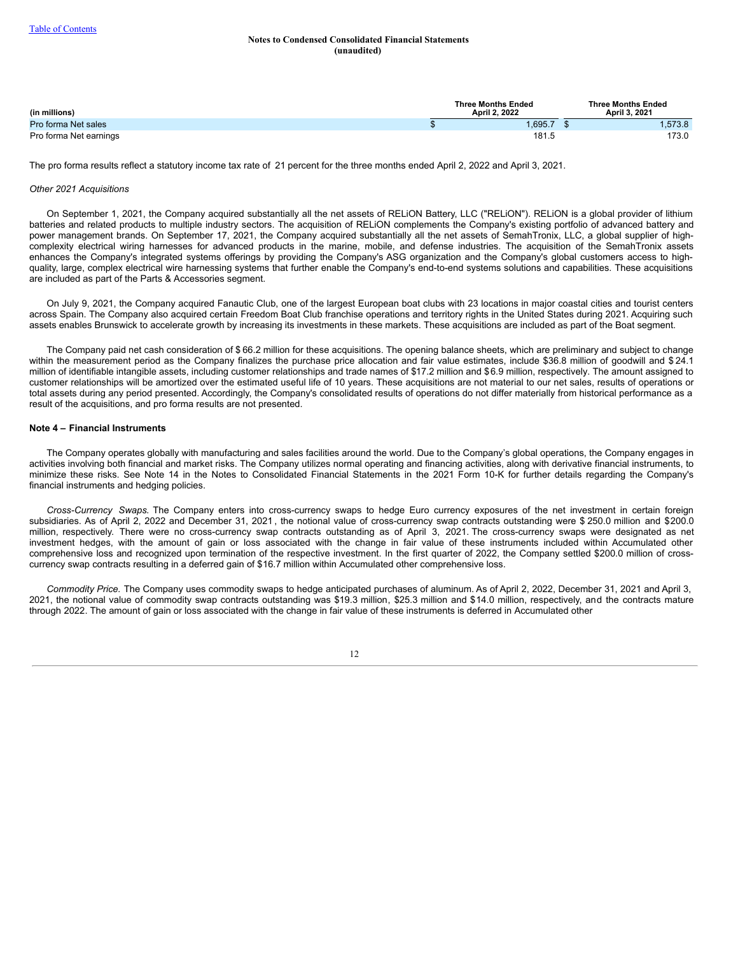| (in millions)          |  | <b>Three Months Ended</b><br><b>April 2. 2022</b> | <b>Three Months Ended</b><br>April 3. 2021 |  |  |
|------------------------|--|---------------------------------------------------|--------------------------------------------|--|--|
| Pro forma Net sales    |  | .695.7                                            | .573.8                                     |  |  |
| Pro forma Net earnings |  | 181.5                                             | 173.0                                      |  |  |

The pro forma results reflect a statutory income tax rate of 21 percent for the three months ended April 2, 2022 and April 3, 2021.

#### *Other 2021 Acquisitions*

On September 1, 2021, the Company acquired substantially all the net assets of RELiON Battery, LLC ("RELiON"). RELiON is a global provider of lithium batteries and related products to multiple industry sectors. The acquisition of RELiON complements the Company's existing portfolio of advanced battery and power management brands. On September 17, 2021, the Company acquired substantially all the net assets of SemahTronix, LLC, a global supplier of highcomplexity electrical wiring harnesses for advanced products in the marine, mobile, and defense industries. The acquisition of the SemahTronix assets enhances the Company's integrated systems offerings by providing the Company's ASG organization and the Company's global customers access to highquality, large, complex electrical wire harnessing systems that further enable the Company's end-to-end systems solutions and capabilities. These acquisitions are included as part of the Parts & Accessories segment.

On July 9, 2021, the Company acquired Fanautic Club, one of the largest European boat clubs with 23 locations in major coastal cities and tourist centers across Spain. The Company also acquired certain Freedom Boat Club franchise operations and territory rights in the United States during 2021. Acquiring such assets enables Brunswick to accelerate growth by increasing its investments in these markets. These acquisitions are included as part of the Boat segment.

The Company paid net cash consideration of \$ 66.2 million for these acquisitions. The opening balance sheets, which are preliminary and subject to change within the measurement period as the Company finalizes the purchase price allocation and fair value estimates, include \$36.8 million of goodwill and \$24.1 million of identifiable intangible assets, including customer relationships and trade names of \$17.2 million and \$6.9 million, respectively. The amount assigned to customer relationships will be amortized over the estimated useful life of 10 years. These acquisitions are not material to our net sales, results of operations or total assets during any period presented. Accordingly, the Company's consolidated results of operations do not differ materially from historical performance as a result of the acquisitions, and pro forma results are not presented.

#### **Note 4 – Financial Instruments**

The Company operates globally with manufacturing and sales facilities around the world. Due to the Company's global operations, the Company engages in activities involving both financial and market risks. The Company utilizes normal operating and financing activities, along with derivative financial instruments, to minimize these risks. See Note 14 in the Notes to Consolidated Financial Statements in the 2021 Form 10-K for further details regarding the Company's financial instruments and hedging policies.

*Cross-Currency Swaps.* The Company enters into cross-currency swaps to hedge Euro currency exposures of the net investment in certain foreign subsidiaries. As of April 2, 2022 and December 31, 2021 , the notional value of cross-currency swap contracts outstanding were \$ 250.0 million and \$200.0 million, respectively. There were no cross-currency swap contracts outstanding as of April 3, 2021. The cross-currency swaps were designated as net investment hedges, with the amount of gain or loss associated with the change in fair value of these instruments included within Accumulated other comprehensive loss and recognized upon termination of the respective investment. In the first quarter of 2022, the Company settled \$200.0 million of crosscurrency swap contracts resulting in a deferred gain of \$16.7 million within Accumulated other comprehensive loss.

*Commodity Price.* The Company uses commodity swaps to hedge anticipated purchases of aluminum. As of April 2, 2022, December 31, 2021 and April 3, 2021, the notional value of commodity swap contracts outstanding was \$19.3 million, \$25.3 million and \$14.0 million, respectively, and the contracts mature through 2022. The amount of gain or loss associated with the change in fair value of these instruments is deferred in Accumulated other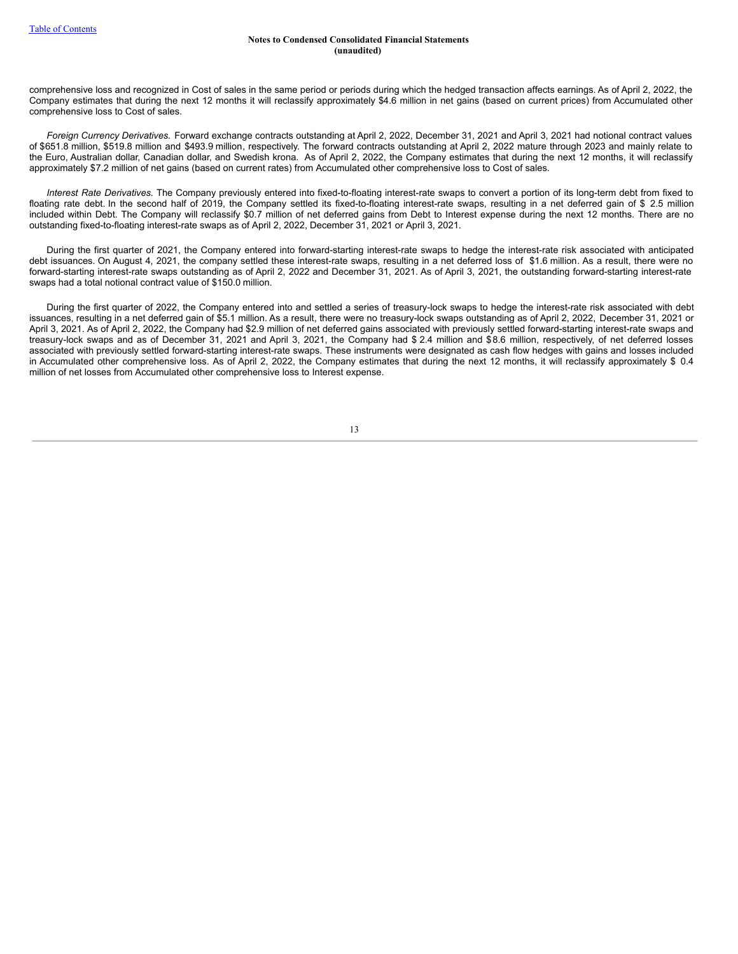comprehensive loss and recognized in Cost of sales in the same period or periods during which the hedged transaction affects earnings. As of April 2, 2022, the Company estimates that during the next 12 months it will reclassify approximately \$4.6 million in net gains (based on current prices) from Accumulated other comprehensive loss to Cost of sales.

*Foreign Currency Derivatives.* Forward exchange contracts outstanding at April 2, 2022, December 31, 2021 and April 3, 2021 had notional contract values of \$651.8 million, \$519.8 million and \$493.9 million, respectively. The forward contracts outstanding at April 2, 2022 mature through 2023 and mainly relate to the Euro, Australian dollar, Canadian dollar, and Swedish krona. As of April 2, 2022, the Company estimates that during the next 12 months, it will reclassify approximately \$7.2 million of net gains (based on current rates) from Accumulated other comprehensive loss to Cost of sales.

*Interest Rate Derivatives.* The Company previously entered into fixed-to-floating interest-rate swaps to convert a portion of its long-term debt from fixed to floating rate debt. In the second half of 2019, the Company settled its fixed-to-floating interest-rate swaps, resulting in a net deferred gain of \$ 2.5 million included within Debt. The Company will reclassify \$0.7 million of net deferred gains from Debt to Interest expense during the next 12 months. There are no outstanding fixed-to-floating interest-rate swaps as of April 2, 2022, December 31, 2021 or April 3, 2021.

During the first quarter of 2021, the Company entered into forward-starting interest-rate swaps to hedge the interest-rate risk associated with anticipated debt issuances. On August 4, 2021, the company settled these interest-rate swaps, resulting in a net deferred loss of \$1.6 million. As a result, there were no forward-starting interest-rate swaps outstanding as of April 2, 2022 and December 31, 2021. As of April 3, 2021, the outstanding forward-starting interest-rate swaps had a total notional contract value of \$150.0 million.

During the first quarter of 2022, the Company entered into and settled a series of treasury-lock swaps to hedge the interest-rate risk associated with debt issuances, resulting in a net deferred gain of \$5.1 million. As a result, there were no treasury-lock swaps outstanding as of April 2, 2022, December 31, 2021 or April 3, 2021. As of April 2, 2022, the Company had \$2.9 million of net deferred gains associated with previously settled forward-starting interest-rate swaps and treasury-lock swaps and as of December 31, 2021 and April 3, 2021, the Company had \$ 2.4 million and \$8.6 million, respectively, of net deferred losses associated with previously settled forward-starting interest-rate swaps. These instruments were designated as cash flow hedges with gains and losses included in Accumulated other comprehensive loss. As of April 2, 2022, the Company estimates that during the next 12 months, it will reclassify approximately \$ 0.4 million of net losses from Accumulated other comprehensive loss to Interest expense.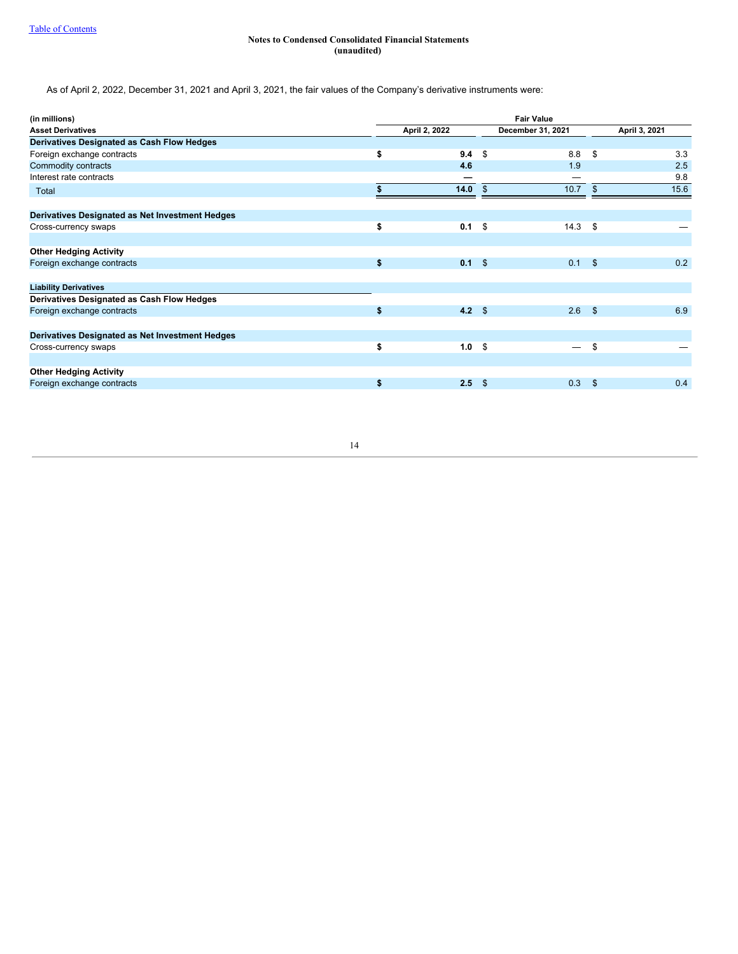As of April 2, 2022, December 31, 2021 and April 3, 2021, the fair values of the Company's derivative instruments were:

| (in millions)                                   | <b>Fair Value</b> |               |    |                   |              |               |
|-------------------------------------------------|-------------------|---------------|----|-------------------|--------------|---------------|
| <b>Asset Derivatives</b>                        |                   | April 2, 2022 |    | December 31, 2021 |              | April 3, 2021 |
| Derivatives Designated as Cash Flow Hedges      |                   |               |    |                   |              |               |
| Foreign exchange contracts                      | \$                | 9.4           | \$ | 8.8               | -\$          | 3.3           |
| Commodity contracts                             |                   | 4.6           |    | 1.9               |              | 2.5           |
| Interest rate contracts                         |                   |               |    | --                |              | 9.8           |
| Total                                           |                   | 14.0          | \$ | 10.7              | \$           | 15.6          |
| Derivatives Designated as Net Investment Hedges |                   |               |    |                   |              |               |
| Cross-currency swaps                            | \$                | 0.1           | \$ | 14.3              | - \$         |               |
| <b>Other Hedging Activity</b>                   |                   |               |    |                   |              |               |
| Foreign exchange contracts                      | \$                | $0.1 \quad$   |    | 0.1               | \$           | 0.2           |
| <b>Liability Derivatives</b>                    |                   |               |    |                   |              |               |
| Derivatives Designated as Cash Flow Hedges      |                   |               |    |                   |              |               |
| Foreign exchange contracts                      | \$                | 4.2 $$$       |    | 2.6               | $\mathbf{s}$ | 6.9           |
| Derivatives Designated as Net Investment Hedges |                   |               |    |                   |              |               |
| Cross-currency swaps                            | \$                | 1.0           | \$ | —                 | S.           |               |
| <b>Other Hedging Activity</b>                   |                   |               |    |                   |              |               |
| Foreign exchange contracts                      | \$                | 2.5           | \$ | 0.3               | - \$         | 0.4           |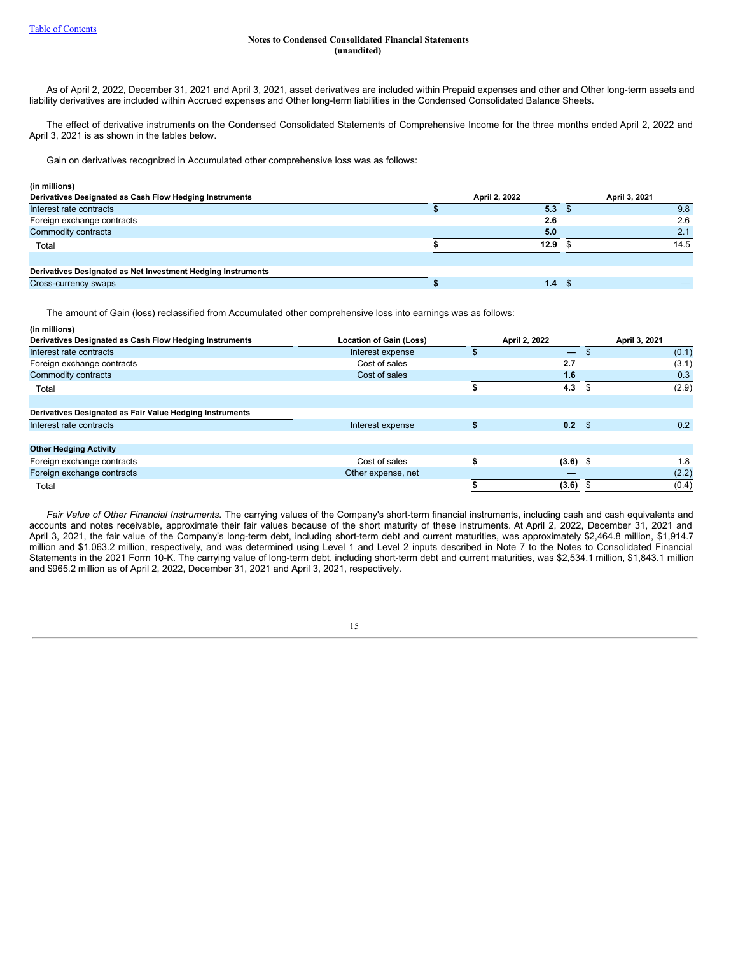As of April 2, 2022, December 31, 2021 and April 3, 2021, asset derivatives are included within Prepaid expenses and other and Other long-term assets and liability derivatives are included within Accrued expenses and Other long-term liabilities in the Condensed Consolidated Balance Sheets.

The effect of derivative instruments on the Condensed Consolidated Statements of Comprehensive Income for the three months ended April 2, 2022 and April 3, 2021 is as shown in the tables below.

Gain on derivatives recognized in Accumulated other comprehensive loss was as follows:

#### **(in millions)**

| Derivatives Designated as Cash Flow Hedging Instruments      |  | April 2, 2022 | April 3, 2021 |      |  |  |
|--------------------------------------------------------------|--|---------------|---------------|------|--|--|
| Interest rate contracts                                      |  | 5.3           |               | 9.8  |  |  |
| Foreign exchange contracts                                   |  | 2.6           |               | 2.6  |  |  |
| Commodity contracts                                          |  | 5.0           |               | 2.1  |  |  |
| Total                                                        |  | 12.9          |               | 14.5 |  |  |
|                                                              |  |               |               |      |  |  |
| Derivatives Designated as Net Investment Hedging Instruments |  |               |               |      |  |  |
| Cross-currency swaps                                         |  | 1.4           |               |      |  |  |

The amount of Gain (loss) reclassified from Accumulated other comprehensive loss into earnings was as follows:

| (in millions)                                            |                                |                        |               |               |
|----------------------------------------------------------|--------------------------------|------------------------|---------------|---------------|
| Derivatives Designated as Cash Flow Hedging Instruments  | <b>Location of Gain (Loss)</b> | April 2, 2022          |               | April 3, 2021 |
| Interest rate contracts                                  | Interest expense               | $\qquad \qquad -$      | <sup>\$</sup> | (0.1)         |
| Foreign exchange contracts                               | Cost of sales                  | 2.7                    |               | (3.1)         |
| Commodity contracts                                      | Cost of sales                  | 1.6                    |               | 0.3           |
| Total                                                    |                                | 4.3                    |               | (2.9)         |
| Derivatives Designated as Fair Value Hedging Instruments |                                |                        |               |               |
|                                                          |                                |                        |               |               |
| Interest rate contracts                                  | Interest expense               | \$<br>0.2 <sup>5</sup> |               | 0.2           |
|                                                          |                                |                        |               |               |
| <b>Other Hedging Activity</b>                            |                                |                        |               |               |
| Foreign exchange contracts                               | Cost of sales                  | $(3.6)$ \$             |               | 1.8           |
| Foreign exchange contracts                               | Other expense, net             |                        |               | (2.2)         |
| Total                                                    |                                | (3.6)                  |               | (0.4)         |

*Fair Value of Other Financial Instruments.* The carrying values of the Company's short-term financial instruments, including cash and cash equivalents and accounts and notes receivable, approximate their fair values because of the short maturity of these instruments. At April 2, 2022, December 31, 2021 and April 3, 2021, the fair value of the Company's long-term debt, including short-term debt and current maturities, was approximately \$2,464.8 million, \$1,914.7 million and \$1,063.2 million, respectively, and was determined using Level 1 and Level 2 inputs described in Note 7 to the Notes to Consolidated Financial Statements in the 2021 Form 10-K. The carrying value of long-term debt, including short-term debt and current maturities, was \$2,534.1 million, \$1,843.1 million and \$965.2 million as of April 2, 2022, December 31, 2021 and April 3, 2021, respectively.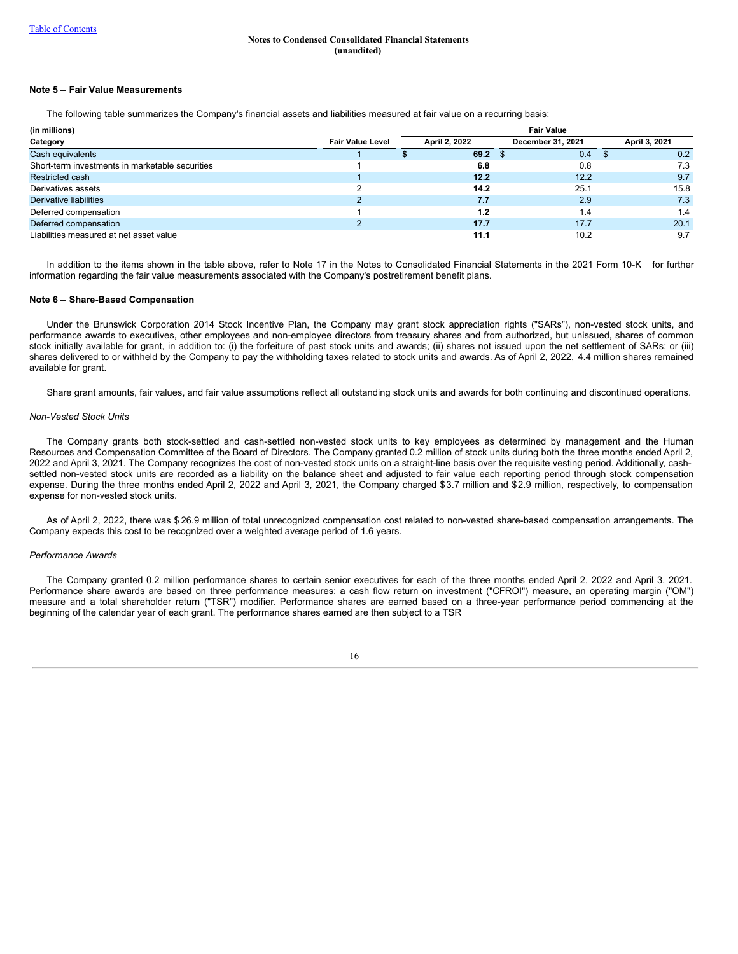#### **Note 5 – Fair Value Measurements**

The following table summarizes the Company's financial assets and liabilities measured at fair value on a recurring basis:

| (in millions)                                   |                         | <b>Fair Value</b> |                                    |      |  |               |
|-------------------------------------------------|-------------------------|-------------------|------------------------------------|------|--|---------------|
| Category                                        | <b>Fair Value Level</b> |                   | December 31, 2021<br>April 2, 2022 |      |  | April 3, 2021 |
| Cash equivalents                                |                         |                   | 69.2                               | 0.4  |  | 0.2           |
| Short-term investments in marketable securities |                         |                   | 6.8                                | 0.8  |  | 7.3           |
| Restricted cash                                 |                         |                   | 12.2                               | 12.2 |  | 9.7           |
| Derivatives assets                              |                         |                   | 14.2                               | 25.1 |  | 15.8          |
| Derivative liabilities                          |                         |                   | 7.7                                | 2.9  |  | 7.3           |
| Deferred compensation                           |                         |                   | 1.2                                | 1.4  |  | 1.4           |
| Deferred compensation                           |                         |                   | 17.7                               | 17.7 |  | 20.1          |
| Liabilities measured at net asset value         |                         |                   | 11.1                               | 10.2 |  | 9.7           |

In addition to the items shown in the table above, refer to Note 17 in the Notes to Consolidated Financial Statements in the 2021 Form 10-K for further information regarding the fair value measurements associated with the Company's postretirement benefit plans.

#### **Note 6 – Share-Based Compensation**

Under the Brunswick Corporation 2014 Stock Incentive Plan, the Company may grant stock appreciation rights ("SARs"), non-vested stock units, and performance awards to executives, other employees and non-employee directors from treasury shares and from authorized, but unissued, shares of common stock initially available for grant, in addition to: (i) the forfeiture of past stock units and awards; (ii) shares not issued upon the net settlement of SARs; or (iii) shares delivered to or withheld by the Company to pay the withholding taxes related to stock units and awards. As of April 2, 2022, 4.4 million shares remained available for grant.

Share grant amounts, fair values, and fair value assumptions reflect all outstanding stock units and awards for both continuing and discontinued operations.

#### *Non-Vested Stock Units*

The Company grants both stock-settled and cash-settled non-vested stock units to key employees as determined by management and the Human Resources and Compensation Committee of the Board of Directors. The Company granted 0.2 million of stock units during both the three months ended April 2, 2022 and April 3, 2021. The Company recognizes the cost of non-vested stock units on a straight-line basis over the requisite vesting period. Additionally, cashsettled non-vested stock units are recorded as a liability on the balance sheet and adjusted to fair value each reporting period through stock compensation expense. During the three months ended April 2, 2022 and April 3, 2021, the Company charged \$3.7 million and \$2.9 million, respectively, to compensation expense for non-vested stock units.

As of April 2, 2022, there was \$ 26.9 million of total unrecognized compensation cost related to non-vested share-based compensation arrangements. The Company expects this cost to be recognized over a weighted average period of 1.6 years.

#### *Performance Awards*

The Company granted 0.2 million performance shares to certain senior executives for each of the three months ended April 2, 2022 and April 3, 2021. Performance share awards are based on three performance measures: a cash flow return on investment ("CFROI") measure, an operating margin ("OM") measure and a total shareholder return ("TSR") modifier. Performance shares are earned based on a three-year performance period commencing at the beginning of the calendar year of each grant. The performance shares earned are then subject to a TSR

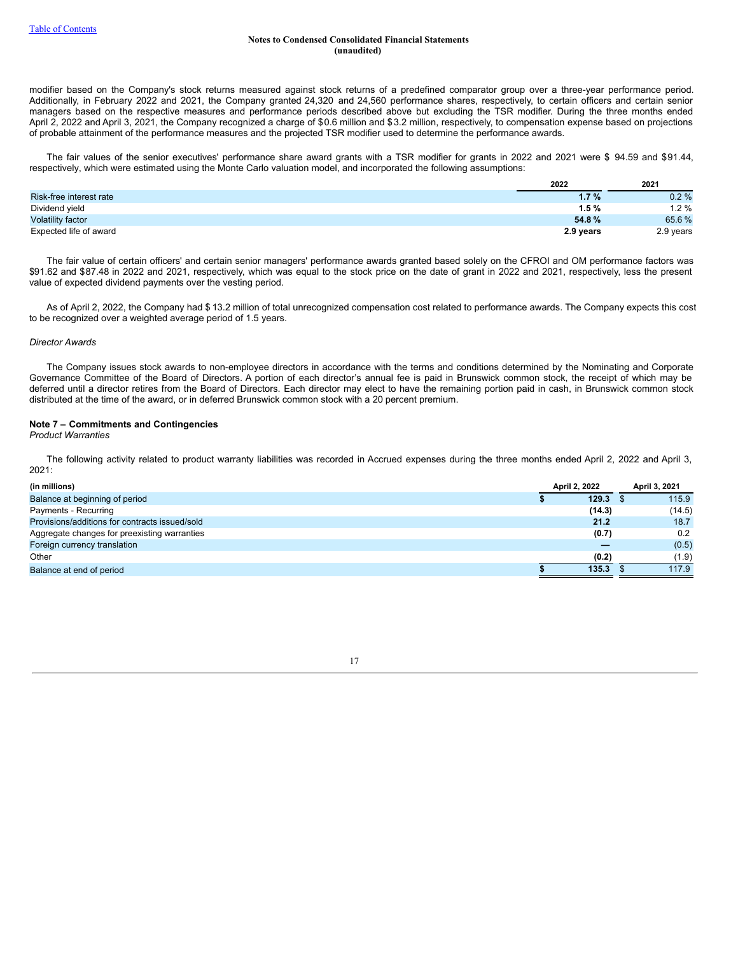modifier based on the Company's stock returns measured against stock returns of a predefined comparator group over a three-year performance period. Additionally, in February 2022 and 2021, the Company granted 24,320 and 24,560 performance shares, respectively, to certain officers and certain senior managers based on the respective measures and performance periods described above but excluding the TSR modifier. During the three months ended April 2, 2022 and April 3, 2021, the Company recognized a charge of \$0.6 million and \$3.2 million, respectively, to compensation expense based on projections of probable attainment of the performance measures and the projected TSR modifier used to determine the performance awards.

The fair values of the senior executives' performance share award grants with a TSR modifier for grants in 2022 and 2021 were \$ 94.59 and \$91.44, respectively, which were estimated using the Monte Carlo valuation model, and incorporated the following assumptions:

|                          | 2022      | 2021      |
|--------------------------|-----------|-----------|
| Risk-free interest rate  | $1.7 \%$  | 0.2%      |
| Dividend yield           | $1.5 \%$  | $1.2\%$   |
| <b>Volatility factor</b> | 54.8%     | 65.6%     |
| Expected life of award   | 2.9 years | 2.9 years |

The fair value of certain officers' and certain senior managers' performance awards granted based solely on the CFROI and OM performance factors was \$91.62 and \$87.48 in 2022 and 2021, respectively, which was equal to the stock price on the date of grant in 2022 and 2021, respectively, less the present value of expected dividend payments over the vesting period.

As of April 2, 2022, the Company had \$ 13.2 million of total unrecognized compensation cost related to performance awards. The Company expects this cost to be recognized over a weighted average period of 1.5 years.

#### *Director Awards*

The Company issues stock awards to non-employee directors in accordance with the terms and conditions determined by the Nominating and Corporate Governance Committee of the Board of Directors. A portion of each director's annual fee is paid in Brunswick common stock, the receipt of which may be deferred until a director retires from the Board of Directors. Each director may elect to have the remaining portion paid in cash, in Brunswick common stock distributed at the time of the award, or in deferred Brunswick common stock with a 20 percent premium.

### **Note 7 – Commitments and Contingencies**

*Product Warranties*

The following activity related to product warranty liabilities was recorded in Accrued expenses during the three months ended April 2, 2022 and April 3, 2021:

| (in millions)                                  | April 2, 2022 | April 3, 2021 |
|------------------------------------------------|---------------|---------------|
| Balance at beginning of period                 | 129.3         | 115.9         |
| Payments - Recurring                           | (14.3)        | (14.5)        |
| Provisions/additions for contracts issued/sold | 21.2          | 18.7          |
| Aggregate changes for preexisting warranties   | (0.7)         | 0.2           |
| Foreign currency translation                   |               | (0.5)         |
| Other                                          | (0.2)         | (1.9)         |
| Balance at end of period                       | 135.3         | 117.9         |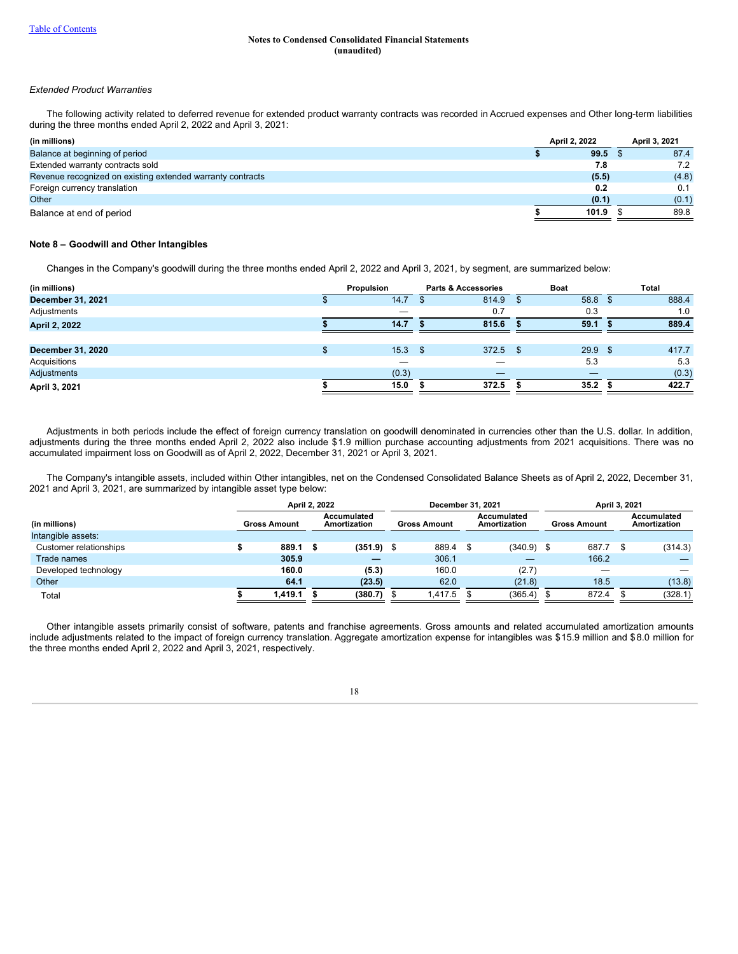#### *Extended Product Warranties*

The following activity related to deferred revenue for extended product warranty contracts was recorded in Accrued expenses and Other long-term liabilities during the three months ended April 2, 2022 and April 3, 2021:

| (in millions)                                              | April 2, 2022 | April 3, 2021 |
|------------------------------------------------------------|---------------|---------------|
| Balance at beginning of period                             | 99.5          | 87.4          |
| Extended warranty contracts sold                           | 7.8           | 7.2           |
| Revenue recognized on existing extended warranty contracts | (5.5)         | (4.8)         |
| Foreign currency translation                               | 0.2           | 0.1           |
| Other                                                      | (0.1)         | (0.1)         |
| Balance at end of period                                   | 101.9         | 89.8          |

#### **Note 8 – Goodwill and Other Intangibles**

Changes in the Company's goodwill during the three months ended April 2, 2022 and April 3, 2021, by segment, are summarized below:

| (in millions)            | Propulsion | <b>Parts &amp; Accessories</b> | <b>Boat</b> | Total         |
|--------------------------|------------|--------------------------------|-------------|---------------|
| <b>December 31, 2021</b> | 14.7       | 814.9                          | 58.8        | 888.4<br>- \$ |
| Adjustments              |            | 0.7                            | 0.3         | 1.0           |
| <b>April 2, 2022</b>     | 14.7       | 815.6                          | 59.1        | 889.4         |
|                          |            |                                |             |               |
| <b>December 31, 2020</b> | $15.3$ \$  | 372.5                          | 29.9        | 417.7<br>- \$ |
| Acquisitions             |            |                                | 5.3         | 5.3           |
| Adjustments              | (0.3)      |                                |             | (0.3)         |
| April 3, 2021            | 15.0       | 372.5                          | 35.2        | 422.7         |

Adjustments in both periods include the effect of foreign currency translation on goodwill denominated in currencies other than the U.S. dollar. In addition, adjustments during the three months ended April 2, 2022 also include \$1.9 million purchase accounting adjustments from 2021 acquisitions. There was no accumulated impairment loss on Goodwill as of April 2, 2022, December 31, 2021 or April 3, 2021.

The Company's intangible assets, included within Other intangibles, net on the Condensed Consolidated Balance Sheets as of April 2, 2022, December 31, 2021 and April 3, 2021, are summarized by intangible asset type below:

|                        |                     | April 2, 2022 | December 31, 2021                         |                     | April 3, 2021                      |  |                     |  |                             |
|------------------------|---------------------|---------------|-------------------------------------------|---------------------|------------------------------------|--|---------------------|--|-----------------------------|
| (in millions)          | <b>Gross Amount</b> |               | <b>Accumulated</b><br><b>Amortization</b> | <b>Gross Amount</b> | Accumulated<br><b>Amortization</b> |  | <b>Gross Amount</b> |  | Accumulated<br>Amortization |
| Intangible assets:     |                     |               |                                           |                     |                                    |  |                     |  |                             |
| Customer relationships | 889.1 \$            |               | $(351.9)$ \$                              | 889.4               | $(340.9)$ \$                       |  | 687.7               |  | (314.3)                     |
| Trade names            | 305.9               |               |                                           | 306.1               |                                    |  | 166.2               |  |                             |
| Developed technology   | 160.0               |               | (5.3)                                     | 160.0               | (2.7)                              |  |                     |  |                             |
| Other                  | 64.1                |               | (23.5)                                    | 62.0                | (21.8)                             |  | 18.5                |  | (13.8)                      |
| Total                  | 1.419.1             |               | (380.7)                                   | 1.417.5             | (365.4)                            |  | 872.4               |  | (328.1)                     |

Other intangible assets primarily consist of software, patents and franchise agreements. Gross amounts and related accumulated amortization amounts include adjustments related to the impact of foreign currency translation. Aggregate amortization expense for intangibles was \$15.9 million and \$8.0 million for the three months ended April 2, 2022 and April 3, 2021, respectively.

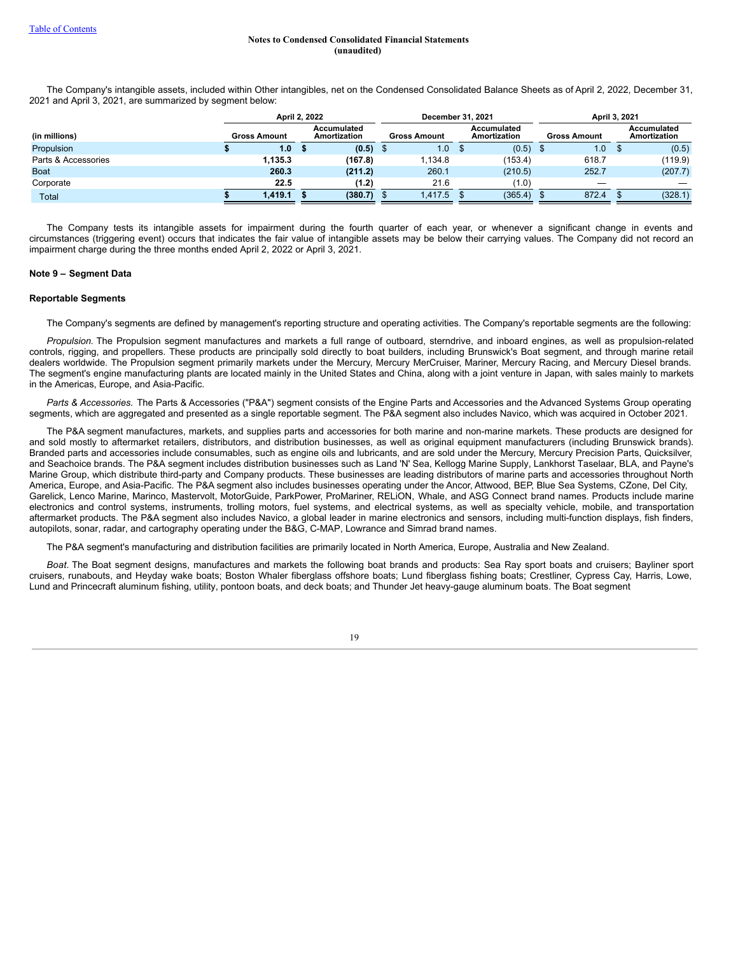The Company's intangible assets, included within Other intangibles, net on the Condensed Consolidated Balance Sheets as of April 2, 2022, December 31, 2021 and April 3, 2021, are summarized by segment below:

|                     | April 2, 2022       |                                    | December 31, 2021   |                             | April 3, 2021 |                     |      |                             |  |
|---------------------|---------------------|------------------------------------|---------------------|-----------------------------|---------------|---------------------|------|-----------------------------|--|
| (in millions)       | <b>Gross Amount</b> | Accumulated<br><b>Amortization</b> | <b>Gross Amount</b> | Accumulated<br>Amortization |               | <b>Gross Amount</b> |      | Accumulated<br>Amortization |  |
| Propulsion          | 1.0                 | (0.5)                              | 1.0                 | (0.5)                       |               | 1.0                 | - പാ | (0.5)                       |  |
| Parts & Accessories | 1,135.3             | (167.8)                            | .134.8              | (153.4)                     |               | 618.7               |      | (119.9)                     |  |
| <b>Boat</b>         | 260.3               | (211.2)                            | 260.1               | (210.5)                     |               | 252.7               |      | (207.7)                     |  |
| Corporate           | 22.5                | (1.2)                              | 21.6                | (1.0)                       |               | _                   |      |                             |  |
| Total               | 1,419.1             | (380.7)                            | 1.417.5             | (365.4)                     |               | 872.4               |      | (328.1)                     |  |

The Company tests its intangible assets for impairment during the fourth quarter of each year, or whenever a significant change in events and circumstances (triggering event) occurs that indicates the fair value of intangible assets may be below their carrying values. The Company did not record an impairment charge during the three months ended April 2, 2022 or April 3, 2021.

#### **Note 9 – Segment Data**

#### **Reportable Segments**

The Company's segments are defined by management's reporting structure and operating activities. The Company's reportable segments are the following:

*Propulsion*. The Propulsion segment manufactures and markets a full range of outboard, sterndrive, and inboard engines, as well as propulsion-related controls, rigging, and propellers. These products are principally sold directly to boat builders, including Brunswick's Boat segment, and through marine retail dealers worldwide. The Propulsion segment primarily markets under the Mercury, Mercury MerCruiser, Mariner, Mercury Racing, and Mercury Diesel brands. The segment's engine manufacturing plants are located mainly in the United States and China, along with a joint venture in Japan, with sales mainly to markets in the Americas, Europe, and Asia-Pacific.

*Parts & Accessories.* The Parts & Accessories ("P&A") segment consists of the Engine Parts and Accessories and the Advanced Systems Group operating segments, which are aggregated and presented as a single reportable segment. The P&A segment also includes Navico, which was acquired in October 2021.

The P&A segment manufactures, markets, and supplies parts and accessories for both marine and non-marine markets. These products are designed for and sold mostly to aftermarket retailers, distributors, and distribution businesses, as well as original equipment manufacturers (including Brunswick brands). Branded parts and accessories include consumables, such as engine oils and lubricants, and are sold under the Mercury, Mercury Precision Parts, Quicksilver, and Seachoice brands. The P&A segment includes distribution businesses such as Land 'N' Sea, Kellogg Marine Supply, Lankhorst Taselaar, BLA, and Payne's Marine Group, which distribute third-party and Company products. These businesses are leading distributors of marine parts and accessories throughout North America, Europe, and Asia-Pacific. The P&A segment also includes businesses operating under the Ancor, Attwood, BEP, Blue Sea Systems, CZone, Del City, Garelick, Lenco Marine, Marinco, Mastervolt, MotorGuide, ParkPower, ProMariner, RELiON, Whale, and ASG Connect brand names. Products include marine electronics and control systems, instruments, trolling motors, fuel systems, and electrical systems, as well as specialty vehicle, mobile, and transportation aftermarket products. The P&A segment also includes Navico, a global leader in marine electronics and sensors, including multi-function displays, fish finders, autopilots, sonar, radar, and cartography operating under the B&G, C-MAP, Lowrance and Simrad brand names.

The P&A segment's manufacturing and distribution facilities are primarily located in North America, Europe, Australia and New Zealand.

*Boat.* The Boat segment designs, manufactures and markets the following boat brands and products: Sea Ray sport boats and cruisers; Bayliner sport cruisers, runabouts, and Heyday wake boats; Boston Whaler fiberglass offshore boats; Lund fiberglass fishing boats; Crestliner, Cypress Cay, Harris, Lowe, Lund and Princecraft aluminum fishing, utility, pontoon boats, and deck boats; and Thunder Jet heavy-gauge aluminum boats. The Boat segment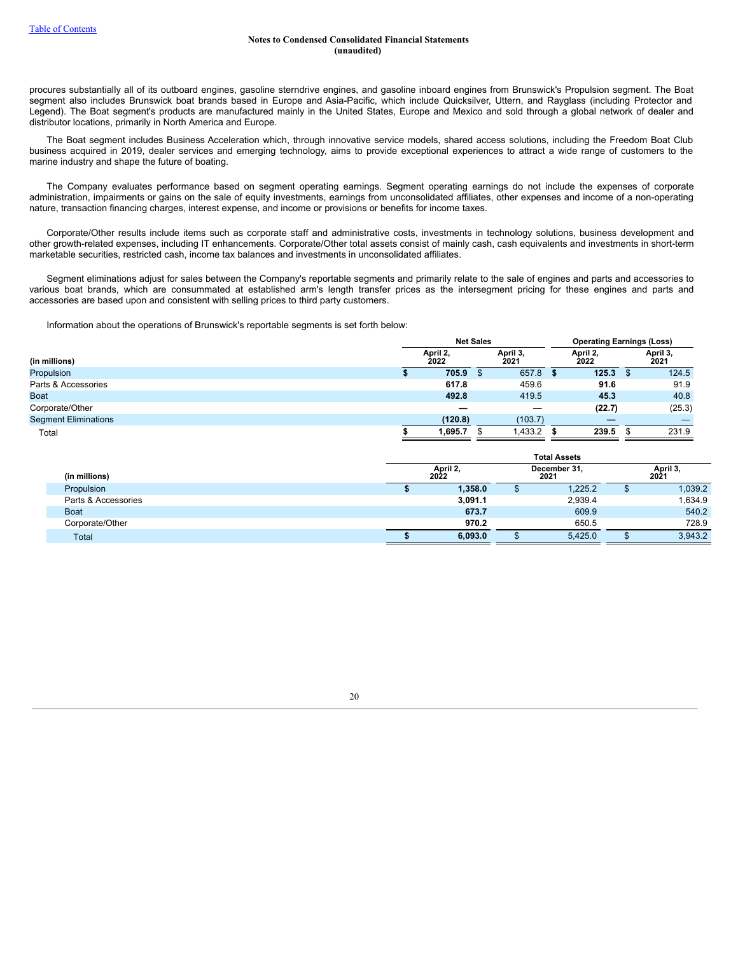procures substantially all of its outboard engines, gasoline sterndrive engines, and gasoline inboard engines from Brunswick's Propulsion segment. The Boat segment also includes Brunswick boat brands based in Europe and Asia-Pacific, which include Quicksilver, Uttern, and Rayglass (including Protector and Legend). The Boat segment's products are manufactured mainly in the United States, Europe and Mexico and sold through a global network of dealer and distributor locations, primarily in North America and Europe.

The Boat segment includes Business Acceleration which, through innovative service models, shared access solutions, including the Freedom Boat Club business acquired in 2019, dealer services and emerging technology, aims to provide exceptional experiences to attract a wide range of customers to the marine industry and shape the future of boating.

The Company evaluates performance based on segment operating earnings. Segment operating earnings do not include the expenses of corporate administration, impairments or gains on the sale of equity investments, earnings from unconsolidated affiliates, other expenses and income of a non-operating nature, transaction financing charges, interest expense, and income or provisions or benefits for income taxes.

Corporate/Other results include items such as corporate staff and administrative costs, investments in technology solutions, business development and other growth-related expenses, including IT enhancements. Corporate/Other total assets consist of mainly cash, cash equivalents and investments in short-term marketable securities, restricted cash, income tax balances and investments in unconsolidated affiliates.

Segment eliminations adjust for sales between the Company's reportable segments and primarily relate to the sale of engines and parts and accessories to various boat brands, which are consummated at established arm's length transfer prices as the intersegment pricing for these engines and parts and accessories are based upon and consistent with selling prices to third party customers.

Information about the operations of Brunswick's reportable segments is set forth below:

|                             | <b>Net Sales</b> |     |                  | <b>Operating Earnings (Loss)</b> |                  |
|-----------------------------|------------------|-----|------------------|----------------------------------|------------------|
| (in millions)               | April 2.<br>2022 |     | April 3,<br>2021 | April 2,<br>2022                 | April 3,<br>2021 |
| Propulsion                  | 705.9            | -56 | 657.8            | 125.3                            | 124.5            |
| Parts & Accessories         | 617.8            |     | 459.6            | 91.6                             | 91.9             |
| <b>Boat</b>                 | 492.8            |     | 419.5            | 45.3                             | 40.8             |
| Corporate/Other             |                  |     |                  | (22.7)                           | (25.3)           |
| <b>Segment Eliminations</b> | (120.8)          |     | (103.7)          |                                  |                  |
| Total                       | 1,695.7          |     | 1,433.2          | 239.5                            | 231.9            |

|                     |                  | <b>Total Assets</b>  |                  |         |  |
|---------------------|------------------|----------------------|------------------|---------|--|
| (in millions)       | April 2,<br>2022 | December 31,<br>2021 | April 3,<br>2021 |         |  |
| Propulsion          | 1,358.0          | 1,225.2              |                  | 1,039.2 |  |
| Parts & Accessories | 3,091.1          | 2,939.4              |                  | 1,634.9 |  |
| <b>Boat</b>         | 673.7            | 609.9                |                  | 540.2   |  |
| Corporate/Other     | 970.2            | 650.5                |                  | 728.9   |  |
| Total               | 6,093.0          | 5,425.0              |                  | 3,943.2 |  |
|                     |                  |                      |                  |         |  |

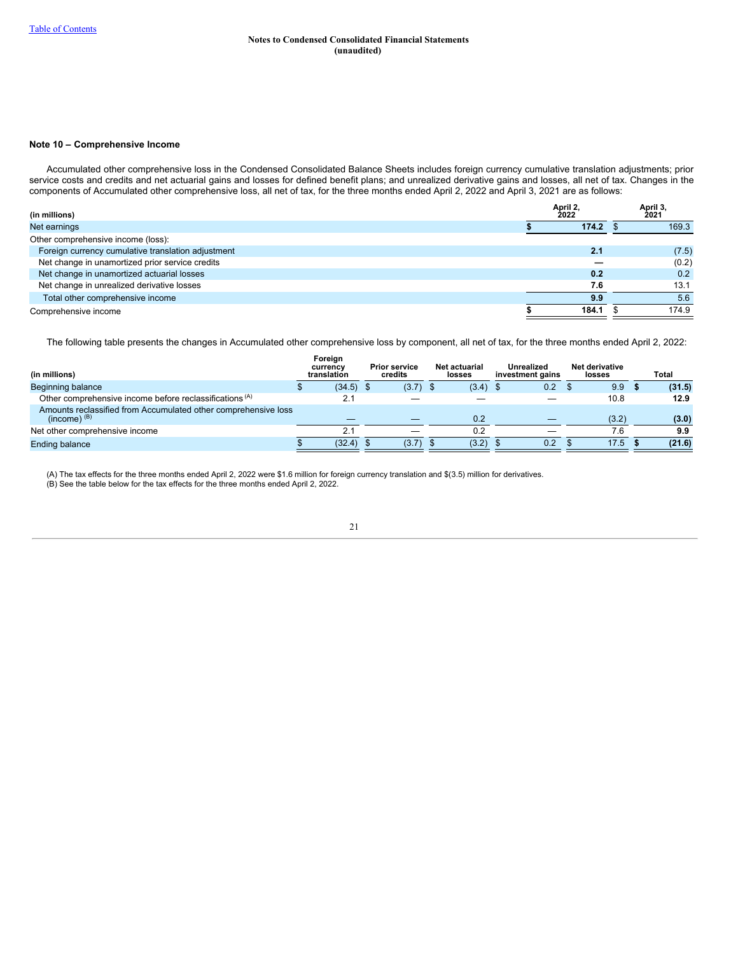## **Note 10 – Comprehensive Income**

Accumulated other comprehensive loss in the Condensed Consolidated Balance Sheets includes foreign currency cumulative translation adjustments; prior service costs and credits and net actuarial gains and losses for defined benefit plans; and unrealized derivative gains and losses, all net of tax. Changes in the components of Accumulated other comprehensive loss, all net of tax, for the three months ended April 2, 2022 and April 3, 2021 are as follows:

| (in millions)                                      | April 2 | April 3,<br>2021 |
|----------------------------------------------------|---------|------------------|
| Net earnings                                       | 174.2   | 169.3            |
| Other comprehensive income (loss):                 |         |                  |
| Foreign currency cumulative translation adjustment | 2.1     | (7.5)            |
| Net change in unamortized prior service credits    |         | (0.2)            |
| Net change in unamortized actuarial losses         | 0.2     | 0.2              |
| Net change in unrealized derivative losses         | 7.6     | 13.1             |
| Total other comprehensive income                   | 9.9     | 5.6              |
| Comprehensive income                               | 184.1   | 174.9            |

The following table presents the changes in Accumulated other comprehensive loss by component, all net of tax, for the three months ended April 2, 2022:

| (in millions)                                                                                            | Foreign<br>currency<br>translation | <b>Prior service</b><br>credits | Net actuarial<br>losses | Unrealized<br>investment gains | <b>Net derivative</b><br>losses | Total  |
|----------------------------------------------------------------------------------------------------------|------------------------------------|---------------------------------|-------------------------|--------------------------------|---------------------------------|--------|
| Beginning balance                                                                                        | $(34.5)$ \$                        | (3.7)                           | $(3.4)$ \$              | 0.2                            | 9.9                             | (31.5) |
| Other comprehensive income before reclassifications (A)                                                  |                                    |                                 |                         |                                | 10.8                            | 12.9   |
| Amounts reclassified from Accumulated other comprehensive loss<br>$(income)$ <sup><math>(B)</math></sup> |                                    |                                 | 0.2                     |                                | (3.2)                           | (3.0)  |
| Net other comprehensive income                                                                           | 2.1                                |                                 | 0.2                     |                                | 7.6                             | 9.9    |
| <b>Ending balance</b>                                                                                    | (32.4)                             | (3.7)                           | (3.2)                   | 0.2                            | 17.5                            | (21.6) |

(A) The tax effects for the three months ended April 2, 2022 were \$1.6 million for foreign currency translation and \$(3.5) million for derivatives. (B) See the table below for the tax effects for the three months ended April 2, 2022.

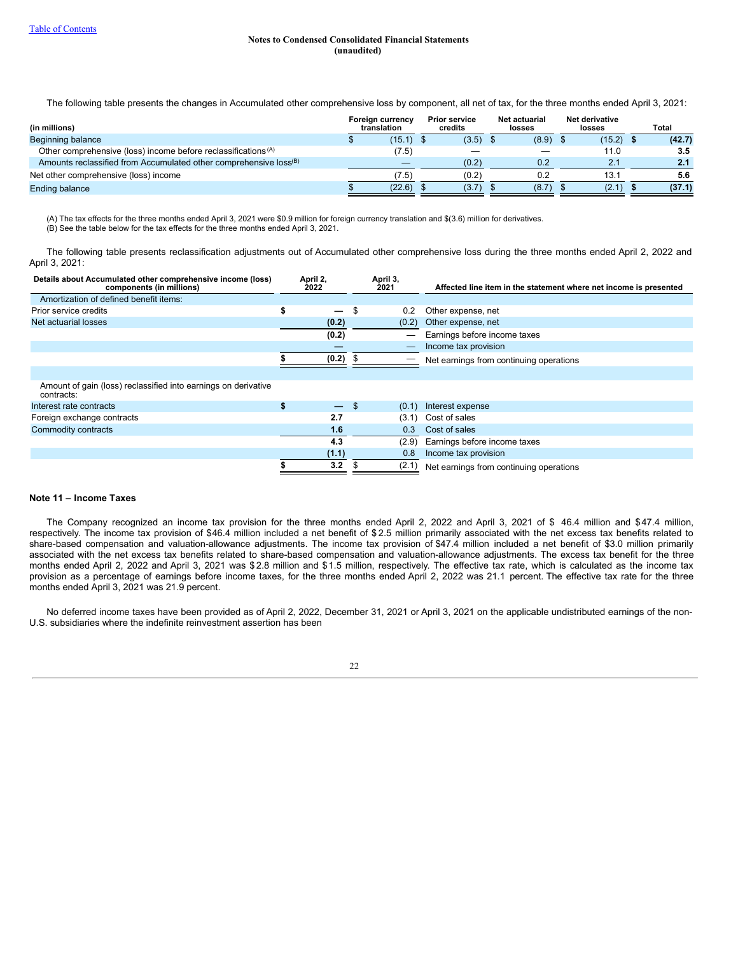The following table presents the changes in Accumulated other comprehensive loss by component, all net of tax, for the three months ended April 3, 2021:

| (in millions)                                                                 | Foreign currency<br>translation |        | <b>Prior service</b><br>credits | Net actuarial<br>losses | Net derivative<br>losses | Total  |
|-------------------------------------------------------------------------------|---------------------------------|--------|---------------------------------|-------------------------|--------------------------|--------|
| Beginning balance                                                             |                                 | (15.1) | (3.5)                           | (8.9)                   | $(15.2)$ \$              | (42.7) |
| Other comprehensive (loss) income before reclassifications (A)                |                                 | (7.5)  |                                 |                         | 11.0                     | 3.5    |
| Amounts reclassified from Accumulated other comprehensive loss <sup>(B)</sup> |                                 |        | (0.2)                           | 0.2                     | 2.1                      | 2.1    |
| Net other comprehensive (loss) income                                         |                                 | (7.5)  | (0.2)                           | 0.2                     | 13.1                     | 5.6    |
| <b>Ending balance</b>                                                         |                                 | (22.6) | (3.7)                           | (8.7)                   | (2.1)                    | (37.1) |

(A) The tax effects for the three months ended April 3, 2021 were \$0.9 million for foreign currency translation and \$(3.6) million for derivatives.

(B) See the table below for the tax effects for the three months ended April 3, 2021.

The following table presents reclassification adjustments out of Accumulated other comprehensive loss during the three months ended April 2, 2022 and April 3, 2021:

| Details about Accumulated other comprehensive income (loss)<br>components (in millions) | April 2,<br>2022               |     | April 3,<br>2021 | Affected line item in the statement where net income is presented |
|-----------------------------------------------------------------------------------------|--------------------------------|-----|------------------|-------------------------------------------------------------------|
| Amortization of defined benefit items:                                                  |                                |     |                  |                                                                   |
| Prior service credits                                                                   | \$                             | \$  | 0.2              | Other expense, net                                                |
| Net actuarial losses                                                                    | (0.2)                          |     | (0.2)            | Other expense, net                                                |
|                                                                                         | (0.2)                          |     |                  | Earnings before income taxes                                      |
|                                                                                         |                                |     |                  | Income tax provision                                              |
|                                                                                         | (0.2)                          |     |                  | Net earnings from continuing operations                           |
|                                                                                         |                                |     |                  |                                                                   |
| Amount of gain (loss) reclassified into earnings on derivative<br>contracts:            |                                |     |                  |                                                                   |
| Interest rate contracts                                                                 | \$<br>$\overline{\phantom{a}}$ | -\$ | (0.1)            | Interest expense                                                  |
| Foreign exchange contracts                                                              | 2.7                            |     | (3.1)            | Cost of sales                                                     |
| Commodity contracts                                                                     | 1.6                            |     | 0.3              | Cost of sales                                                     |
|                                                                                         | 4.3                            |     | (2.9)            | Earnings before income taxes                                      |
|                                                                                         | (1.1)                          |     | 0.8              | Income tax provision                                              |
|                                                                                         | 3.2                            |     | (2.1)            | Net earnings from continuing operations                           |

#### **Note 11 – Income Taxes**

The Company recognized an income tax provision for the three months ended April 2, 2022 and April 3, 2021 of \$ 46.4 million and \$47.4 million, respectively. The income tax provision of \$46.4 million included a net benefit of \$ 2.5 million primarily associated with the net excess tax benefits related to share-based compensation and valuation-allowance adjustments. The income tax provision of \$47.4 million included a net benefit of \$3.0 million primarily associated with the net excess tax benefits related to share-based compensation and valuation-allowance adjustments. The excess tax benefit for the three months ended April 2, 2022 and April 3, 2021 was \$2.8 million and \$1.5 million, respectively. The effective tax rate, which is calculated as the income tax provision as a percentage of earnings before income taxes, for the three months ended April 2, 2022 was 21.1 percent. The effective tax rate for the three months ended April 3, 2021 was 21.9 percent.

No deferred income taxes have been provided as of April 2, 2022, December 31, 2021 or April 3, 2021 on the applicable undistributed earnings of the non-U.S. subsidiaries where the indefinite reinvestment assertion has been

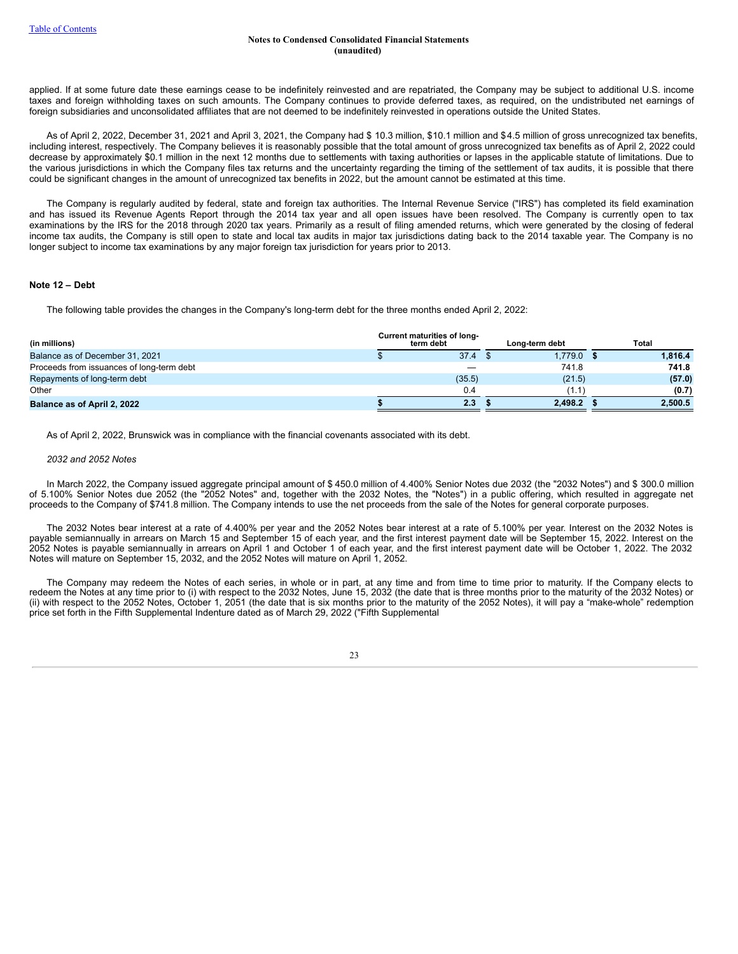applied. If at some future date these earnings cease to be indefinitely reinvested and are repatriated, the Company may be subject to additional U.S. income taxes and foreign withholding taxes on such amounts. The Company continues to provide deferred taxes, as required, on the undistributed net earnings of foreign subsidiaries and unconsolidated affiliates that are not deemed to be indefinitely reinvested in operations outside the United States.

As of April 2, 2022, December 31, 2021 and April 3, 2021, the Company had \$ 10.3 million, \$10.1 million and \$4.5 million of gross unrecognized tax benefits, including interest, respectively. The Company believes it is reasonably possible that the total amount of gross unrecognized tax benefits as of April 2, 2022 could decrease by approximately \$0.1 million in the next 12 months due to settlements with taxing authorities or lapses in the applicable statute of limitations. Due to the various jurisdictions in which the Company files tax returns and the uncertainty regarding the timing of the settlement of tax audits, it is possible that there could be significant changes in the amount of unrecognized tax benefits in 2022, but the amount cannot be estimated at this time.

The Company is regularly audited by federal, state and foreign tax authorities. The Internal Revenue Service ("IRS") has completed its field examination and has issued its Revenue Agents Report through the 2014 tax year and all open issues have been resolved. The Company is currently open to tax examinations by the IRS for the 2018 through 2020 tax years. Primarily as a result of filing amended returns, which were generated by the closing of federal income tax audits, the Company is still open to state and local tax audits in major tax jurisdictions dating back to the 2014 taxable year. The Company is no longer subject to income tax examinations by any major foreign tax jurisdiction for years prior to 2013.

#### **Note 12 – Debt**

The following table provides the changes in the Company's long-term debt for the three months ended April 2, 2022:

| (in millions)                             | <b>Current maturities of long-</b><br>term debt | Long-term debt | Total   |
|-------------------------------------------|-------------------------------------------------|----------------|---------|
| Balance as of December 31, 2021           | $37.4$ \$                                       | $1.779.0$ \$   | 1,816.4 |
| Proceeds from issuances of long-term debt |                                                 | 741.8          | 741.8   |
| Repayments of long-term debt              | (35.5)                                          | (21.5)         | (57.0)  |
| Other                                     | 0.4                                             | (1.1)          | (0.7)   |
| Balance as of April 2, 2022               | 2.3                                             | 2,498.2        | 2,500.5 |

As of April 2, 2022, Brunswick was in compliance with the financial covenants associated with its debt.

#### *2032 and 2052 Notes*

In March 2022, the Company issued aggregate principal amount of \$ 450.0 million of 4.400% Senior Notes due 2032 (the "2032 Notes") and \$ 300.0 million of 5.100% Senior Notes due 2052 (the "2052 Notes" and, together with the 2032 Notes, the "Notes") in a public offering, which resulted in aggregate net proceeds to the Company of \$741.8 million. The Company intends to use the net proceeds from the sale of the Notes for general corporate purposes.

The 2032 Notes bear interest at a rate of 4.400% per year and the 2052 Notes bear interest at a rate of 5.100% per year. Interest on the 2032 Notes is payable semiannually in arrears on March 15 and September 15 of each year, and the first interest payment date will be September 15, 2022. Interest on the 2052 Notes is payable semiannually in arrears on April 1 and October 1 of each year, and the first interest payment date will be October 1, 2022. The 2032 Notes will mature on September 15, 2032, and the 2052 Notes will mature on April 1, 2052.

The Company may redeem the Notes of each series, in whole or in part, at any time and from time to time prior to maturity. If the Company elects to redeem the Notes at any time prior to (i) with respect to the 2032 Notes, June 15, 2032 (the date that is three months prior to the maturity of the 2032 Notes) or (ii) with respect to the 2052 Notes, October 1, 2051 (the date that is six months prior to the maturity of the 2052 Notes), it will pay a "make-whole" redemption price set forth in the Fifth Supplemental Indenture dated as of March 29, 2022 ("Fifth Supplemental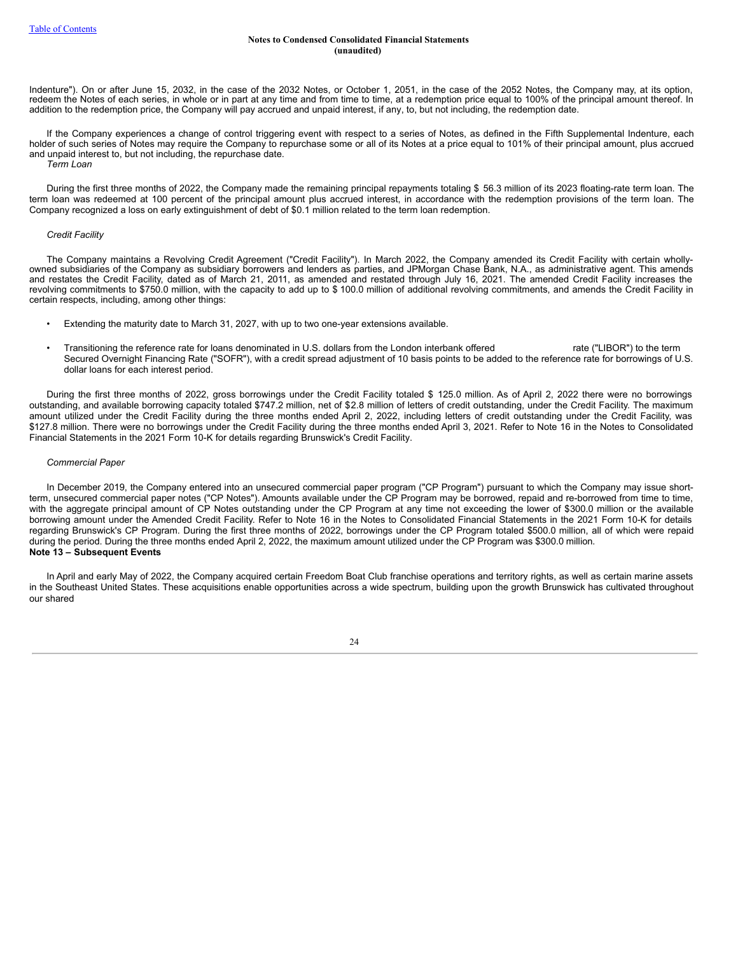Indenture"). On or after June 15, 2032, in the case of the 2032 Notes, or October 1, 2051, in the case of the 2052 Notes, the Company may, at its option, redeem the Notes of each series, in whole or in part at any time and from time to time, at a redemption price equal to 100% of the principal amount thereof. In addition to the redemption price, the Company will pay accrued and unpaid interest, if any, to, but not including, the redemption date.

If the Company experiences a change of control triggering event with respect to a series of Notes, as defined in the Fifth Supplemental Indenture, each holder of such series of Notes may require the Company to repurchase some or all of its Notes at a price equal to 101% of their principal amount, plus accrued and unpaid interest to, but not including, the repurchase date. *Term Loan*

During the first three months of 2022, the Company made the remaining principal repayments totaling \$ 56.3 million of its 2023 floating-rate term loan. The term loan was redeemed at 100 percent of the principal amount plus accrued interest, in accordance with the redemption provisions of the term loan. The Company recognized a loss on early extinguishment of debt of \$0.1 million related to the term loan redemption.

#### *Credit Facility*

The Company maintains a Revolving Credit Agreement ("Credit Facility"). In March 2022, the Company amended its Credit Facility with certain whollyowned subsidiaries of the Company as subsidiary borrowers and lenders as parties, and JPMorgan Chase Bank, N.A., as administrative agent. This amends and restates the Credit Facility, dated as of March 21, 2011, as amended and restated through July 16, 2021. The amended Credit Facility increases the revolving commitments to \$750.0 million, with the capacity to add up to \$ 100.0 million of additional revolving commitments, and amends the Credit Facility in certain respects, including, among other things:

- Extending the maturity date to March 31, 2027, with up to two one-year extensions available.
- Transitioning the reference rate for loans denominated in U.S. dollars from the London interbank offered rate ("LIBOR") to the term Secured Overnight Financing Rate ("SOFR"), with a credit spread adjustment of 10 basis points to be added to the reference rate for borrowings of U.S. dollar loans for each interest period.

During the first three months of 2022, gross borrowings under the Credit Facility totaled \$ 125.0 million. As of April 2, 2022 there were no borrowings outstanding, and available borrowing capacity totaled \$747.2 million, net of \$2.8 million of letters of credit outstanding, under the Credit Facility. The maximum amount utilized under the Credit Facility during the three months ended April 2, 2022, including letters of credit outstanding under the Credit Facility, was \$127.8 million. There were no borrowings under the Credit Facility during the three months ended April 3, 2021. Refer to Note 16 in the Notes to Consolidated Financial Statements in the 2021 Form 10-K for details regarding Brunswick's Credit Facility.

#### *Commercial Paper*

In December 2019, the Company entered into an unsecured commercial paper program ("CP Program") pursuant to which the Company may issue shortterm, unsecured commercial paper notes ("CP Notes"). Amounts available under the CP Program may be borrowed, repaid and re-borrowed from time to time, with the aggregate principal amount of CP Notes outstanding under the CP Program at any time not exceeding the lower of \$300.0 million or the available borrowing amount under the Amended Credit Facility. Refer to Note 16 in the Notes to Consolidated Financial Statements in the 2021 Form 10-K for details regarding Brunswick's CP Program. During the first three months of 2022, borrowings under the CP Program totaled \$500.0 million, all of which were repaid during the period. During the three months ended April 2, 2022, the maximum amount utilized under the CP Program was \$300.0 million. **Note 13 – Subsequent Events**

In April and early May of 2022, the Company acquired certain Freedom Boat Club franchise operations and territory rights, as well as certain marine assets in the Southeast United States. These acquisitions enable opportunities across a wide spectrum, building upon the growth Brunswick has cultivated throughout our shared

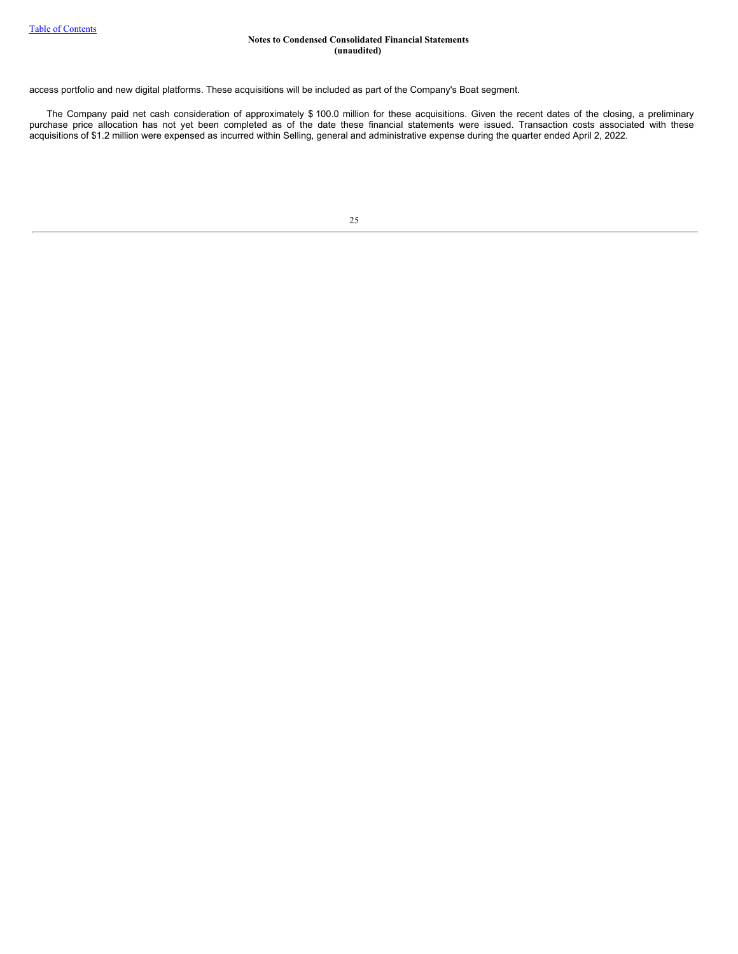access portfolio and new digital platforms. These acquisitions will be included as part of the Company's Boat segment.

<span id="page-24-0"></span>The Company paid net cash consideration of approximately \$ 100.0 million for these acquisitions. Given the recent dates of the closing, a preliminary purchase price allocation has not yet been completed as of the date these financial statements were issued. Transaction costs associated with these acquisitions of \$1.2 million were expensed as incurred within Selling, general and administrative expense during the quarter ended April 2, 2022.

| ۰.<br>۰.<br>× |
|---------------|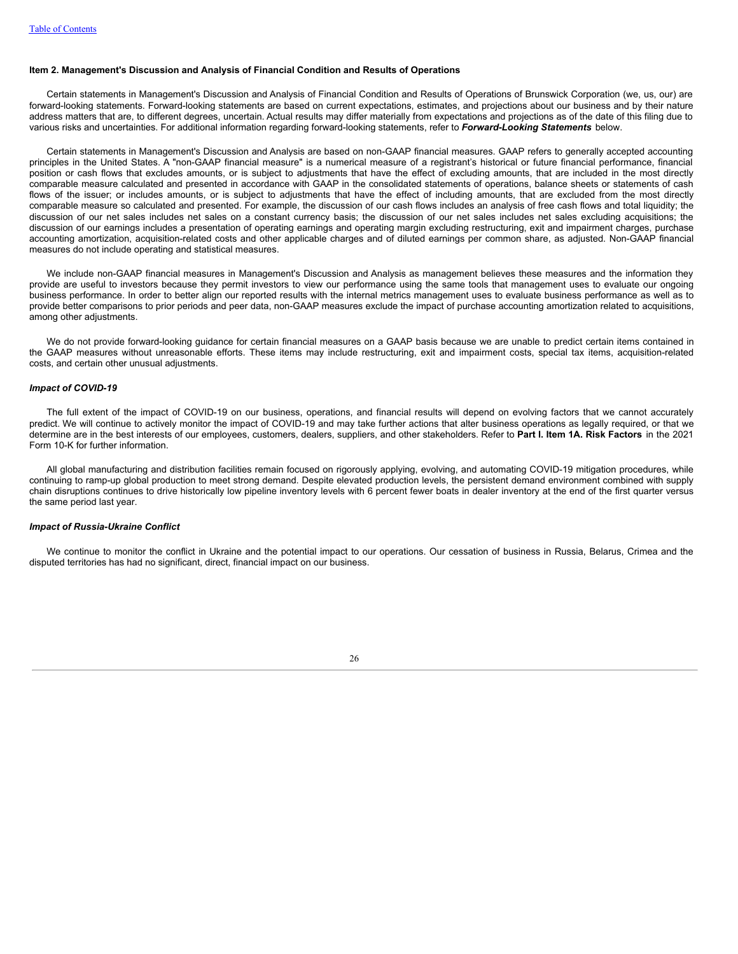#### **Item 2. Management's Discussion and Analysis of Financial Condition and Results of Operations**

Certain statements in Management's Discussion and Analysis of Financial Condition and Results of Operations of Brunswick Corporation (we, us, our) are forward-looking statements. Forward-looking statements are based on current expectations, estimates, and projections about our business and by their nature address matters that are, to different degrees, uncertain. Actual results may differ materially from expectations and projections as of the date of this filing due to various risks and uncertainties. For additional information regarding forward-looking statements, refer to *Forward-Looking Statements* below.

Certain statements in Management's Discussion and Analysis are based on non-GAAP financial measures. GAAP refers to generally accepted accounting principles in the United States. A "non-GAAP financial measure" is a numerical measure of a registrant's historical or future financial performance, financial position or cash flows that excludes amounts, or is subject to adjustments that have the effect of excluding amounts, that are included in the most directly comparable measure calculated and presented in accordance with GAAP in the consolidated statements of operations, balance sheets or statements of cash flows of the issuer; or includes amounts, or is subject to adjustments that have the effect of including amounts, that are excluded from the most directly comparable measure so calculated and presented. For example, the discussion of our cash flows includes an analysis of free cash flows and total liquidity; the discussion of our net sales includes net sales on a constant currency basis; the discussion of our net sales includes net sales excluding acquisitions; the discussion of our earnings includes a presentation of operating earnings and operating margin excluding restructuring, exit and impairment charges, purchase accounting amortization, acquisition-related costs and other applicable charges and of diluted earnings per common share, as adjusted. Non-GAAP financial measures do not include operating and statistical measures.

We include non-GAAP financial measures in Management's Discussion and Analysis as management believes these measures and the information they provide are useful to investors because they permit investors to view our performance using the same tools that management uses to evaluate our ongoing business performance. In order to better align our reported results with the internal metrics management uses to evaluate business performance as well as to provide better comparisons to prior periods and peer data, non-GAAP measures exclude the impact of purchase accounting amortization related to acquisitions, among other adjustments.

We do not provide forward-looking guidance for certain financial measures on a GAAP basis because we are unable to predict certain items contained in the GAAP measures without unreasonable efforts. These items may include restructuring, exit and impairment costs, special tax items, acquisition-related costs, and certain other unusual adjustments.

#### *Impact of COVID-19*

The full extent of the impact of COVID-19 on our business, operations, and financial results will depend on evolving factors that we cannot accurately predict. We will continue to actively monitor the impact of COVID-19 and may take further actions that alter business operations as legally required, or that we determine are in the best interests of our employees, customers, dealers, suppliers, and other stakeholders. Refer to **Part I. Item 1A. Risk Factors** in the 2021 Form 10-K for further information.

All global manufacturing and distribution facilities remain focused on rigorously applying, evolving, and automating COVID-19 mitigation procedures, while continuing to ramp-up global production to meet strong demand. Despite elevated production levels, the persistent demand environment combined with supply chain disruptions continues to drive historically low pipeline inventory levels with 6 percent fewer boats in dealer inventory at the end of the first quarter versus the same period last year.

#### *Impact of Russia-Ukraine Conflict*

We continue to monitor the conflict in Ukraine and the potential impact to our operations. Our cessation of business in Russia, Belarus, Crimea and the disputed territories has had no significant, direct, financial impact on our business.

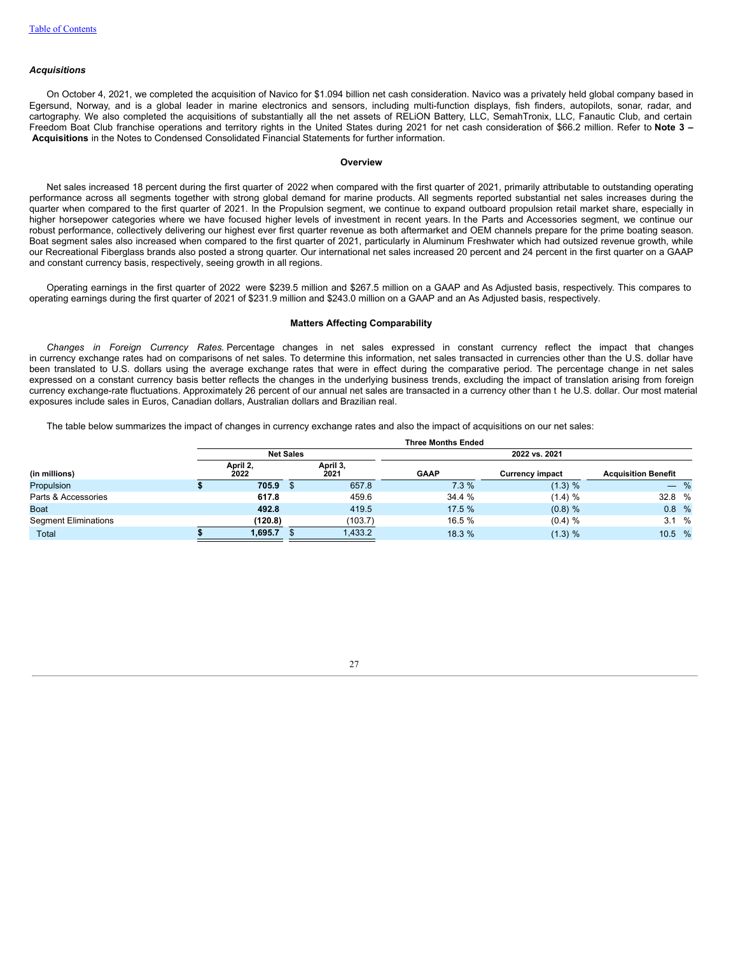#### *Acquisitions*

On October 4, 2021, we completed the acquisition of Navico for \$1.094 billion net cash consideration. Navico was a privately held global company based in Egersund, Norway, and is a global leader in marine electronics and sensors, including multi-function displays, fish finders, autopilots, sonar, radar, and cartography. We also completed the acquisitions of substantially all the net assets of RELiON Battery, LLC, SemahTronix, LLC, Fanautic Club, and certain Freedom Boat Club franchise operations and territory rights in the United States during 2021 for net cash consideration of \$66.2 million. Refer to **Note 3 – Acquisitions** in the Notes to Condensed Consolidated Financial Statements for further information.

#### **Overview**

Net sales increased 18 percent during the first quarter of 2022 when compared with the first quarter of 2021, primarily attributable to outstanding operating performance across all segments together with strong global demand for marine products. All segments reported substantial net sales increases during the quarter when compared to the first quarter of 2021. In the Propulsion segment, we continue to expand outboard propulsion retail market share, especially in higher horsepower categories where we have focused higher levels of investment in recent years. In the Parts and Accessories segment, we continue our robust performance, collectively delivering our highest ever first quarter revenue as both aftermarket and OEM channels prepare for the prime boating season. Boat segment sales also increased when compared to the first quarter of 2021, particularly in Aluminum Freshwater which had outsized revenue growth, while our Recreational Fiberglass brands also posted a strong quarter. Our international net sales increased 20 percent and 24 percent in the first quarter on a GAAP and constant currency basis, respectively, seeing growth in all regions.

Operating earnings in the first quarter of 2022 were \$239.5 million and \$267.5 million on a GAAP and As Adjusted basis, respectively. This compares to operating earnings during the first quarter of 2021 of \$231.9 million and \$243.0 million on a GAAP and an As Adjusted basis, respectively.

#### **Matters Affecting Comparability**

*Changes in Foreign Currency Rates.* Percentage changes in net sales expressed in constant currency reflect the impact that changes in currency exchange rates had on comparisons of net sales. To determine this information, net sales transacted in currencies other than the U.S. dollar have been translated to U.S. dollars using the average exchange rates that were in effect during the comparative period. The percentage change in net sales expressed on a constant currency basis better reflects the changes in the underlying business trends, excluding the impact of translation arising from foreign currency exchange-rate fluctuations. Approximately 26 percent of our annual net sales are transacted in a currency other than t he U.S. dollar. Our most material exposures include sales in Euros, Canadian dollars, Australian dollars and Brazilian real.

The table below summarizes the impact of changes in currency exchange rates and also the impact of acquisitions on our net sales:

|                             | <b>Three Months Ended</b> |                  |                         |               |                        |                            |  |  |  |  |  |  |  |  |
|-----------------------------|---------------------------|------------------|-------------------------|---------------|------------------------|----------------------------|--|--|--|--|--|--|--|--|
|                             |                           | <b>Net Sales</b> |                         | 2022 vs. 2021 |                        |                            |  |  |  |  |  |  |  |  |
| (in millions)               | April 2,<br>2022          |                  | April 3,<br><b>2021</b> | <b>GAAP</b>   | <b>Currency impact</b> | <b>Acquisition Benefit</b> |  |  |  |  |  |  |  |  |
| Propulsion                  | 705.9                     | - 35             | 657.8                   | 7.3%          | (1.3) %                | — %                        |  |  |  |  |  |  |  |  |
| Parts & Accessories         | 617.8                     |                  | 459.6                   | 34.4 %        | (1.4) %                | 32.8 %                     |  |  |  |  |  |  |  |  |
| <b>Boat</b>                 | 492.8                     |                  | 419.5                   | 17.5 %        | $(0.8)$ %              | 0.8%                       |  |  |  |  |  |  |  |  |
| <b>Segment Eliminations</b> | (120.8)                   |                  | (103.7)                 | 16.5 %        | $(0.4) \%$             | 3.1%                       |  |  |  |  |  |  |  |  |
| <b>Total</b>                | 1,695.7                   |                  | 1,433.2                 | 18.3 %        | (1.3) %                | 10.5 %                     |  |  |  |  |  |  |  |  |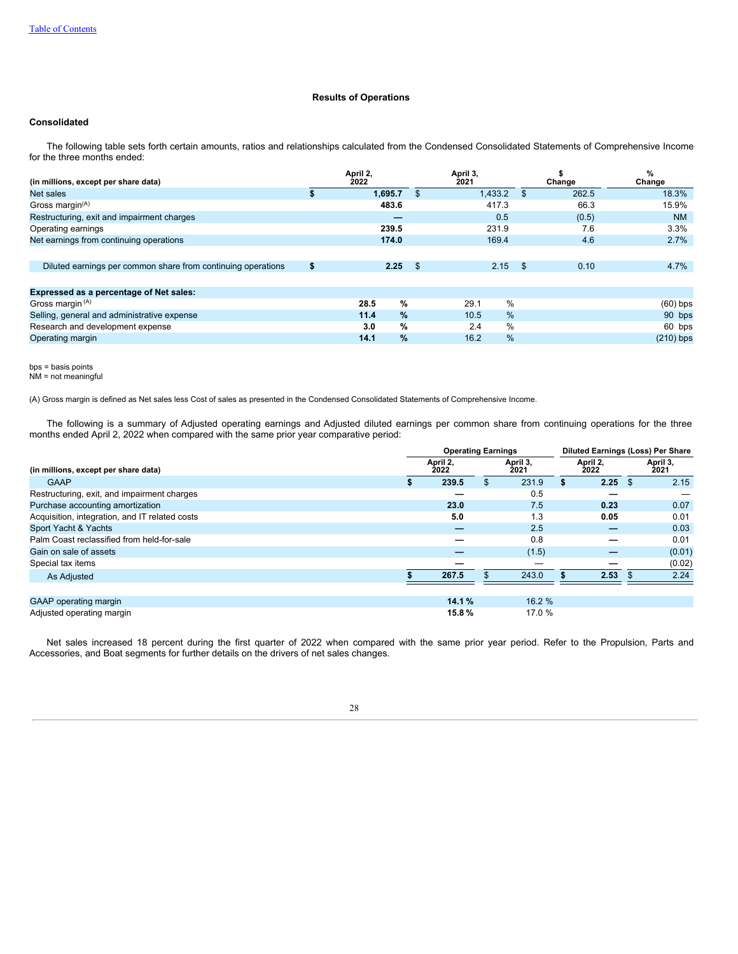### **Results of Operations**

## **Consolidated**

The following table sets forth certain amounts, ratios and relationships calculated from the Condensed Consolidated Statements of Comprehensive Income for the three months ended:

| (in millions, except per share data)                         |      | April 2,<br>2022      |     | April 3,<br>2021 |     | Change | %<br>Change |
|--------------------------------------------------------------|------|-----------------------|-----|------------------|-----|--------|-------------|
| Net sales                                                    |      | 1,695.7               | \$  | 1,433.2          | -\$ | 262.5  | 18.3%       |
| Gross margin <sup>(A)</sup>                                  |      | 483.6                 |     | 417.3            |     | 66.3   | 15.9%       |
| Restructuring, exit and impairment charges                   |      |                       |     | 0.5              |     | (0.5)  | <b>NM</b>   |
| Operating earnings                                           |      | 239.5                 |     | 231.9            |     | 7.6    | 3.3%        |
| Net earnings from continuing operations                      |      | 174.0                 |     | 169.4            |     | 4.6    | 2.7%        |
|                                                              |      |                       |     |                  |     |        |             |
| Diluted earnings per common share from continuing operations | - 55 | 2.25                  | -\$ | 2.15             | -\$ | 0.10   | 4.7%        |
|                                                              |      |                       |     |                  |     |        |             |
| Expressed as a percentage of Net sales:                      |      |                       |     |                  |     |        |             |
| Gross margin <sup>(A)</sup>                                  |      | $\frac{9}{6}$<br>28.5 |     | %<br>29.1        |     |        | $(60)$ bps  |
| Selling, general and administrative expense                  |      | $\%$<br>11.4          |     | %<br>10.5        |     |        | 90 bps      |
| Research and development expense                             |      | %<br>3.0              |     | %<br>2.4         |     |        | 60 bps      |
| Operating margin                                             |      | %<br>14.1             |     | %<br>16.2        |     |        | $(210)$ bps |

bps = basis points

NM = not meaningful

(A) Gross margin is defined as Net sales less Cost of sales as presented in the Condensed Consolidated Statements of Comprehensive Income.

The following is a summary of Adjusted operating earnings and Adjusted diluted earnings per common share from continuing operations for the three months ended April 2, 2022 when compared with the same prior year comparative period:

|                                                | <b>Operating Earnings</b> | <b>Diluted Earnings (Loss) Per Share</b> |  |                  |    |                  |
|------------------------------------------------|---------------------------|------------------------------------------|--|------------------|----|------------------|
| (in millions, except per share data)           | April 2,<br>2022          | April 3,<br>2021                         |  | April 2,<br>2022 |    | April 3,<br>2021 |
| <b>GAAP</b>                                    | 239.5                     | 231.9                                    |  | 2.25             | \$ | 2.15             |
| Restructuring, exit, and impairment charges    |                           | 0.5                                      |  |                  |    |                  |
| Purchase accounting amortization               | 23.0                      | 7.5                                      |  | 0.23             |    | 0.07             |
| Acquisition, integration, and IT related costs | 5.0                       | 1.3                                      |  | 0.05             |    | 0.01             |
| Sport Yacht & Yachts                           |                           | 2.5                                      |  |                  |    | 0.03             |
| Palm Coast reclassified from held-for-sale     |                           | 0.8                                      |  |                  |    | 0.01             |
| Gain on sale of assets                         |                           | (1.5)                                    |  |                  |    | (0.01)           |
| Special tax items                              |                           |                                          |  |                  |    | (0.02)           |
| As Adjusted                                    | 267.5                     | 243.0                                    |  | 2.53             |    | 2.24             |
|                                                |                           |                                          |  |                  |    |                  |
| <b>GAAP</b> operating margin                   | 14.1%                     | 16.2 %                                   |  |                  |    |                  |
| Adjusted operating margin                      | 15.8%                     | 17.0 %                                   |  |                  |    |                  |

Net sales increased 18 percent during the first quarter of 2022 when compared with the same prior year period. Refer to the Propulsion, Parts and Accessories, and Boat segments for further details on the drivers of net sales changes.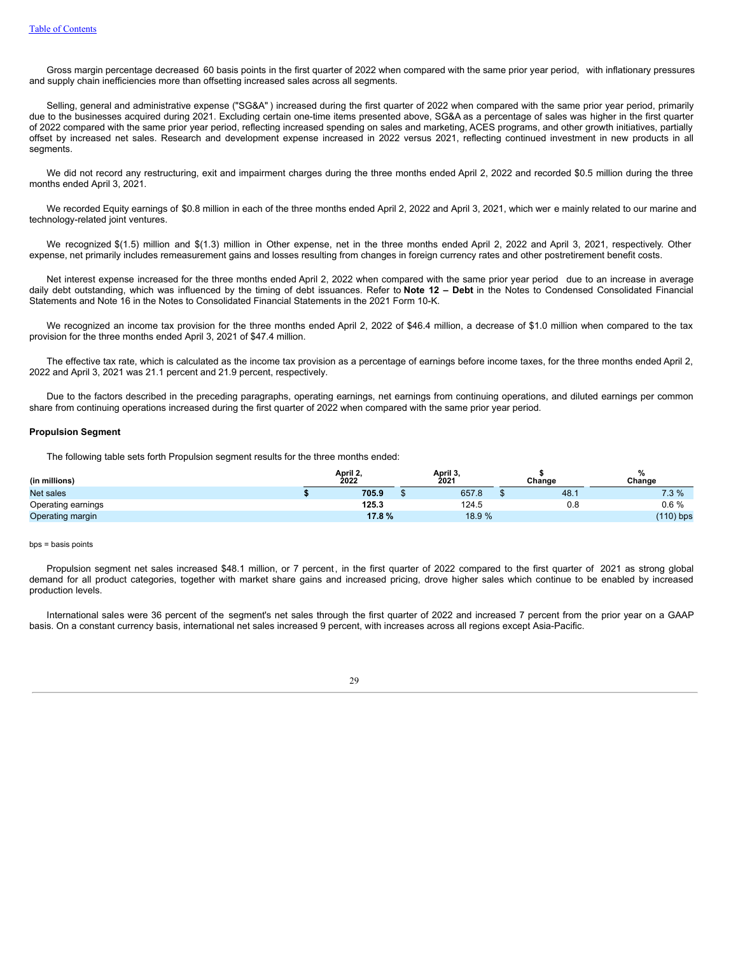Gross margin percentage decreased 60 basis points in the first quarter of 2022 when compared with the same prior year period, with inflationary pressures and supply chain inefficiencies more than offsetting increased sales across all segments.

Selling, general and administrative expense ("SG&A") increased during the first quarter of 2022 when compared with the same prior year period, primarily due to the businesses acquired during 2021. Excluding certain one-time items presented above, SG&A as a percentage of sales was higher in the first quarter of 2022 compared with the same prior year period, reflecting increased spending on sales and marketing, ACES programs, and other growth initiatives, partially offset by increased net sales. Research and development expense increased in 2022 versus 2021, reflecting continued investment in new products in all segments.

We did not record any restructuring, exit and impairment charges during the three months ended April 2, 2022 and recorded \$0.5 million during the three months ended April 3, 2021.

We recorded Equity earnings of \$0.8 million in each of the three months ended April 2, 2022 and April 3, 2021, which wer e mainly related to our marine and technology-related joint ventures.

We recognized \$(1.5) million and \$(1.3) million in Other expense, net in the three months ended April 2, 2022 and April 3, 2021, respectively. Other expense, net primarily includes remeasurement gains and losses resulting from changes in foreign currency rates and other postretirement benefit costs.

Net interest expense increased for the three months ended April 2, 2022 when compared with the same prior year period due to an increase in average daily debt outstanding, which was influenced by the timing of debt issuances. Refer to **Note 12 – Debt** in the Notes to Condensed Consolidated Financial Statements and Note 16 in the Notes to Consolidated Financial Statements in the 2021 Form 10-K.

We recognized an income tax provision for the three months ended April 2, 2022 of \$46.4 million, a decrease of \$1.0 million when compared to the tax provision for the three months ended April 3, 2021 of \$47.4 million.

The effective tax rate, which is calculated as the income tax provision as a percentage of earnings before income taxes, for the three months ended April 2, 2022 and April 3, 2021 was 21.1 percent and 21.9 percent, respectively.

Due to the factors described in the preceding paragraphs, operating earnings, net earnings from continuing operations, and diluted earnings per common share from continuing operations increased during the first quarter of 2022 when compared with the same prior year period.

#### **Propulsion Segment**

The following table sets forth Propulsion segment results for the three months ended:

| (in millions)      | April 2.<br>2022 | April 3,<br>2021 | Change | Change      |
|--------------------|------------------|------------------|--------|-------------|
| <b>Net sales</b>   | 705.9            | 657.8            | 48.    | 7.3%        |
| Operating earnings | 125.3            | 124.5            | 0.8    | 0.6%        |
| Operating margin   | 17.8%            | 18.9 %           |        | $(110)$ bps |

#### bps = basis points

Propulsion segment net sales increased \$48.1 million, or 7 percent, in the first quarter of 2022 compared to the first quarter of 2021 as strong global demand for all product categories, together with market share gains and increased pricing, drove higher sales which continue to be enabled by increased production levels.

International sales were 36 percent of the segment's net sales through the first quarter of 2022 and increased 7 percent from the prior year on a GAAP basis. On a constant currency basis, international net sales increased 9 percent, with increases across all regions except Asia-Pacific.

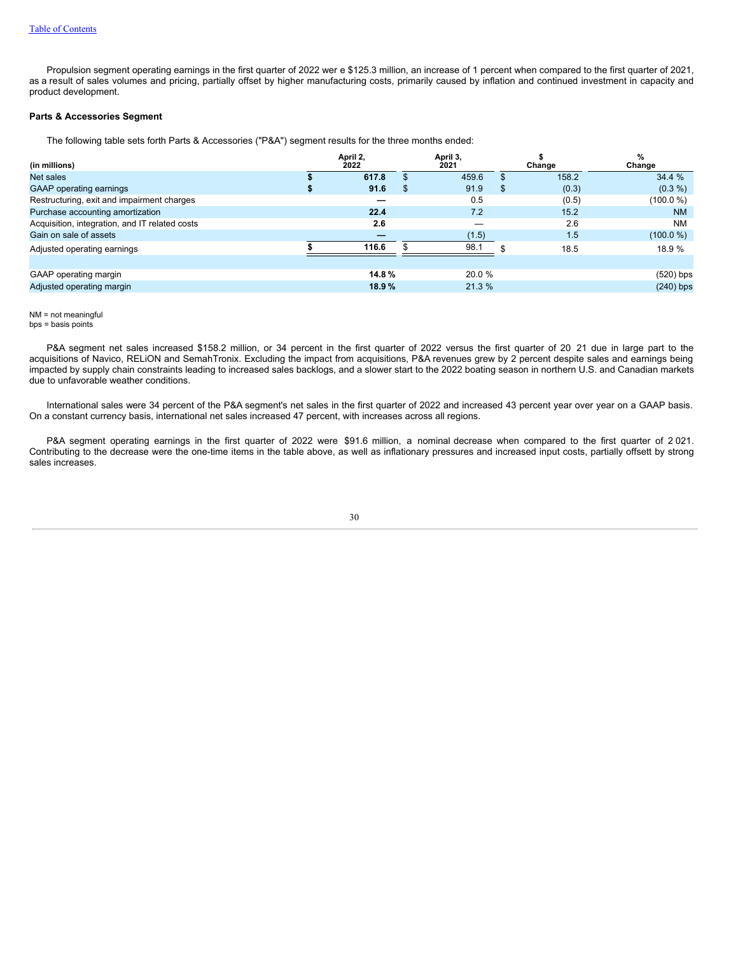Propulsion segment operating earnings in the first quarter of 2022 wer e \$125.3 million, an increase of 1 percent when compared to the first quarter of 2021, as a result of sales volumes and pricing, partially offset by higher manufacturing costs, primarily caused by inflation and continued investment in capacity and product development.

#### **Parts & Accessories Segment**

The following table sets forth Parts & Accessories ("P&A") segment results for the three months ended:

| (in millions)                                  | April 2,<br>2022 | April 3,<br>2021 |   | Change | %<br>Change |
|------------------------------------------------|------------------|------------------|---|--------|-------------|
| Net sales                                      | 617.8            | 459.6            |   | 158.2  | 34.4 %      |
| <b>GAAP</b> operating earnings                 | 91.6             | \$<br>91.9       | S | (0.3)  | $(0.3\% )$  |
| Restructuring, exit and impairment charges     |                  | 0.5              |   | (0.5)  | (100.0 %)   |
| Purchase accounting amortization               | 22.4             | 7.2              |   | 15.2   | <b>NM</b>   |
| Acquisition, integration, and IT related costs | 2.6              | _                |   | 2.6    | <b>NM</b>   |
| Gain on sale of assets                         |                  | (1.5)            |   | 1.5    | (100.0 %)   |
| Adjusted operating earnings                    | 116.6            | 98.1             |   | 18.5   | 18.9 %      |
|                                                |                  |                  |   |        |             |
| GAAP operating margin                          | 14.8%            | 20.0 %           |   |        | $(520)$ bps |
| Adjusted operating margin                      | 18.9%            | 21.3%            |   |        | $(240)$ bps |

NM = not meaningful bps = basis points

P&A segment net sales increased \$158.2 million, or 34 percent in the first quarter of 2022 versus the first quarter of 20 21 due in large part to the acquisitions of Navico, RELiON and SemahTronix. Excluding the impact from acquisitions, P&A revenues grew by 2 percent despite sales and earnings being impacted by supply chain constraints leading to increased sales backlogs, and a slower start to the 2022 boating season in northern U.S. and Canadian markets due to unfavorable weather conditions.

International sales were 34 percent of the P&A segment's net sales in the first quarter of 2022 and increased 43 percent year over year on a GAAP basis. On a constant currency basis, international net sales increased 47 percent, with increases across all regions.

P&A segment operating earnings in the first quarter of 2022 were \$91.6 million, a nominal decrease when compared to the first quarter of 2 021. Contributing to the decrease were the one-time items in the table above, as well as inflationary pressures and increased input costs, partially offsett by strong sales increases.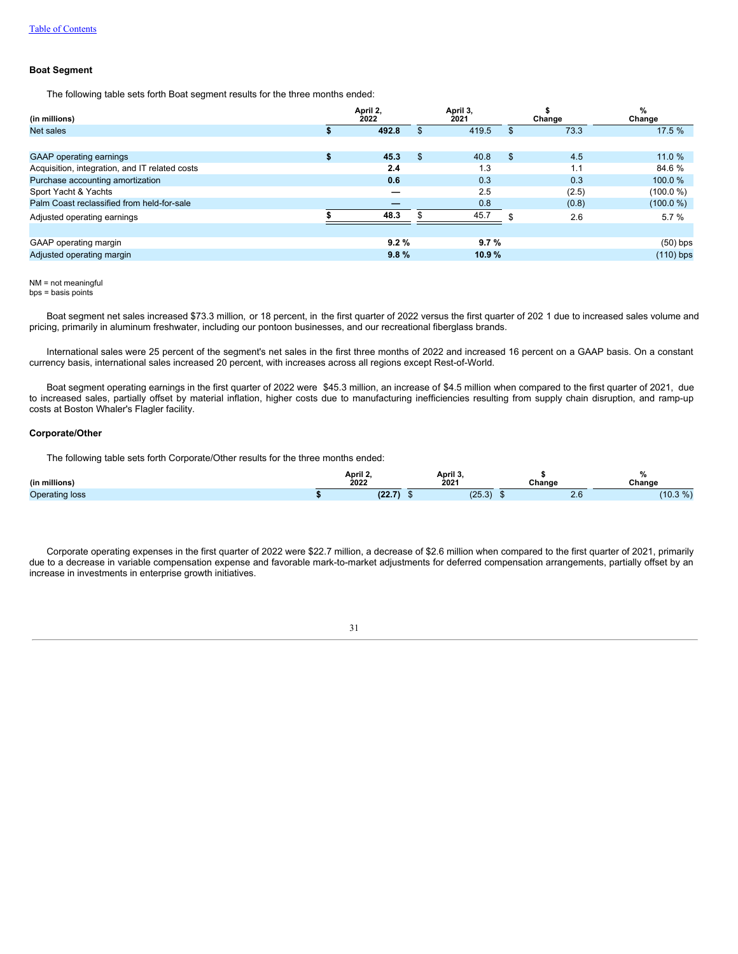#### **Boat Segment**

The following table sets forth Boat segment results for the three months ended:

| (in millions)                                  | April 2,<br>2022 |     | April 3,<br>2021 | Change    | %<br>Change |
|------------------------------------------------|------------------|-----|------------------|-----------|-------------|
| <b>Net sales</b>                               | 492.8            | \$. | 419.5            | 73.3      | 17.5%       |
|                                                |                  |     |                  |           |             |
| <b>GAAP</b> operating earnings                 | 45.3             | \$  | 40.8             | \$<br>4.5 | 11.0%       |
| Acquisition, integration, and IT related costs | 2.4              |     | 1.3              | 1.1       | 84.6 %      |
| Purchase accounting amortization               | 0.6              |     | 0.3              | 0.3       | 100.0%      |
| Sport Yacht & Yachts                           |                  |     | 2.5              | (2.5)     | (100.0 %)   |
| Palm Coast reclassified from held-for-sale     |                  |     | 0.8              | (0.8)     | (100.0 %)   |
| Adjusted operating earnings                    | 48.3             |     | 45.7             | 2.6       | 5.7%        |
|                                                |                  |     |                  |           |             |
| GAAP operating margin                          | 9.2%             |     | 9.7%             |           | $(50)$ bps  |
| Adjusted operating margin                      | 9.8%             |     | 10.9%            |           | $(110)$ bps |

NM = not meaningful

bps = basis points

Boat segment net sales increased \$73.3 million, or 18 percent, in the first quarter of 2022 versus the first quarter of 202 1 due to increased sales volume and pricing, primarily in aluminum freshwater, including our pontoon businesses, and our recreational fiberglass brands.

International sales were 25 percent of the segment's net sales in the first three months of 2022 and increased 16 percent on a GAAP basis. On a constant currency basis, international sales increased 20 percent, with increases across all regions except Rest-of-World.

Boat segment operating earnings in the first quarter of 2022 were \$45.3 million, an increase of \$4.5 million when compared to the first quarter of 2021, due to increased sales, partially offset by material inflation, higher costs due to manufacturing inefficiencies resulting from supply chain disruption, and ramp-up costs at Boston Whaler's Flagler facility.

#### **Corporate/Other**

The following table sets forth Corporate/Other results for the three months ended:

| (in millions)     | April 2.<br>2022 | Apri.<br>2021                    | ∵ิhanɑe | Change                       |
|-------------------|------------------|----------------------------------|---------|------------------------------|
| Operating<br>loss | $100 -$<br>- 777 | $\overline{\phantom{a}}$<br>د.ט∠ | $\sim$  | 0/<br>$^{\prime}10.3$<br>7ο. |

Corporate operating expenses in the first quarter of 2022 were \$22.7 million, a decrease of \$2.6 million when compared to the first quarter of 2021, primarily due to a decrease in variable compensation expense and favorable mark-to-market adjustments for deferred compensation arrangements, partially offset by an increase in investments in enterprise growth initiatives.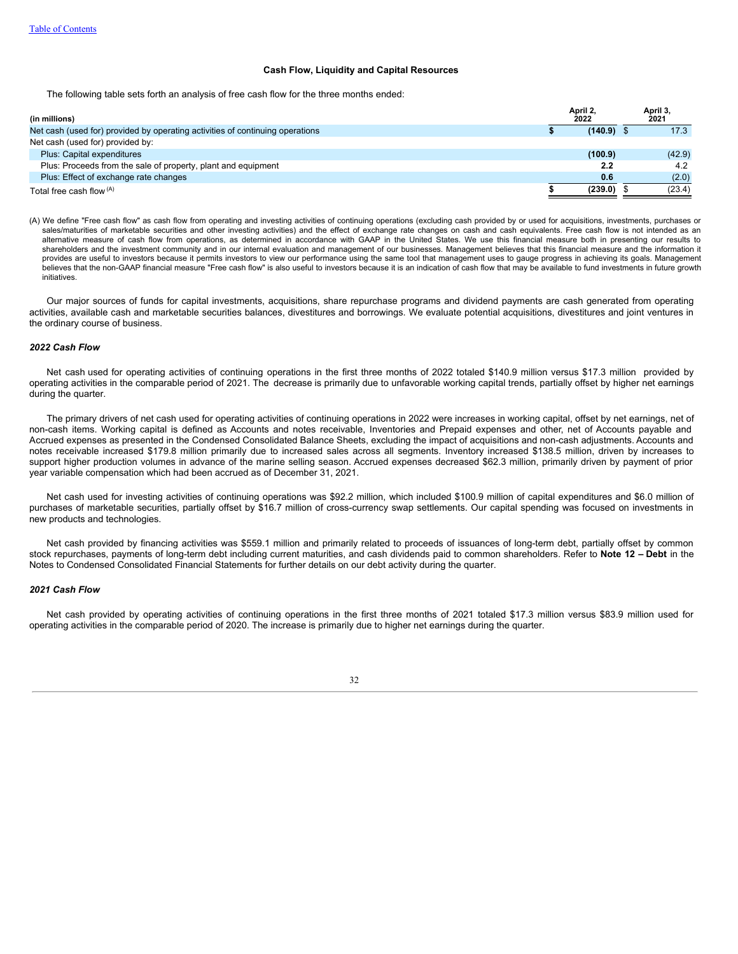#### **Cash Flow, Liquidity and Capital Resources**

The following table sets forth an analysis of free cash flow for the three months ended:

| (in millions)                                                                 | April 2.<br>2022 | April 3<br>2021 |
|-------------------------------------------------------------------------------|------------------|-----------------|
| Net cash (used for) provided by operating activities of continuing operations | (140.9)          | 17.3            |
| Net cash (used for) provided by:                                              |                  |                 |
| Plus: Capital expenditures                                                    | (100.9)          | (42.9)          |
| Plus: Proceeds from the sale of property, plant and equipment                 | 2.2              | 4.2             |
| Plus: Effect of exchange rate changes                                         | 0.6              | (2.0)           |
| Total free cash flow (A)                                                      | (239.0)          | (23.4)          |

(A) We define "Free cash flow" as cash flow from operating and investing activities of continuing operations (excluding cash provided by or used for acquisitions, investments, purchases or sales/maturities of marketable securities and other investing activities) and the effect of exchange rate changes on cash and cash equivalents. Free cash flow is not intended as an alternative measure of cash flow from operations, as determined in accordance with GAAP in the United States. We use this financial measure both in presenting our results to shareholders and the investment community and in our internal evaluation and management of our businesses. Management believes that this financial measure and the information it provides are useful to investors because it permits investors to view our performance using the same tool that management uses to gauge progress in achieving its goals. Management believes that the non-GAAP financial measure "Free cash flow" is also useful to investors because it is an indication of cash flow that may be available to fund investments in future growth initiatives.

Our major sources of funds for capital investments, acquisitions, share repurchase programs and dividend payments are cash generated from operating activities, available cash and marketable securities balances, divestitures and borrowings. We evaluate potential acquisitions, divestitures and joint ventures in the ordinary course of business.

#### *2022 Cash Flow*

Net cash used for operating activities of continuing operations in the first three months of 2022 totaled \$140.9 million versus \$17.3 million provided by operating activities in the comparable period of 2021. The decrease is primarily due to unfavorable working capital trends, partially offset by higher net earnings during the quarter.

The primary drivers of net cash used for operating activities of continuing operations in 2022 were increases in working capital, offset by net earnings, net of non-cash items. Working capital is defined as Accounts and notes receivable, Inventories and Prepaid expenses and other, net of Accounts payable and Accrued expenses as presented in the Condensed Consolidated Balance Sheets, excluding the impact of acquisitions and non-cash adjustments. Accounts and notes receivable increased \$179.8 million primarily due to increased sales across all segments. Inventory increased \$138.5 million, driven by increases to support higher production volumes in advance of the marine selling season. Accrued expenses decreased \$62.3 million, primarily driven by payment of prior year variable compensation which had been accrued as of December 31, 2021.

Net cash used for investing activities of continuing operations was \$92.2 million, which included \$100.9 million of capital expenditures and \$6.0 million of purchases of marketable securities, partially offset by \$16.7 million of cross-currency swap settlements. Our capital spending was focused on investments in new products and technologies.

Net cash provided by financing activities was \$559.1 million and primarily related to proceeds of issuances of long-term debt, partially offset by common stock repurchases, payments of long-term debt including current maturities, and cash dividends paid to common shareholders. Refer to **Note 12 – Debt** in the Notes to Condensed Consolidated Financial Statements for further details on our debt activity during the quarter.

#### *2021 Cash Flow*

Net cash provided by operating activities of continuing operations in the first three months of 2021 totaled \$17.3 million versus \$83.9 million used for operating activities in the comparable period of 2020. The increase is primarily due to higher net earnings during the quarter.

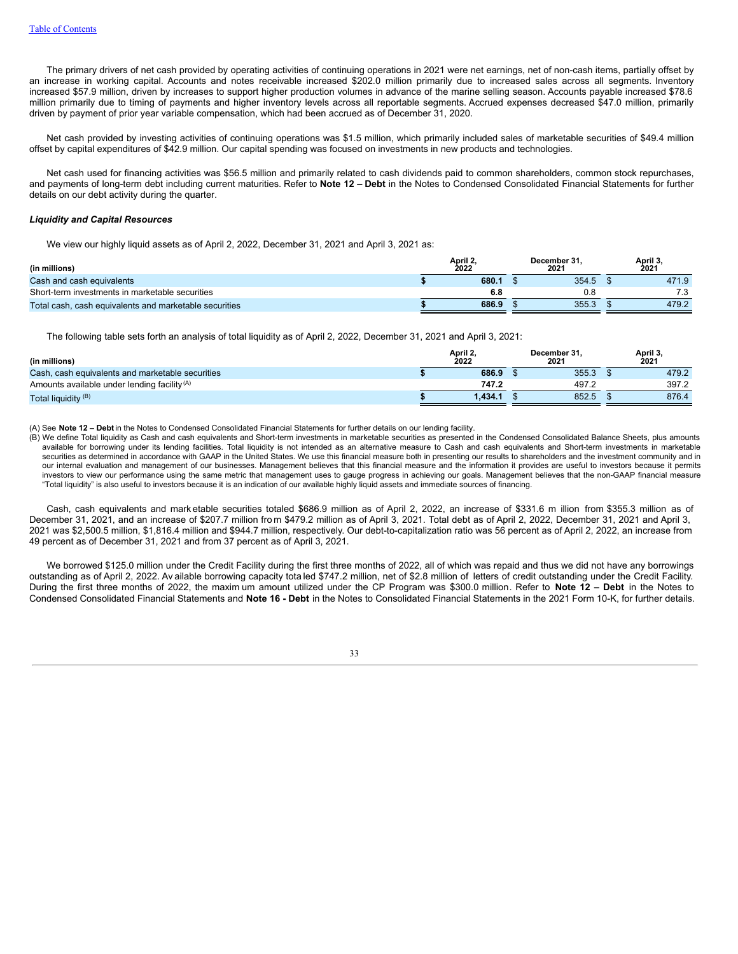The primary drivers of net cash provided by operating activities of continuing operations in 2021 were net earnings, net of non-cash items, partially offset by an increase in working capital. Accounts and notes receivable increased \$202.0 million primarily due to increased sales across all segments. Inventory increased \$57.9 million, driven by increases to support higher production volumes in advance of the marine selling season. Accounts payable increased \$78.6 million primarily due to timing of payments and higher inventory levels across all reportable segments. Accrued expenses decreased \$47.0 million, primarily driven by payment of prior year variable compensation, which had been accrued as of December 31, 2020.

Net cash provided by investing activities of continuing operations was \$1.5 million, which primarily included sales of marketable securities of \$49.4 million offset by capital expenditures of \$42.9 million. Our capital spending was focused on investments in new products and technologies.

Net cash used for financing activities was \$56.5 million and primarily related to cash dividends paid to common shareholders, common stock repurchases, and payments of long-term debt including current maturities. Refer to **Note 12 – Debt** in the Notes to Condensed Consolidated Financial Statements for further details on our debt activity during the quarter.

#### *Liquidity and Capital Resources*

We view our highly liquid assets as of April 2, 2022, December 31, 2021 and April 3, 2021 as:

| (in millions)                                          | April 2.<br>2022 | December 31.<br>2021 | April 3,<br>2021 |
|--------------------------------------------------------|------------------|----------------------|------------------|
| Cash and cash equivalents                              | 680.1            | 354.5                | 471.9            |
| Short-term investments in marketable securities        | 6.8              | 0.8                  | 72               |
| Total cash, cash equivalents and marketable securities | 686.9            | 355.3                | 479.2            |

The following table sets forth an analysis of total liquidity as of April 2, 2022, December 31, 2021 and April 3, 2021:

| (in millions)                                           | April 2,<br>2022 | December 31,<br>2021 | April 3.<br>2021 |
|---------------------------------------------------------|------------------|----------------------|------------------|
| Cash, cash equivalents and marketable securities        | 686.9            | 355.3                | 479.2            |
| Amounts available under lending facility <sup>(A)</sup> | 747.2            | 497.2                | 397.2            |
| Total liquidity <sup>(B)</sup>                          | 1.434.1          | 852.5                | 876.4            |

(A) See **Note 12 – Debt**in the Notes to Condensed Consolidated Financial Statements for further details on our lending facility.

(B) We define Total liquidity as Cash and cash equivalents and Short-term investments in marketable securities as presented in the Condensed Consolidated Balance Sheets, plus amounts available for borrowing under its lending facilities. Total liquidity is not intended as an alternative measure to Cash and cash equivalents and Short-term investments in marketable securities as determined in accordance with GAAP in the United States. We use this financial measure both in presenting our results to shareholders and the investment community and in our internal evaluation and management of our businesses. Management believes that this financial measure and the information it provides are useful to investors because it permits investors to view our performance using the same metric that management uses to gauge progress in achieving our goals. Management believes that the non-GAAP financial measure "Total liquidity" is also useful to investors because it is an indication of our available highly liquid assets and immediate sources of financing.

Cash, cash equivalents and mark etable securities totaled \$686.9 million as of April 2, 2022, an increase of \$331.6 m illion from \$355.3 million as of December 31, 2021, and an increase of \$207.7 million from \$479.2 million as of April 3, 2021. Total debt as of April 2, 2022, December 31, 2021 and April 3, 2021 was \$2,500.5 million, \$1,816.4 million and \$944.7 million, respectively. Our debt-to-capitalization ratio was 56 percent as of April 2, 2022, an increase from 49 percent as of December 31, 2021 and from 37 percent as of April 3, 2021.

We borrowed \$125.0 million under the Credit Facility during the first three months of 2022, all of which was repaid and thus we did not have any borrowings outstanding as of April 2, 2022. Av ailable borrowing capacity tota led \$747.2 million, net of \$2.8 million of letters of credit outstanding under the Credit Facility. During the first three months of 2022, the maxim um amount utilized under the CP Program was \$300.0 million. Refer to **Note 12 – Debt** in the Notes to Condensed Consolidated Financial Statements and **Note 16 - Debt** in the Notes to Consolidated Financial Statements in the 2021 Form 10-K, for further details.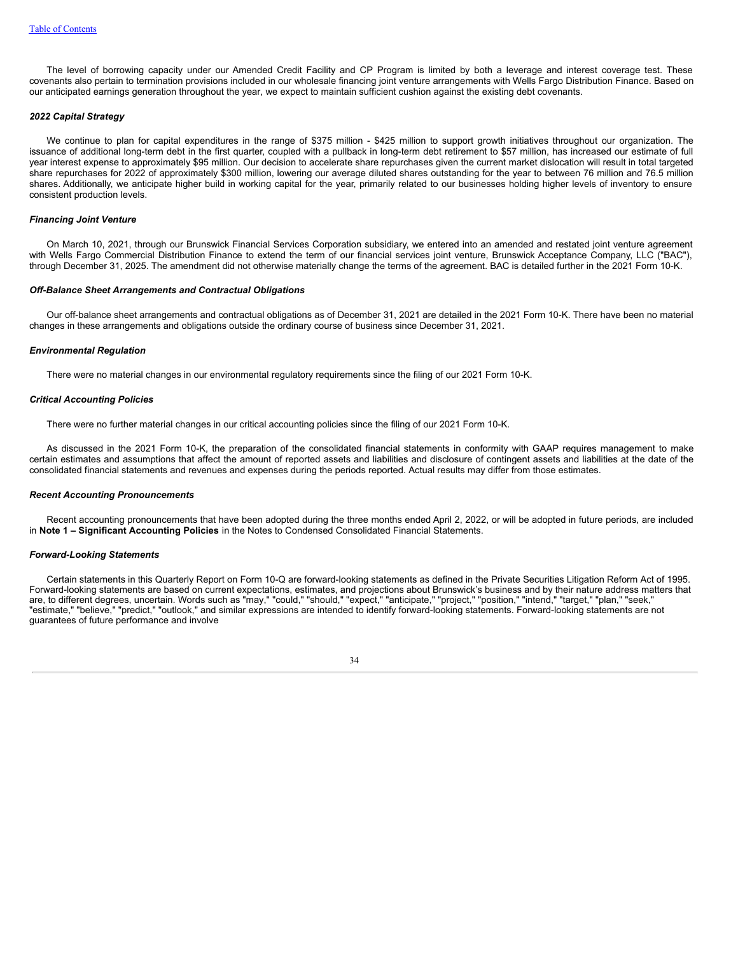The level of borrowing capacity under our Amended Credit Facility and CP Program is limited by both a leverage and interest coverage test. These covenants also pertain to termination provisions included in our wholesale financing joint venture arrangements with Wells Fargo Distribution Finance. Based on our anticipated earnings generation throughout the year, we expect to maintain sufficient cushion against the existing debt covenants.

#### *2022 Capital Strategy*

We continue to plan for capital expenditures in the range of \$375 million - \$425 million to support growth initiatives throughout our organization. The issuance of additional long-term debt in the first quarter, coupled with a pullback in long-term debt retirement to \$57 million, has increased our estimate of full year interest expense to approximately \$95 million. Our decision to accelerate share repurchases given the current market dislocation will result in total targeted share repurchases for 2022 of approximately \$300 million, lowering our average diluted shares outstanding for the year to between 76 million and 76.5 million shares. Additionally, we anticipate higher build in working capital for the year, primarily related to our businesses holding higher levels of inventory to ensure consistent production levels.

#### *Financing Joint Venture*

On March 10, 2021, through our Brunswick Financial Services Corporation subsidiary, we entered into an amended and restated joint venture agreement with Wells Fargo Commercial Distribution Finance to extend the term of our financial services joint venture. Brunswick Acceptance Company, LLC ("BAC"), through December 31, 2025. The amendment did not otherwise materially change the terms of the agreement. BAC is detailed further in the 2021 Form 10-K.

#### *Off-Balance Sheet Arrangements and Contractual Obligations*

Our off-balance sheet arrangements and contractual obligations as of December 31, 2021 are detailed in the 2021 Form 10-K. There have been no material changes in these arrangements and obligations outside the ordinary course of business since December 31, 2021.

#### *Environmental Regulation*

There were no material changes in our environmental regulatory requirements since the filing of our 2021 Form 10-K.

#### *Critical Accounting Policies*

There were no further material changes in our critical accounting policies since the filing of our 2021 Form 10-K.

As discussed in the 2021 Form 10-K, the preparation of the consolidated financial statements in conformity with GAAP requires management to make certain estimates and assumptions that affect the amount of reported assets and liabilities and disclosure of contingent assets and liabilities at the date of the consolidated financial statements and revenues and expenses during the periods reported. Actual results may differ from those estimates.

#### *Recent Accounting Pronouncements*

Recent accounting pronouncements that have been adopted during the three months ended April 2, 2022, or will be adopted in future periods, are included in **Note 1 – Significant Accounting Policies** in the Notes to Condensed Consolidated Financial Statements.

#### *Forward-Looking Statements*

Certain statements in this Quarterly Report on Form 10-Q are forward-looking statements as defined in the Private Securities Litigation Reform Act of 1995. Forward-looking statements are based on current expectations, estimates, and projections about Brunswick's business and by their nature address matters that are, to different degrees, uncertain. Words such as "may," "could," "should," "expect," "anticipate," "project," "position," "intend," "target," "plan," "seek," "estimate," "believe," "predict," "outlook," and similar expressions are intended to identify forward-looking statements. Forward-looking statements are not guarantees of future performance and involve

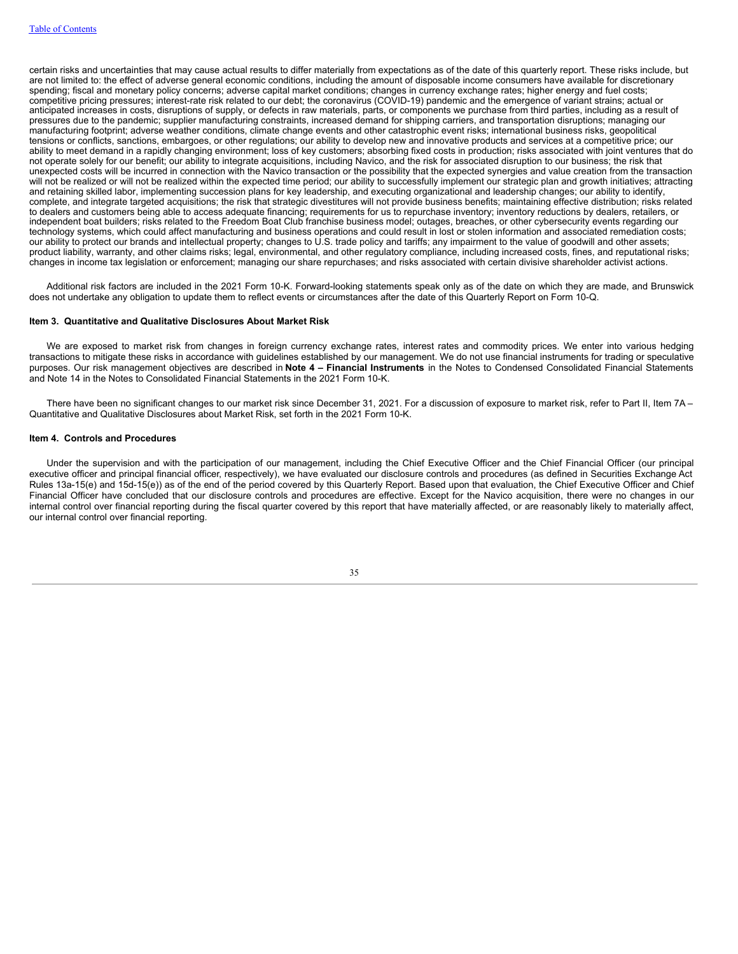certain risks and uncertainties that may cause actual results to differ materially from expectations as of the date of this quarterly report. These risks include, but are not limited to: the effect of adverse general economic conditions, including the amount of disposable income consumers have available for discretionary spending; fiscal and monetary policy concerns; adverse capital market conditions; changes in currency exchange rates; higher energy and fuel costs; competitive pricing pressures; interest-rate risk related to our debt; the coronavirus (COVID-19) pandemic and the emergence of variant strains; actual or anticipated increases in costs, disruptions of supply, or defects in raw materials, parts, or components we purchase from third parties, including as a result of pressures due to the pandemic; supplier manufacturing constraints, increased demand for shipping carriers, and transportation disruptions; managing our manufacturing footprint; adverse weather conditions, climate change events and other catastrophic event risks; international business risks, geopolitical tensions or conflicts, sanctions, embargoes, or other regulations; our ability to develop new and innovative products and services at a competitive price; our ability to meet demand in a rapidly changing environment; loss of key customers; absorbing fixed costs in production; risks associated with joint ventures that do not operate solely for our benefit; our ability to integrate acquisitions, including Navico, and the risk for associated disruption to our business; the risk that unexpected costs will be incurred in connection with the Navico transaction or the possibility that the expected synergies and value creation from the transaction will not be realized or will not be realized within the expected time period; our ability to successfully implement our strategic plan and growth initiatives; attracting and retaining skilled labor, implementing succession plans for key leadership, and executing organizational and leadership changes; our ability to identify, complete, and integrate targeted acquisitions; the risk that strategic divestitures will not provide business benefits; maintaining effective distribution; risks related to dealers and customers being able to access adequate financing; requirements for us to repurchase inventory; inventory reductions by dealers, retailers, or independent boat builders; risks related to the Freedom Boat Club franchise business model; outages, breaches, or other cybersecurity events regarding our technology systems, which could affect manufacturing and business operations and could result in lost or stolen information and associated remediation costs; our ability to protect our brands and intellectual property; changes to U.S. trade policy and tariffs; any impairment to the value of goodwill and other assets; product liability, warranty, and other claims risks; legal, environmental, and other regulatory compliance, including increased costs, fines, and reputational risks; changes in income tax legislation or enforcement; managing our share repurchases; and risks associated with certain divisive shareholder activist actions.

Additional risk factors are included in the 2021 Form 10-K. Forward-looking statements speak only as of the date on which they are made, and Brunswick does not undertake any obligation to update them to reflect events or circumstances after the date of this Quarterly Report on Form 10-Q.

#### <span id="page-34-0"></span>**Item 3. Quantitative and Qualitative Disclosures About Market Risk**

We are exposed to market risk from changes in foreign currency exchange rates, interest rates and commodity prices. We enter into various hedging transactions to mitigate these risks in accordance with guidelines established by our management. We do not use financial instruments for trading or speculative purposes. Our risk management objectives are described in **Note 4 – Financial Instruments** in the Notes to Condensed Consolidated Financial Statements and Note 14 in the Notes to Consolidated Financial Statements in the 2021 Form 10-K.

There have been no significant changes to our market risk since December 31, 2021. For a discussion of exposure to market risk, refer to Part II, Item 7A – Quantitative and Qualitative Disclosures about Market Risk, set forth in the 2021 Form 10-K.

#### <span id="page-34-1"></span>**Item 4. Controls and Procedures**

Under the supervision and with the participation of our management, including the Chief Executive Officer and the Chief Financial Officer (our principal executive officer and principal financial officer, respectively), we have evaluated our disclosure controls and procedures (as defined in Securities Exchange Act Rules 13a-15(e) and 15d-15(e)) as of the end of the period covered by this Quarterly Report. Based upon that evaluation, the Chief Executive Officer and Chief Financial Officer have concluded that our disclosure controls and procedures are effective. Except for the Navico acquisition, there were no changes in our internal control over financial reporting during the fiscal quarter covered by this report that have materially affected, or are reasonably likely to materially affect, our internal control over financial reporting.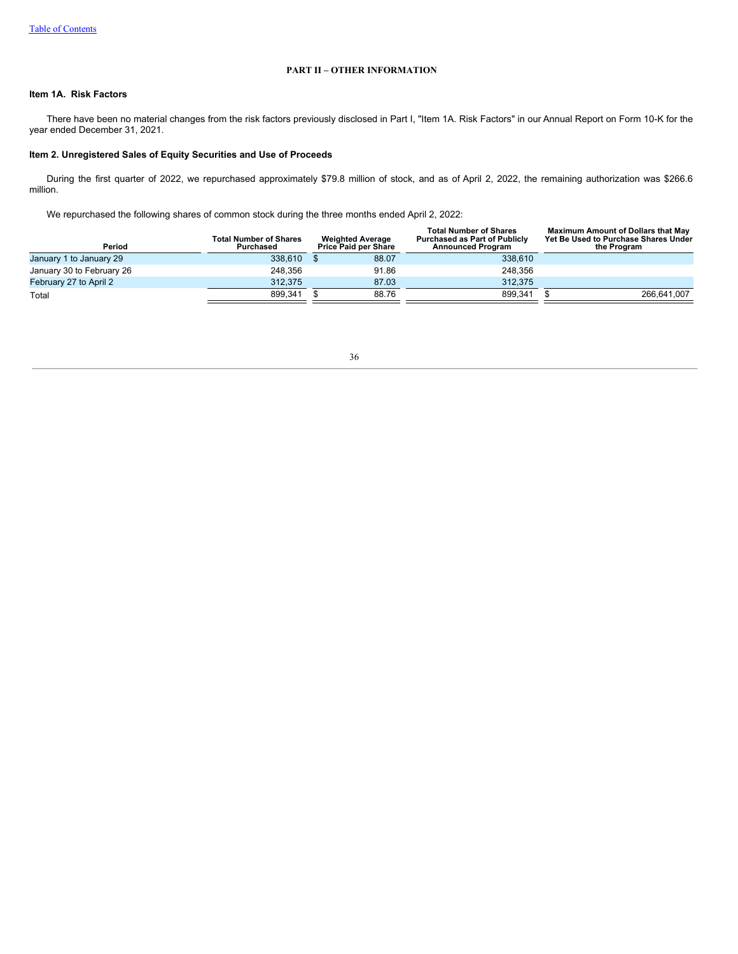### **PART II – OTHER INFORMATION**

## <span id="page-35-0"></span>**Item 1A. Risk Factors**

There have been no material changes from the risk factors previously disclosed in Part I, "Item 1A. Risk Factors" in our Annual Report on Form 10-K for the year ended December 31, 2021.

#### <span id="page-35-1"></span>**Item 2. Unregistered Sales of Equity Securities and Use of Proceeds**

During the first quarter of 2022, we repurchased approximately \$79.8 million of stock, and as of April 2, 2022, the remaining authorization was \$266.6 million.

We repurchased the following shares of common stock during the three months ended April 2, 2022:

<span id="page-35-2"></span>

| Period                    | <b>Total Number of Shares</b><br>Purchased | <b>Weighted Average</b><br><b>Price Paid per Share</b> | <b>Total Number of Shares</b><br><b>Purchased as Part of Publicly</b><br><b>Announced Program</b> | <b>Maximum Amount of Dollars that May</b><br>Yet Be Used to Purchase Shares Under<br>the Program |
|---------------------------|--------------------------------------------|--------------------------------------------------------|---------------------------------------------------------------------------------------------------|--------------------------------------------------------------------------------------------------|
| January 1 to January 29   | 338,610                                    | 88.07                                                  | 338.610                                                                                           |                                                                                                  |
| January 30 to February 26 | 248.356                                    | 91.86                                                  | 248.356                                                                                           |                                                                                                  |
| February 27 to April 2    | 312.375                                    | 87.03                                                  | 312.375                                                                                           |                                                                                                  |
| Total                     | 899.341                                    | 88.76                                                  | 899.341                                                                                           | 266.641.007                                                                                      |

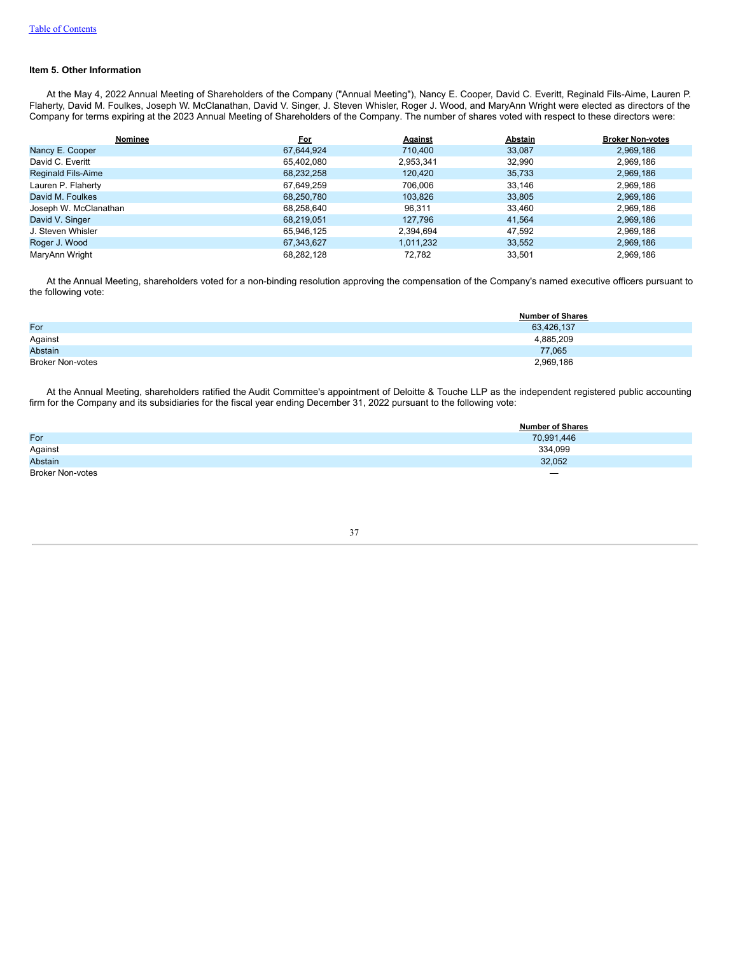### **Item 5. Other Information**

At the May 4, 2022 Annual Meeting of Shareholders of the Company ("Annual Meeting"), Nancy E. Cooper, David C. Everitt, Reginald Fils-Aime, Lauren P. Flaherty, David M. Foulkes, Joseph W. McClanathan, David V. Singer, J. Steven Whisler, Roger J. Wood, and MaryAnn Wright were elected as directors of the Company for terms expiring at the 2023 Annual Meeting of Shareholders of the Company. The number of shares voted with respect to these directors were:

| Nominee               | For        | Against   | Abstain | <b>Broker Non-votes</b> |
|-----------------------|------------|-----------|---------|-------------------------|
| Nancy E. Cooper       | 67,644,924 | 710,400   | 33,087  | 2,969,186               |
| David C. Everitt      | 65.402.080 | 2,953,341 | 32,990  | 2,969,186               |
| Reginald Fils-Aime    | 68,232,258 | 120.420   | 35,733  | 2,969,186               |
| Lauren P. Flaherty    | 67.649.259 | 706.006   | 33.146  | 2,969,186               |
| David M. Foulkes      | 68.250.780 | 103,826   | 33,805  | 2,969,186               |
| Joseph W. McClanathan | 68.258.640 | 96.311    | 33,460  | 2,969,186               |
| David V. Singer       | 68.219.051 | 127.796   | 41.564  | 2,969,186               |
| J. Steven Whisler     | 65.946.125 | 2,394,694 | 47,592  | 2,969,186               |
| Roger J. Wood         | 67,343,627 | 1,011,232 | 33,552  | 2,969,186               |
| MarvAnn Wright        | 68.282.128 | 72.782    | 33.501  | 2.969.186               |

At the Annual Meeting, shareholders voted for a non-binding resolution approving the compensation of the Company's named executive officers pursuant to the following vote:

|                         | <b>Number of Shares</b> |
|-------------------------|-------------------------|
| For                     | 63.426.137              |
| Against                 | 4.885.209               |
| Abstain                 | 77,065                  |
| <b>Broker Non-votes</b> | 2,969,186               |

At the Annual Meeting, shareholders ratified the Audit Committee's appointment of Deloitte & Touche LLP as the independent registered public accounting firm for the Company and its subsidiaries for the fiscal year ending December 31, 2022 pursuant to the following vote:

<span id="page-36-0"></span>

|                         | <b>Number of Shares</b>  |
|-------------------------|--------------------------|
| For                     | 70,991,446               |
| Against                 | 334,099                  |
| Abstain                 | 32.052                   |
| <b>Broker Non-votes</b> | $\overline{\phantom{a}}$ |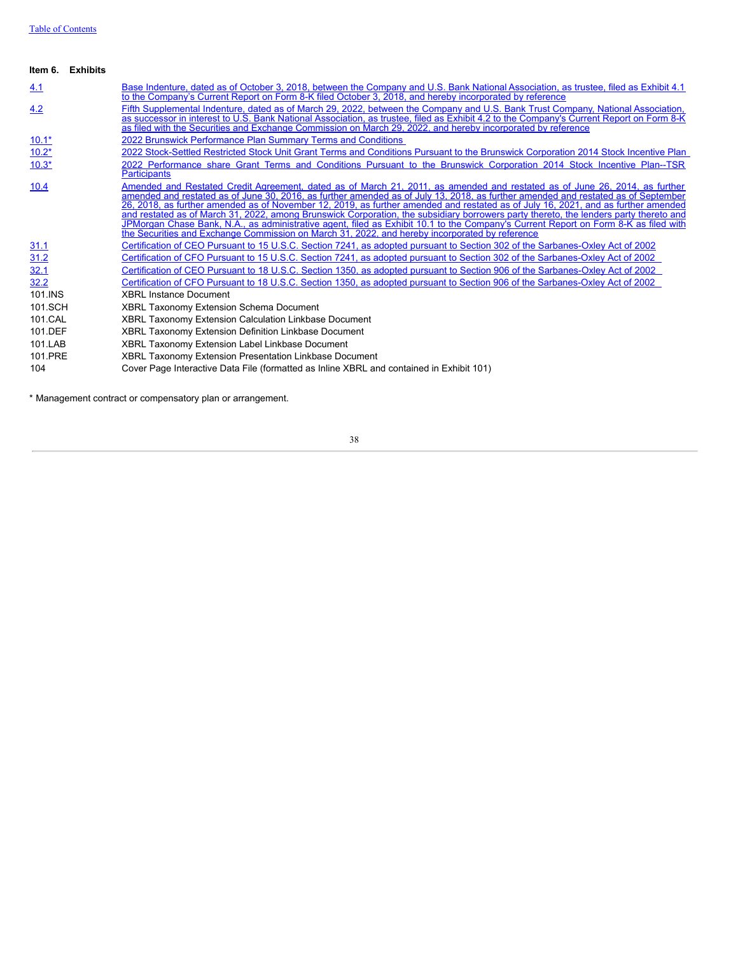| Item 6. | <b>Exhibits</b> |                                                                                                                                                                                                                                                                                                                                                                                                                                                                                                                                                                                                                                                                                                                                                                                        |
|---------|-----------------|----------------------------------------------------------------------------------------------------------------------------------------------------------------------------------------------------------------------------------------------------------------------------------------------------------------------------------------------------------------------------------------------------------------------------------------------------------------------------------------------------------------------------------------------------------------------------------------------------------------------------------------------------------------------------------------------------------------------------------------------------------------------------------------|
| 4.1     |                 | Base Indenture, dated as of October 3, 2018, between the Company and U.S. Bank National Association, as trustee, filed as Exhibit 4.1<br>to the Company's Current Report on Form 8-K filed October 3, 2018, and hereby incorporated by reference                                                                                                                                                                                                                                                                                                                                                                                                                                                                                                                                       |
| 4.2     |                 | Fifth Supplemental Indenture, dated as of March 29, 2022, between the Company and U.S. Bank Trust Company, National Association,<br>as successor in interest to U.S. Bank National Association, as trustee, filed as Exhibit 4.2 to the Company's Current Report on Form 8-K<br>as filed with the Securities and Exchange Commission on March 29, 2022, and hereby incorporated by reference                                                                                                                                                                                                                                                                                                                                                                                           |
| $10.1*$ |                 | 2022 Brunswick Performance Plan Summary Terms and Conditions                                                                                                                                                                                                                                                                                                                                                                                                                                                                                                                                                                                                                                                                                                                           |
| $10.2*$ |                 | 2022 Stock-Settled Restricted Stock Unit Grant Terms and Conditions Pursuant to the Brunswick Corporation 2014 Stock Incentive Plan                                                                                                                                                                                                                                                                                                                                                                                                                                                                                                                                                                                                                                                    |
| $10.3*$ |                 | 2022 Performance share Grant Terms and Conditions Pursuant to the Brunswick Corporation 2014 Stock Incentive Plan--TSR<br><b>Participants</b>                                                                                                                                                                                                                                                                                                                                                                                                                                                                                                                                                                                                                                          |
| 10.4    |                 | Amended and Restated Credit Agreement, dated as of March 21, 2011, as amended and restated as of June 26, 2014, as further<br>amended and restated as of June 30, 2016, as further amended as of July 13, 2018, as further amended and restated as of September<br>26, 2018, as further amended as of November 12, 2019, as further amended and restated as of July 16, 2021, and as further amended<br>and restated as of March 31, 2022, among Brunswick Corporation, the subsidiary borrowers party thereto, the lenders party thereto and<br>JPMorgan Chase Bank, N.A., as administrative agent, filed as Exhibit 10.1 to the Company's Current Report on Form 8-K as filed with<br>the Securities and Exchange Commission on March 31, 2022, and hereby incorporated by reference |
| 31.1    |                 | Certification of CEO Pursuant to 15 U.S.C. Section 7241, as adopted pursuant to Section 302 of the Sarbanes-Oxley Act of 2002                                                                                                                                                                                                                                                                                                                                                                                                                                                                                                                                                                                                                                                          |
| 31.2    |                 | Certification of CFO Pursuant to 15 U.S.C. Section 7241, as adopted pursuant to Section 302 of the Sarbanes-Oxley Act of 2002                                                                                                                                                                                                                                                                                                                                                                                                                                                                                                                                                                                                                                                          |
| 32.1    |                 | Certification of CEO Pursuant to 18 U.S.C. Section 1350, as adopted pursuant to Section 906 of the Sarbanes-Oxley Act of 2002                                                                                                                                                                                                                                                                                                                                                                                                                                                                                                                                                                                                                                                          |
| 32.2    |                 | Certification of CFO Pursuant to 18 U.S.C. Section 1350, as adopted pursuant to Section 906 of the Sarbanes-Oxley Act of 2002                                                                                                                                                                                                                                                                                                                                                                                                                                                                                                                                                                                                                                                          |
| 101.INS |                 | <b>XBRL Instance Document</b>                                                                                                                                                                                                                                                                                                                                                                                                                                                                                                                                                                                                                                                                                                                                                          |
| 101.SCH |                 | <b>XBRL Taxonomy Extension Schema Document</b>                                                                                                                                                                                                                                                                                                                                                                                                                                                                                                                                                                                                                                                                                                                                         |
| 101.CAL |                 | <b>XBRL Taxonomy Extension Calculation Linkbase Document</b>                                                                                                                                                                                                                                                                                                                                                                                                                                                                                                                                                                                                                                                                                                                           |
| 101.DEF |                 | XBRL Taxonomy Extension Definition Linkbase Document                                                                                                                                                                                                                                                                                                                                                                                                                                                                                                                                                                                                                                                                                                                                   |
| 101.LAB |                 | XBRL Taxonomy Extension Label Linkbase Document                                                                                                                                                                                                                                                                                                                                                                                                                                                                                                                                                                                                                                                                                                                                        |
| 101.PRE |                 | XBRL Taxonomy Extension Presentation Linkbase Document                                                                                                                                                                                                                                                                                                                                                                                                                                                                                                                                                                                                                                                                                                                                 |
| 104     |                 | Cover Page Interactive Data File (formatted as Inline XBRL and contained in Exhibit 101)                                                                                                                                                                                                                                                                                                                                                                                                                                                                                                                                                                                                                                                                                               |
|         |                 |                                                                                                                                                                                                                                                                                                                                                                                                                                                                                                                                                                                                                                                                                                                                                                                        |

\* Management contract or compensatory plan or arrangement.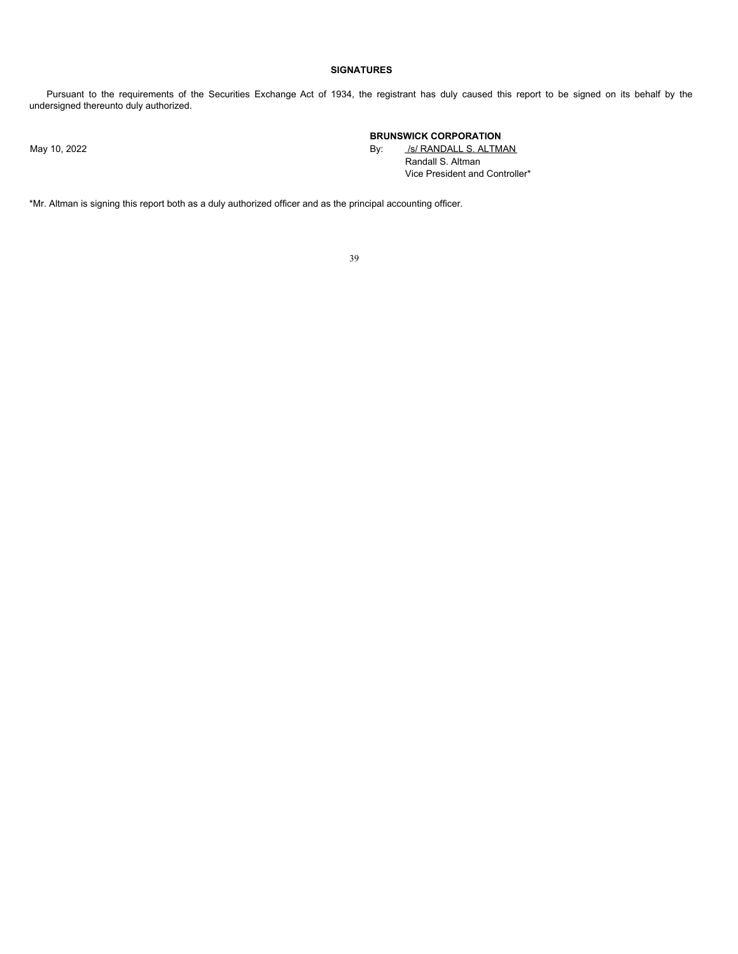#### **SIGNATURES**

Pursuant to the requirements of the Securities Exchange Act of 1934, the registrant has duly caused this report to be signed on its behalf by the undersigned thereunto duly authorized.

## **BRUNSWICK CORPORATION**

May 10, 2022 **By:** /s/ RANDALL S. ALTMAN Randall S. Altman Vice President and Controller\*

\*Mr. Altman is signing this report both as a duly authorized officer and as the principal accounting officer.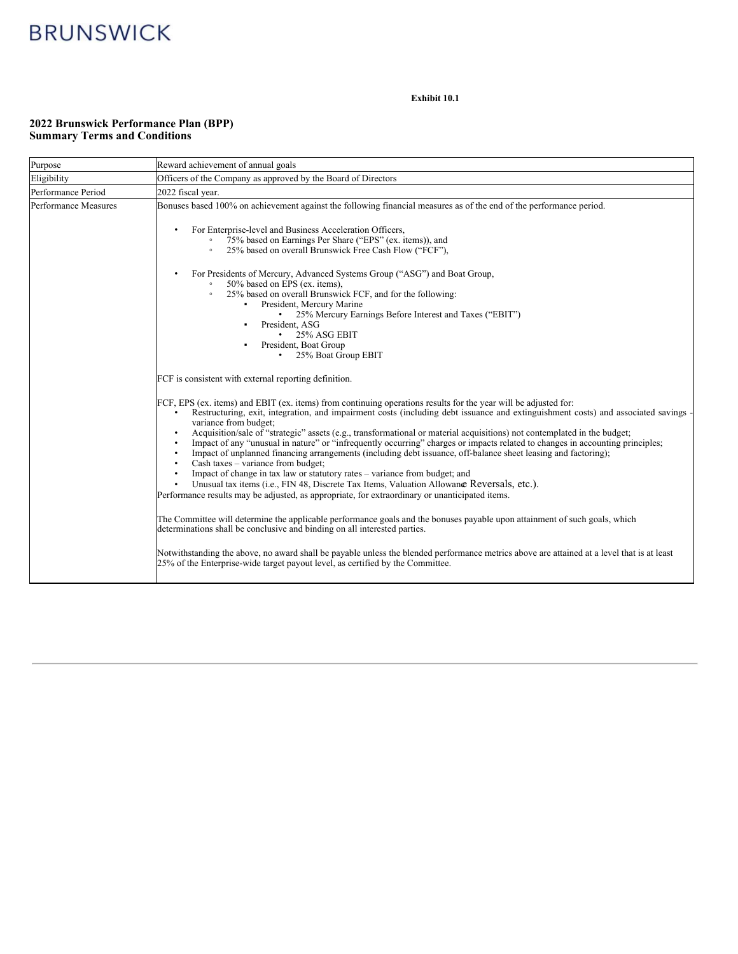

### **Exhibit 10.1**

### **2022 Brunswick Performance Plan (BPP) Summary Terms and Conditions**

| Purpose<br>Reward achievement of annual goals |                                                                                                                                                                                                                                                                                                                                                                                                                                                                                                                                                                                                                                                                                                                                                                                                                                                                                                                                                                                                                                     |  |  |  |
|-----------------------------------------------|-------------------------------------------------------------------------------------------------------------------------------------------------------------------------------------------------------------------------------------------------------------------------------------------------------------------------------------------------------------------------------------------------------------------------------------------------------------------------------------------------------------------------------------------------------------------------------------------------------------------------------------------------------------------------------------------------------------------------------------------------------------------------------------------------------------------------------------------------------------------------------------------------------------------------------------------------------------------------------------------------------------------------------------|--|--|--|
| Eligibility                                   | Officers of the Company as approved by the Board of Directors                                                                                                                                                                                                                                                                                                                                                                                                                                                                                                                                                                                                                                                                                                                                                                                                                                                                                                                                                                       |  |  |  |
| Performance Period                            | 2022 fiscal year.                                                                                                                                                                                                                                                                                                                                                                                                                                                                                                                                                                                                                                                                                                                                                                                                                                                                                                                                                                                                                   |  |  |  |
| Performance Measures                          | Bonuses based 100% on achievement against the following financial measures as of the end of the performance period.<br>For Enterprise-level and Business Acceleration Officers,<br>75% based on Earnings Per Share ("EPS" (ex. items)), and<br>$\circ$<br>25% based on overall Brunswick Free Cash Flow ("FCF"),<br>$\circ$<br>For Presidents of Mercury, Advanced Systems Group ("ASG") and Boat Group,<br>$\bullet$<br>50% based on EPS (ex. items),<br>$^\circ$<br>25% based on overall Brunswick FCF, and for the following:<br>$\circ$<br>President, Mercury Marine<br>• 25% Mercury Earnings Before Interest and Taxes ("EBIT")                                                                                                                                                                                                                                                                                                                                                                                               |  |  |  |
|                                               | President, ASG<br>٠<br>25% ASG EBIT<br>$\bullet$<br>President, Boat Group<br>25% Boat Group EBIT<br>FCF is consistent with external reporting definition.                                                                                                                                                                                                                                                                                                                                                                                                                                                                                                                                                                                                                                                                                                                                                                                                                                                                           |  |  |  |
|                                               | FCF, EPS (ex. items) and EBIT (ex. items) from continuing operations results for the year will be adjusted for:<br>Restructuring, exit, integration, and impairment costs (including debt issuance and extinguishment costs) and associated savings<br>variance from budget;<br>Acquisition/sale of "strategic" assets (e.g., transformational or material acquisitions) not contemplated in the budget;<br>$\bullet$<br>Impact of any "unusual in nature" or "infrequently occurring" charges or impacts related to changes in accounting principles;<br>$\bullet$<br>Impact of unplanned financing arrangements (including debt issuance, off-balance sheet leasing and factoring);<br>Cash taxes – variance from budget;<br>$\bullet$<br>Impact of change in tax law or statutory rates – variance from budget; and<br>$\bullet$<br>Unusual tax items (i.e., FIN 48, Discrete Tax Items, Valuation Allowance Reversals, etc.).<br>Performance results may be adjusted, as appropriate, for extraordinary or unanticipated items. |  |  |  |
|                                               | The Committee will determine the applicable performance goals and the bonuses payable upon attainment of such goals, which<br>determinations shall be conclusive and binding on all interested parties.<br>Notwithstanding the above, no award shall be payable unless the blended performance metrics above are attained at a level that is at least<br>25% of the Enterprise-wide target payout level, as certified by the Committee.                                                                                                                                                                                                                                                                                                                                                                                                                                                                                                                                                                                             |  |  |  |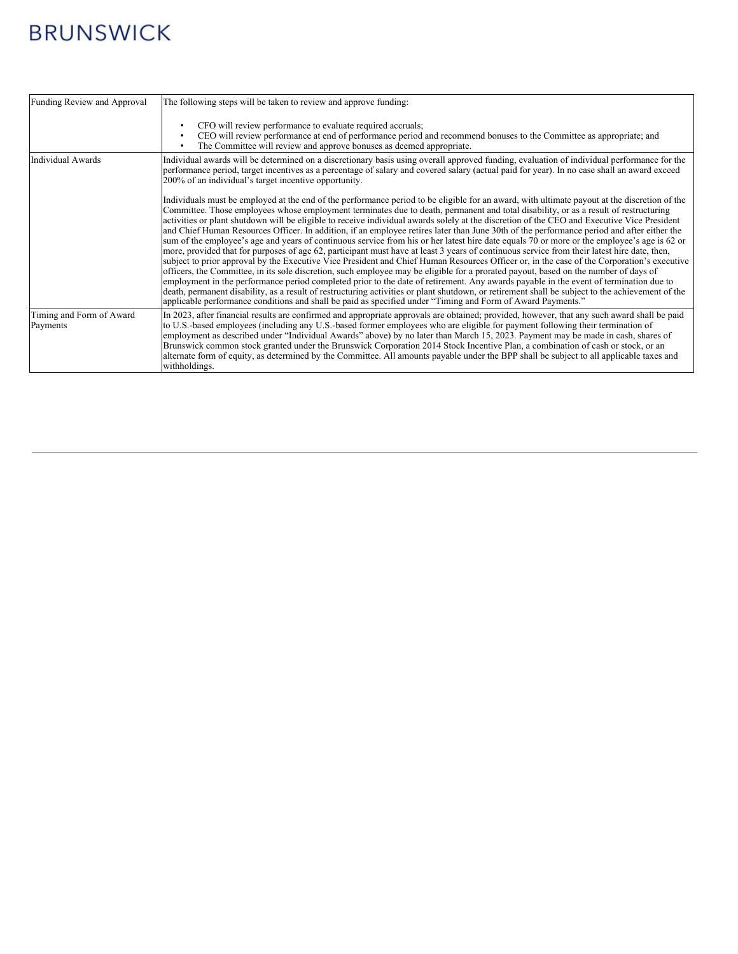<span id="page-40-0"></span>

| Funding Review and Approval          | The following steps will be taken to review and approve funding:                                                                                                                                                                                                                                                                                                                                                                                                                                                                                                                                                                                                                                                                                                                                                                                                                                                                                                                                                                                                                                                                                                                                                                                                                                                                                                                                                                                                                                                                                                                  |
|--------------------------------------|-----------------------------------------------------------------------------------------------------------------------------------------------------------------------------------------------------------------------------------------------------------------------------------------------------------------------------------------------------------------------------------------------------------------------------------------------------------------------------------------------------------------------------------------------------------------------------------------------------------------------------------------------------------------------------------------------------------------------------------------------------------------------------------------------------------------------------------------------------------------------------------------------------------------------------------------------------------------------------------------------------------------------------------------------------------------------------------------------------------------------------------------------------------------------------------------------------------------------------------------------------------------------------------------------------------------------------------------------------------------------------------------------------------------------------------------------------------------------------------------------------------------------------------------------------------------------------------|
|                                      | CFO will review performance to evaluate required accruals;<br>CEO will review performance at end of performance period and recommend bonuses to the Committee as appropriate; and<br>The Committee will review and approve bonuses as deemed appropriate.                                                                                                                                                                                                                                                                                                                                                                                                                                                                                                                                                                                                                                                                                                                                                                                                                                                                                                                                                                                                                                                                                                                                                                                                                                                                                                                         |
| <b>Individual Awards</b>             | Individual awards will be determined on a discretionary basis using overall approved funding, evaluation of individual performance for the<br>performance period, target incentives as a percentage of salary and covered salary (actual paid for year). In no case shall an award exceed<br>200% of an individual's target incentive opportunity.                                                                                                                                                                                                                                                                                                                                                                                                                                                                                                                                                                                                                                                                                                                                                                                                                                                                                                                                                                                                                                                                                                                                                                                                                                |
|                                      | Individuals must be employed at the end of the performance period to be eligible for an award, with ultimate payout at the discretion of the<br>Committee. Those employees whose employment terminates due to death, permanent and total disability, or as a result of restructuring<br>activities or plant shutdown will be eligible to receive individual awards solely at the discretion of the CEO and Executive Vice President<br>and Chief Human Resources Officer. In addition, if an employee retires later than June 30th of the performance period and after either the<br>sum of the employee's age and years of continuous service from his or her latest hire date equals 70 or more or the employee's age is 62 or<br>more, provided that for purposes of age 62, participant must have at least 3 years of continuous service from their latest hire date, then,<br>subject to prior approval by the Executive Vice President and Chief Human Resources Officer or, in the case of the Corporation's executive<br>officers, the Committee, in its sole discretion, such employee may be eligible for a prorated payout, based on the number of days of<br>employment in the performance period completed prior to the date of retirement. Any awards payable in the event of termination due to<br>death, permanent disability, as a result of restructuring activities or plant shutdown, or retirement shall be subject to the achievement of the<br>applicable performance conditions and shall be paid as specified under "Timing and Form of Award Payments." |
| Timing and Form of Award<br>Payments | In 2023, after financial results are confirmed and appropriate approvals are obtained; provided, however, that any such award shall be paid<br>to U.S.-based employees (including any U.S.-based former employees who are eligible for payment following their termination of<br>employment as described under "Individual Awards" above) by no later than March 15, 2023. Payment may be made in cash, shares of<br>Brunswick common stock granted under the Brunswick Corporation 2014 Stock Incentive Plan, a combination of cash or stock, or an<br>alternate form of equity, as determined by the Committee. All amounts payable under the BPP shall be subject to all applicable taxes and<br>withholdings.                                                                                                                                                                                                                                                                                                                                                                                                                                                                                                                                                                                                                                                                                                                                                                                                                                                                 |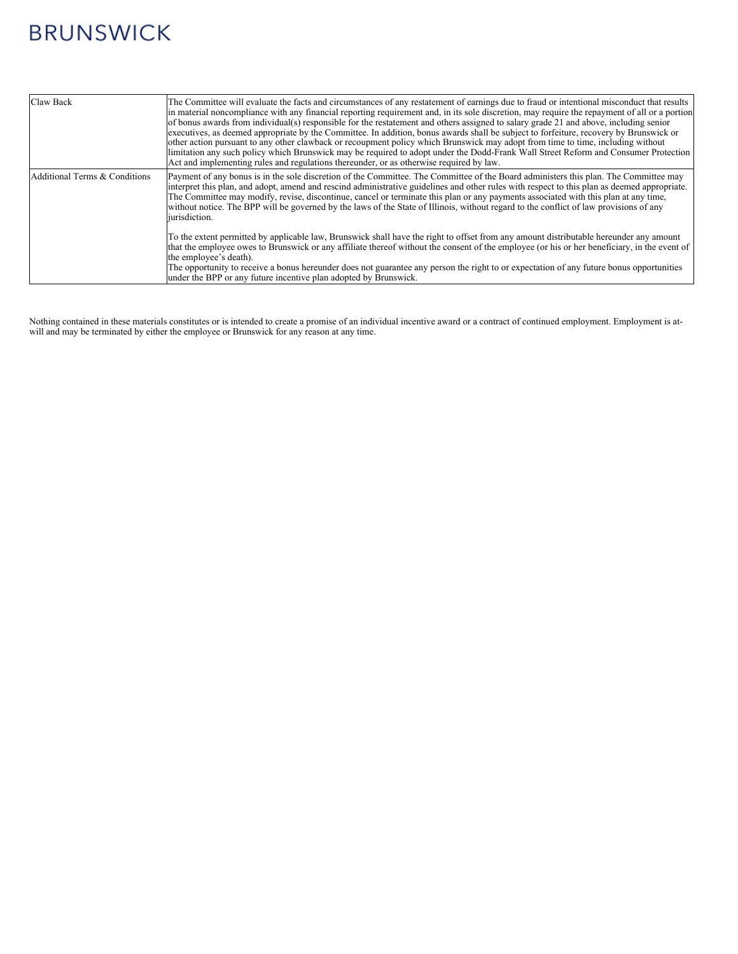| Claw Back                     | The Committee will evaluate the facts and circumstances of any restatement of earnings due to fraud or intentional misconduct that results<br>in material noncompliance with any financial reporting requirement and, in its sole discretion, may require the repayment of all or a portion<br>of bonus awards from individual(s) responsible for the restatement and others assigned to salary grade 21 and above, including senior<br>executives, as deemed appropriate by the Committee. In addition, bonus awards shall be subject to forfeiture, recovery by Brunswick or<br>other action pursuant to any other clawback or recoupment policy which Brunswick may adopt from time to time, including without<br>llimitation any such policy which Brunswick may be required to adopt under the Dodd-Frank Wall Street Reform and Consumer Protection<br>Act and implementing rules and regulations thereunder, or as otherwise required by law. |
|-------------------------------|------------------------------------------------------------------------------------------------------------------------------------------------------------------------------------------------------------------------------------------------------------------------------------------------------------------------------------------------------------------------------------------------------------------------------------------------------------------------------------------------------------------------------------------------------------------------------------------------------------------------------------------------------------------------------------------------------------------------------------------------------------------------------------------------------------------------------------------------------------------------------------------------------------------------------------------------------|
| Additional Terms & Conditions | Payment of any bonus is in the sole discretion of the Committee. The Committee of the Board administers this plan. The Committee may<br>interpret this plan, and adopt, amend and rescind administrative guidelines and other rules with respect to this plan as deemed appropriate.<br>The Committee may modify, revise, discontinue, cancel or terminate this plan or any payments associated with this plan at any time,<br>without notice. The BPP will be governed by the laws of the State of Illinois, without regard to the conflict of law provisions of any<br>jurisdiction.                                                                                                                                                                                                                                                                                                                                                               |
|                               | To the extent permitted by applicable law, Brunswick shall have the right to offset from any amount distributable hereunder any amount<br>that the employee owes to Brunswick or any affiliate thereof without the consent of the employee (or his or her beneficiary, in the event of<br>the employee's death).<br>The opportunity to receive a bonus hereunder does not guarantee any person the right to or expectation of any future bonus opportunities<br>under the BPP or any future incentive plan adopted by Brunswick.                                                                                                                                                                                                                                                                                                                                                                                                                     |

Nothing contained in these materials constitutes or is intended to create a promise of an individual incentive award or a contract of continued employment. Employment is atwill and may be terminated by either the employee or Brunswick for any reason at any time.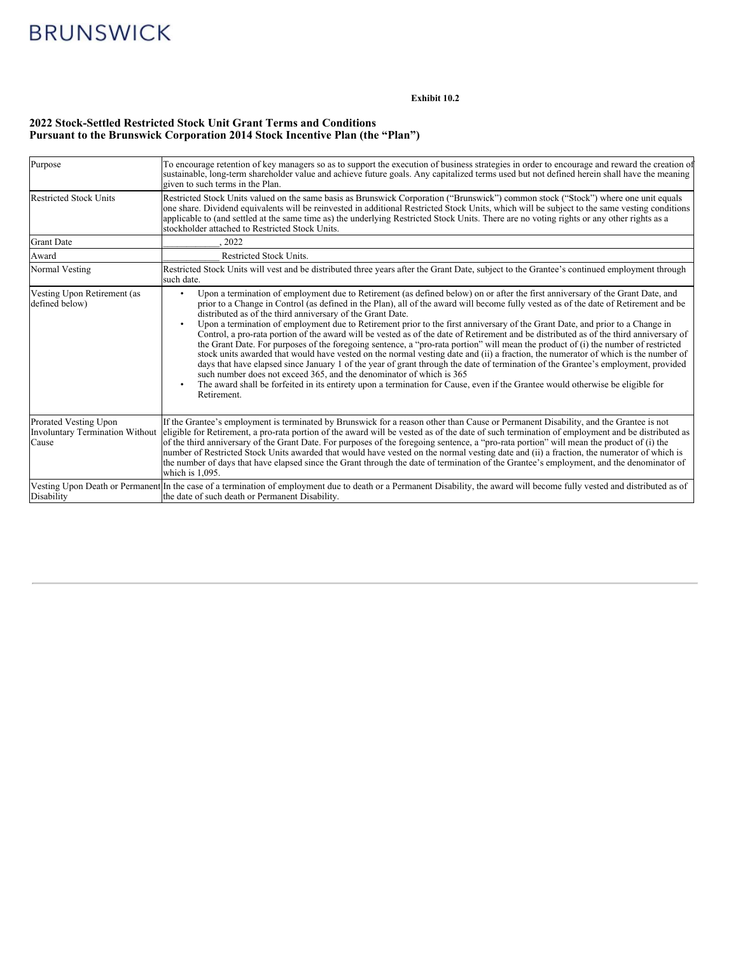#### **Exhibit 10.2**

### **2022 Stock-Settled Restricted Stock Unit Grant Terms and Conditions Pursuant to the Brunswick Corporation 2014 Stock Incentive Plan (the "Plan")**

| Purpose                                                                  | To encourage retention of key managers so as to support the execution of business strategies in order to encourage and reward the creation of<br>sustainable, long-term shareholder value and achieve future goals. Any capitalized terms used but not defined herein shall have the meaning<br>given to such terms in the Plan.                                                                                                                                                                                                                                                                                                                                                                                                                                                                                                                                                                                                                                                                                                                                                                                                                                                                                                                                    |
|--------------------------------------------------------------------------|---------------------------------------------------------------------------------------------------------------------------------------------------------------------------------------------------------------------------------------------------------------------------------------------------------------------------------------------------------------------------------------------------------------------------------------------------------------------------------------------------------------------------------------------------------------------------------------------------------------------------------------------------------------------------------------------------------------------------------------------------------------------------------------------------------------------------------------------------------------------------------------------------------------------------------------------------------------------------------------------------------------------------------------------------------------------------------------------------------------------------------------------------------------------------------------------------------------------------------------------------------------------|
| <b>Restricted Stock Units</b>                                            | Restricted Stock Units valued on the same basis as Brunswick Corporation ("Brunswick") common stock ("Stock") where one unit equals<br>one share. Dividend equivalents will be reinvested in additional Restricted Stock Units, which will be subject to the same vesting conditions<br>applicable to (and settled at the same time as) the underlying Restricted Stock Units. There are no voting rights or any other rights as a<br>stockholder attached to Restricted Stock Units.                                                                                                                                                                                                                                                                                                                                                                                                                                                                                                                                                                                                                                                                                                                                                                               |
| <b>Grant Date</b>                                                        | 2022                                                                                                                                                                                                                                                                                                                                                                                                                                                                                                                                                                                                                                                                                                                                                                                                                                                                                                                                                                                                                                                                                                                                                                                                                                                                |
| Award                                                                    | <b>Restricted Stock Units.</b>                                                                                                                                                                                                                                                                                                                                                                                                                                                                                                                                                                                                                                                                                                                                                                                                                                                                                                                                                                                                                                                                                                                                                                                                                                      |
| Normal Vesting                                                           | Restricted Stock Units will vest and be distributed three years after the Grant Date, subject to the Grantee's continued employment through<br>such date.                                                                                                                                                                                                                                                                                                                                                                                                                                                                                                                                                                                                                                                                                                                                                                                                                                                                                                                                                                                                                                                                                                           |
| Vesting Upon Retirement (as<br>defined below)                            | Upon a termination of employment due to Retirement (as defined below) on or after the first anniversary of the Grant Date, and<br>٠<br>prior to a Change in Control (as defined in the Plan), all of the award will become fully vested as of the date of Retirement and be<br>distributed as of the third anniversary of the Grant Date.<br>Upon a termination of employment due to Retirement prior to the first anniversary of the Grant Date, and prior to a Change in<br>Control, a pro-rata portion of the award will be vested as of the date of Retirement and be distributed as of the third anniversary of<br>the Grant Date. For purposes of the foregoing sentence, a "pro-rata portion" will mean the product of (i) the number of restricted<br>stock units awarded that would have vested on the normal vesting date and (ii) a fraction, the numerator of which is the number of<br>days that have elapsed since January 1 of the year of grant through the date of termination of the Grantee's employment, provided<br>such number does not exceed 365, and the denominator of which is 365<br>The award shall be forfeited in its entirety upon a termination for Cause, even if the Grantee would otherwise be eligible for<br>٠<br>Retirement. |
| Prorated Vesting Upon<br><b>Involuntary Termination Without</b><br>Cause | If the Grantee's employment is terminated by Brunswick for a reason other than Cause or Permanent Disability, and the Grantee is not<br>eligible for Retirement, a pro-rata portion of the award will be vested as of the date of such termination of employment and be distributed as<br>of the third anniversary of the Grant Date. For purposes of the foregoing sentence, a "pro-rata portion" will mean the product of (i) the<br>number of Restricted Stock Units awarded that would have vested on the normal vesting date and (ii) a fraction, the numerator of which is<br>the number of days that have elapsed since the Grant through the date of termination of the Grantee's employment, and the denominator of<br>which is 1,095.                                                                                                                                                                                                                                                                                                                                                                                                                                                                                                                     |
| Disability                                                               | Vesting Upon Death or Permanent In the case of a termination of employment due to death or a Permanent Disability, the award will become fully vested and distributed as of<br>the date of such death or Permanent Disability.                                                                                                                                                                                                                                                                                                                                                                                                                                                                                                                                                                                                                                                                                                                                                                                                                                                                                                                                                                                                                                      |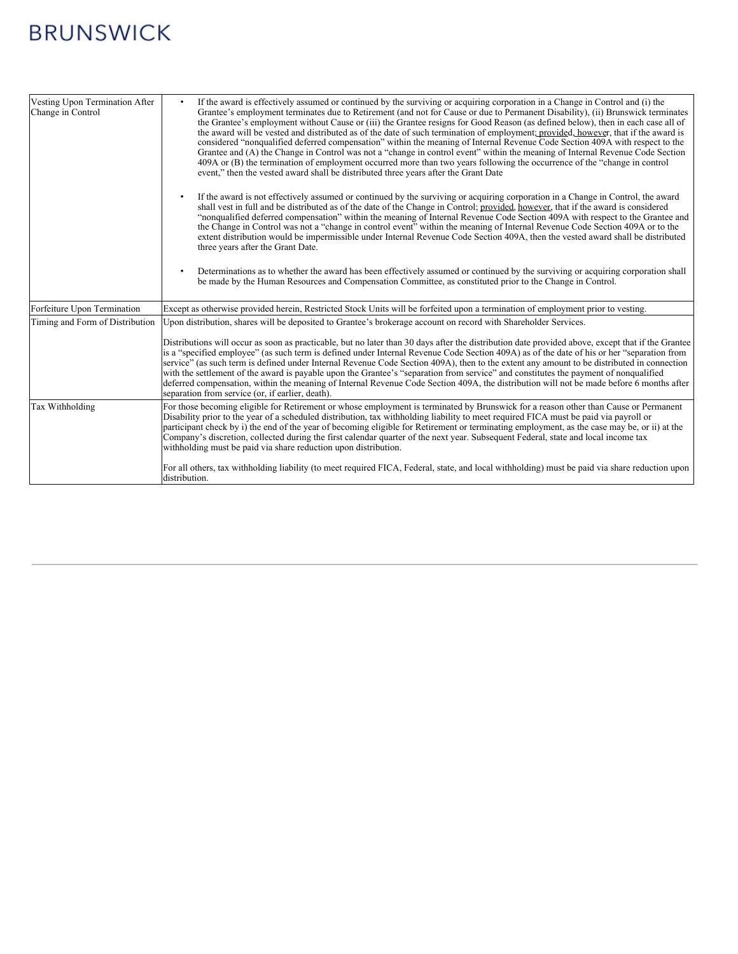| Vesting Upon Termination After<br>Change in Control | If the award is effectively assumed or continued by the surviving or acquiring corporation in a Change in Control and (i) the<br>$\bullet$<br>Grantee's employment terminates due to Retirement (and not for Cause or due to Permanent Disability), (ii) Brunswick terminates<br>the Grantee's employment without Cause or (iii) the Grantee resigns for Good Reason (as defined below), then in each case all of<br>the award will be vested and distributed as of the date of such termination of employment; provided, however, that if the award is<br>considered "nonqualified deferred compensation" within the meaning of Internal Revenue Code Section 409A with respect to the<br>Grantee and (A) the Change in Control was not a "change in control event" within the meaning of Internal Revenue Code Section<br>409A or (B) the termination of employment occurred more than two years following the occurrence of the "change in control"<br>event," then the vested award shall be distributed three years after the Grant Date |
|-----------------------------------------------------|-----------------------------------------------------------------------------------------------------------------------------------------------------------------------------------------------------------------------------------------------------------------------------------------------------------------------------------------------------------------------------------------------------------------------------------------------------------------------------------------------------------------------------------------------------------------------------------------------------------------------------------------------------------------------------------------------------------------------------------------------------------------------------------------------------------------------------------------------------------------------------------------------------------------------------------------------------------------------------------------------------------------------------------------------|
|                                                     | If the award is not effectively assumed or continued by the surviving or acquiring corporation in a Change in Control, the award<br>$\bullet$<br>shall vest in full and be distributed as of the date of the Change in Control; provided, however, that if the award is considered<br>"nonqualified deferred compensation" within the meaning of Internal Revenue Code Section 409A with respect to the Grantee and<br>the Change in Control was not a "change in control event" within the meaning of Internal Revenue Code Section 409A or to the<br>extent distribution would be impermissible under Internal Revenue Code Section 409A, then the vested award shall be distributed<br>three years after the Grant Date.                                                                                                                                                                                                                                                                                                                   |
|                                                     | Determinations as to whether the award has been effectively assumed or continued by the surviving or acquiring corporation shall<br>be made by the Human Resources and Compensation Committee, as constituted prior to the Change in Control.                                                                                                                                                                                                                                                                                                                                                                                                                                                                                                                                                                                                                                                                                                                                                                                                 |
| Forfeiture Upon Termination                         | Except as otherwise provided herein, Restricted Stock Units will be forfeited upon a termination of employment prior to vesting.                                                                                                                                                                                                                                                                                                                                                                                                                                                                                                                                                                                                                                                                                                                                                                                                                                                                                                              |
| Timing and Form of Distribution                     | Upon distribution, shares will be deposited to Grantee's brokerage account on record with Shareholder Services.                                                                                                                                                                                                                                                                                                                                                                                                                                                                                                                                                                                                                                                                                                                                                                                                                                                                                                                               |
|                                                     | Distributions will occur as soon as practicable, but no later than 30 days after the distribution date provided above, except that if the Grantee<br>is a "specified employee" (as such term is defined under Internal Revenue Code Section 409A) as of the date of his or her "separation from<br>service" (as such term is defined under Internal Revenue Code Section 409A), then to the extent any amount to be distributed in connection<br>with the settlement of the award is payable upon the Grantee's "separation from service" and constitutes the payment of nonqualified<br>deferred compensation, within the meaning of Internal Revenue Code Section 409A, the distribution will not be made before 6 months after<br>separation from service (or, if earlier, death).                                                                                                                                                                                                                                                         |
| Tax Withholding                                     | For those becoming eligible for Retirement or whose employment is terminated by Brunswick for a reason other than Cause or Permanent<br>Disability prior to the year of a scheduled distribution, tax withholding liability to meet required FICA must be paid via payroll or<br>participant check by i) the end of the year of becoming eligible for Retirement or terminating employment, as the case may be, or ii) at the<br>Company's discretion, collected during the first calendar quarter of the next year. Subsequent Federal, state and local income tax<br>with holding must be paid via share reduction upon distribution.                                                                                                                                                                                                                                                                                                                                                                                                       |
|                                                     | For all others, tax withholding liability (to meet required FICA, Federal, state, and local withholding) must be paid via share reduction upon<br>distribution.                                                                                                                                                                                                                                                                                                                                                                                                                                                                                                                                                                                                                                                                                                                                                                                                                                                                               |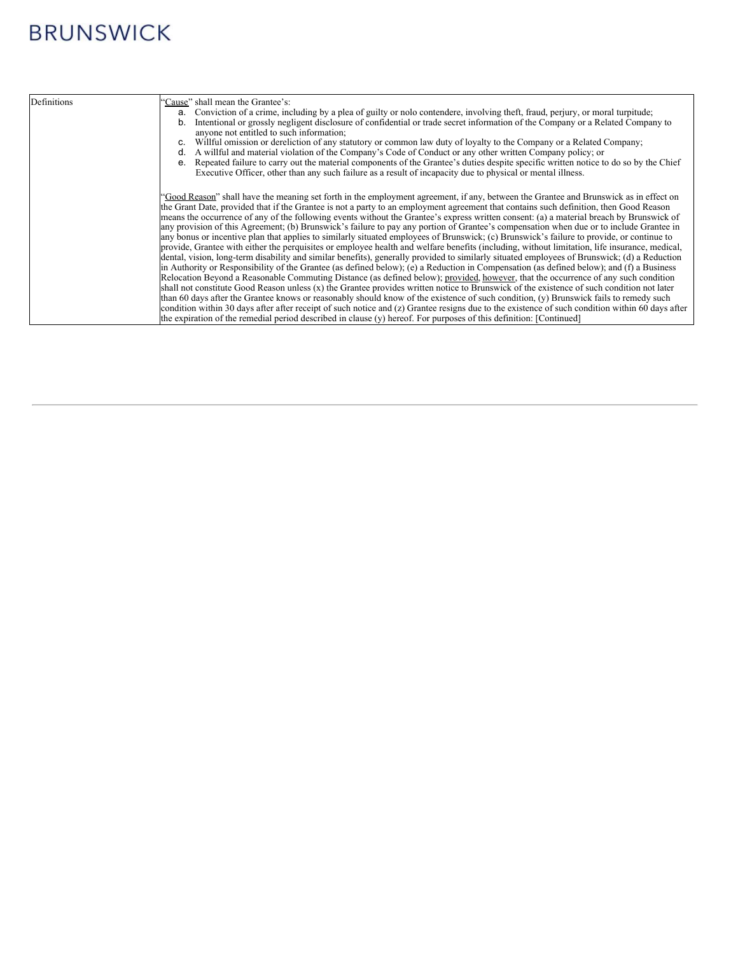<span id="page-44-0"></span>

| Definitions | 'Cause" shall mean the Grantee's:<br>Conviction of a crime, including by a plea of guilty or nolo contendere, involving theft, fraud, perjury, or moral turpitude;<br>a.<br>Intentional or grossly negligent disclosure of confidential or trade secret information of the Company or a Related Company to<br>b.<br>anyone not entitled to such information;<br>Willful omission or dereliction of any statutory or common law duty of loyalty to the Company or a Related Company;<br>A willful and material violation of the Company's Code of Conduct or any other written Company policy; or<br>d.<br>Repeated failure to carry out the material components of the Grantee's duties despite specific written notice to do so by the Chief<br>е.<br>Executive Officer, other than any such failure as a result of incapacity due to physical or mental illness.                                                                                                                                                                                                                                                                                                                                                                                                                                                                                                                                                                                                                                                                                                                                                                                                                                                                                                                                                                                                   |
|-------------|----------------------------------------------------------------------------------------------------------------------------------------------------------------------------------------------------------------------------------------------------------------------------------------------------------------------------------------------------------------------------------------------------------------------------------------------------------------------------------------------------------------------------------------------------------------------------------------------------------------------------------------------------------------------------------------------------------------------------------------------------------------------------------------------------------------------------------------------------------------------------------------------------------------------------------------------------------------------------------------------------------------------------------------------------------------------------------------------------------------------------------------------------------------------------------------------------------------------------------------------------------------------------------------------------------------------------------------------------------------------------------------------------------------------------------------------------------------------------------------------------------------------------------------------------------------------------------------------------------------------------------------------------------------------------------------------------------------------------------------------------------------------------------------------------------------------------------------------------------------------|
|             | Good Reason" shall have the meaning set forth in the employment agreement, if any, between the Grantee and Brunswick as in effect on<br>the Grant Date, provided that if the Grantee is not a party to an employment agreement that contains such definition, then Good Reason<br>means the occurrence of any of the following events without the Grantee's express written consent: (a) a material breach by Brunswick of<br>any provision of this Agreement; (b) Brunswick's failure to pay any portion of Grantee's compensation when due or to include Grantee in<br>any bonus or incentive plan that applies to similarly situated employees of Brunswick; (c) Brunswick's failure to provide, or continue to<br>provide, Grantee with either the perquisites or employee health and welfare benefits (including, without limitation, life insurance, medical,<br>dental, vision, long-term disability and similar benefits), generally provided to similarly situated employees of Brunswick; (d) a Reduction<br>in Authority or Responsibility of the Grantee (as defined below); (e) a Reduction in Compensation (as defined below); and (f) a Business<br>Relocation Beyond a Reasonable Commuting Distance (as defined below); provided, however, that the occurrence of any such condition<br>shall not constitute Good Reason unless (x) the Grantee provides written notice to Brunswick of the existence of such condition not later<br>than 60 days after the Grantee knows or reasonably should know of the existence of such condition, (y) Brunswick fails to remedy such<br>condition within 30 days after after receipt of such notice and (z) Grantee resigns due to the existence of such condition within 60 days after<br>the expiration of the remedial period described in clause (y) hereof. For purposes of this definition: [Continued] |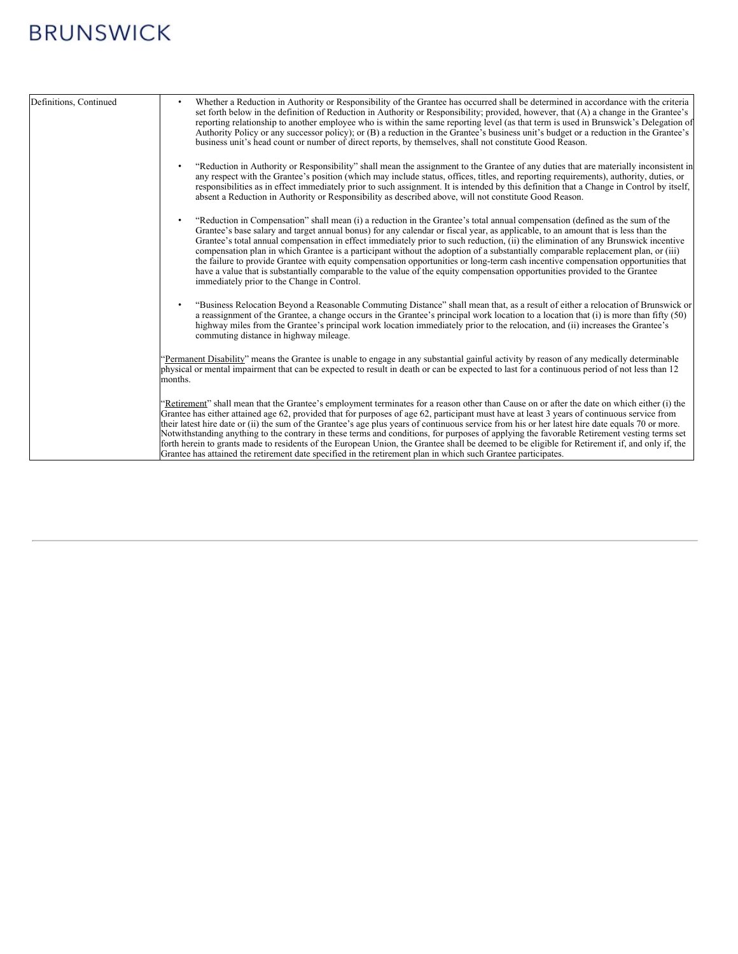| Definitions, Continued | Whether a Reduction in Authority or Responsibility of the Grantee has occurred shall be determined in accordance with the criteria<br>set forth below in the definition of Reduction in Authority or Responsibility; provided, however, that (A) a change in the Grantee's<br>reporting relationship to another employee who is within the same reporting level (as that term is used in Brunswick's Delegation of<br>Authority Policy or any successor policy); or (B) a reduction in the Grantee's business unit's budget or a reduction in the Grantee's<br>business unit's head count or number of direct reports, by themselves, shall not constitute Good Reason.                                                                                                                                                                                           |
|------------------------|-------------------------------------------------------------------------------------------------------------------------------------------------------------------------------------------------------------------------------------------------------------------------------------------------------------------------------------------------------------------------------------------------------------------------------------------------------------------------------------------------------------------------------------------------------------------------------------------------------------------------------------------------------------------------------------------------------------------------------------------------------------------------------------------------------------------------------------------------------------------|
|                        | "Reduction in Authority or Responsibility" shall mean the assignment to the Grantee of any duties that are materially inconsistent in<br>any respect with the Grantee's position (which may include status, offices, titles, and reporting requirements), authority, duties, or<br>responsibilities as in effect immediately prior to such assignment. It is intended by this definition that a Change in Control by itself,<br>absent a Reduction in Authority or Responsibility as described above, will not constitute Good Reason.                                                                                                                                                                                                                                                                                                                            |
|                        | "Reduction in Compensation" shall mean (i) a reduction in the Grantee's total annual compensation (defined as the sum of the<br>Grantee's base salary and target annual bonus) for any calendar or fiscal year, as applicable, to an amount that is less than the<br>Grantee's total annual compensation in effect immediately prior to such reduction, (ii) the elimination of any Brunswick incentive<br>compensation plan in which Grantee is a participant without the adoption of a substantially comparable replacement plan, or (iii)<br>the failure to provide Grantee with equity compensation opportunities or long-term cash incentive compensation opportunities that<br>have a value that is substantially comparable to the value of the equity compensation opportunities provided to the Grantee<br>immediately prior to the Change in Control.   |
|                        | "Business Relocation Beyond a Reasonable Commuting Distance" shall mean that, as a result of either a relocation of Brunswick or<br>a reassignment of the Grantee, a change occurs in the Grantee's principal work location to a location that (i) is more than fifty (50)<br>highway miles from the Grantee's principal work location immediately prior to the relocation, and (ii) increases the Grantee's<br>commuting distance in highway mileage.                                                                                                                                                                                                                                                                                                                                                                                                            |
|                        | Permanent Disability" means the Grantee is unable to engage in any substantial gainful activity by reason of any medically determinable<br>physical or mental impairment that can be expected to result in death or can be expected to last for a continuous period of not less than 12<br>months.                                                                                                                                                                                                                                                                                                                                                                                                                                                                                                                                                                |
|                        | 'Retirement'' shall mean that the Grantee's employment terminates for a reason other than Cause on or after the date on which either (i) the<br>Grantee has either attained age 62, provided that for purposes of age 62, participant must have at least 3 years of continuous service from<br>their latest hire date or (ii) the sum of the Grantee's age plus years of continuous service from his or her latest hire date equals 70 or more.<br>Notwithstanding anything to the contrary in these terms and conditions, for purposes of applying the favorable Retirement vesting terms set<br>forth herein to grants made to residents of the European Union, the Grantee shall be deemed to be eligible for Retirement if, and only if, the<br>Grantee has attained the retirement date specified in the retirement plan in which such Grantee participates. |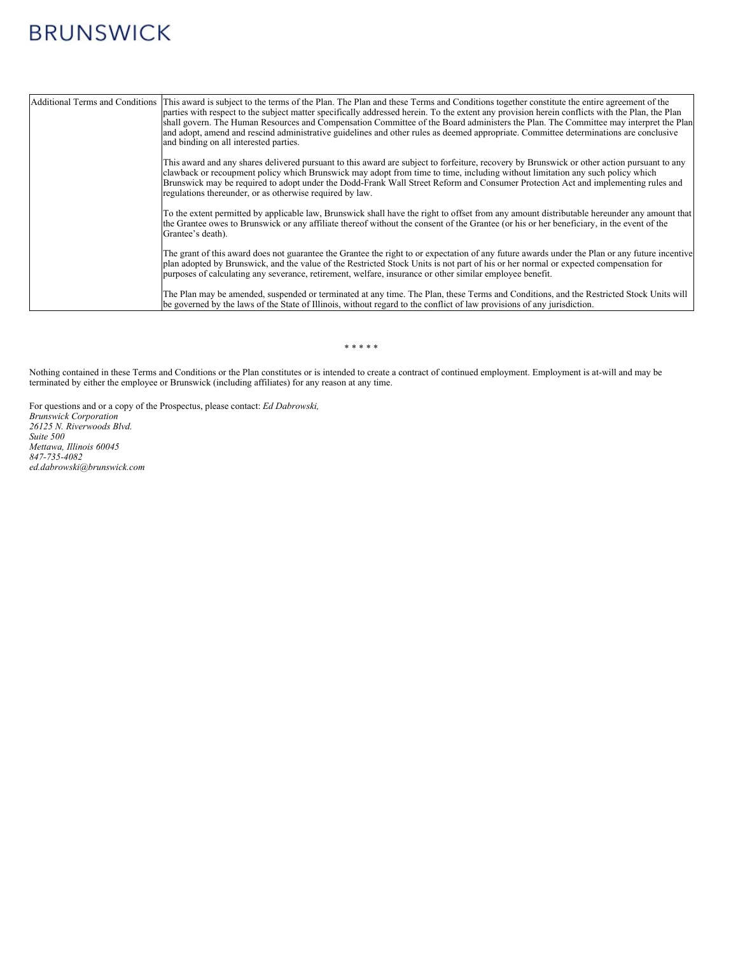| Additional Terms and Conditions | This award is subject to the terms of the Plan. The Plan and these Terms and Conditions together constitute the entire agreement of the<br>parties with respect to the subject matter specifically addressed herein. To the extent any provision herein conflicts with the Plan, the Plan<br>shall govern. The Human Resources and Compensation Committee of the Board administers the Plan. The Committee may interpret the Plan<br>and adopt, amend and rescind administrative guidelines and other rules as deemed appropriate. Committee determinations are conclusive<br>and binding on all interested parties. |
|---------------------------------|----------------------------------------------------------------------------------------------------------------------------------------------------------------------------------------------------------------------------------------------------------------------------------------------------------------------------------------------------------------------------------------------------------------------------------------------------------------------------------------------------------------------------------------------------------------------------------------------------------------------|
|                                 | This award and any shares delivered pursuant to this award are subject to forfeiture, recovery by Brunswick or other action pursuant to any<br>clawback or recoupment policy which Brunswick may adopt from time to time, including without limitation any such policy which<br>Brunswick may be required to adopt under the Dodd-Frank Wall Street Reform and Consumer Protection Act and implementing rules and<br>regulations thereunder, or as otherwise required by law.                                                                                                                                        |
|                                 | To the extent permitted by applicable law, Brunswick shall have the right to offset from any amount distributable hereunder any amount that<br>the Grantee owes to Brunswick or any affiliate thereof without the consent of the Grantee (or his or her beneficiary, in the event of the<br>Grantee's death).                                                                                                                                                                                                                                                                                                        |
|                                 | The grant of this award does not guarantee the Grantee the right to or expectation of any future awards under the Plan or any future incentive<br>plan adopted by Brunswick, and the value of the Restricted Stock Units is not part of his or her normal or expected compensation for<br>purposes of calculating any severance, retirement, welfare, insurance or other similar employee benefit.                                                                                                                                                                                                                   |
|                                 | The Plan may be amended, suspended or terminated at any time. The Plan, these Terms and Conditions, and the Restricted Stock Units will<br>be governed by the laws of the State of Illinois, without regard to the conflict of law provisions of any jurisdiction.                                                                                                                                                                                                                                                                                                                                                   |

#### \* \* \* \* \*

Nothing contained in these Terms and Conditions or the Plan constitutes or is intended to create a contract of continued employment. Employment is at-will and may be terminated by either the employee or Brunswick (including affiliates) for any reason at any time.

For questions and or a copy of the Prospectus, please contact: *Ed Dabrowski, Brunswick Corporation 26125 N. Riverwoods Blvd. Suite 500 Mettawa, Illinois 60045 847-735-4082 ed.dabrowski@brunswick.com*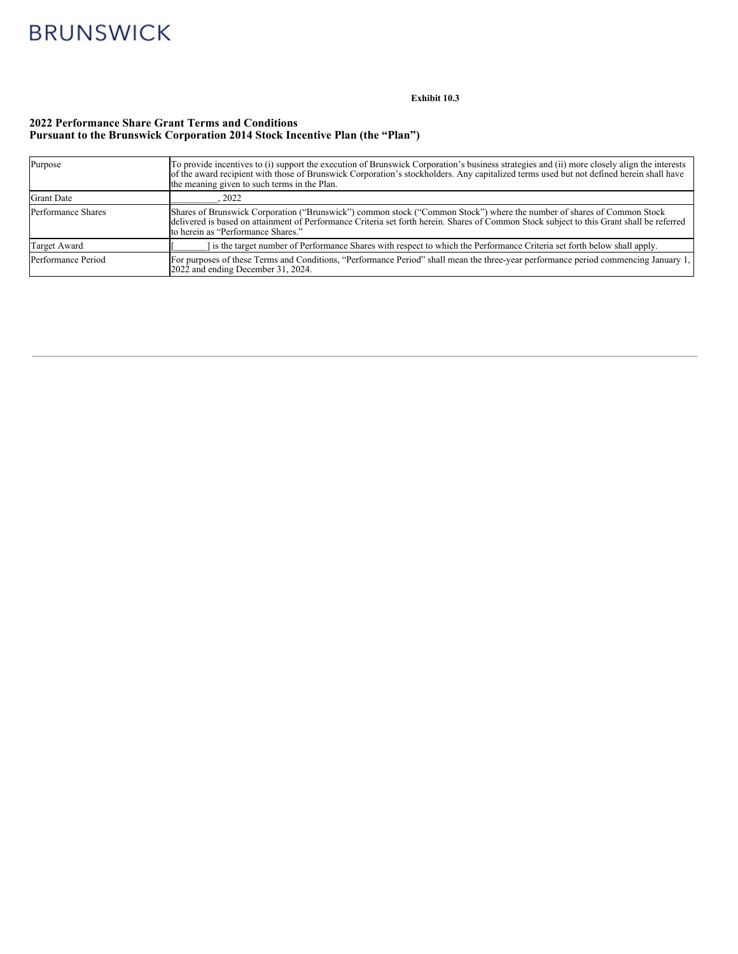#### **Exhibit 10.3**

## **2022 Performance Share Grant Terms and Conditions Pursuant to the Brunswick Corporation 2014 Stock Incentive Plan (the "Plan")**

| Purpose            | To provide incentives to (i) support the execution of Brunswick Corporation's business strategies and (ii) more closely align the interests<br>of the award recipient with those of Brunswick Corporation's stockholders. Any capitalized terms used but not defined herein shall have<br>the meaning given to such terms in the Plan. |
|--------------------|----------------------------------------------------------------------------------------------------------------------------------------------------------------------------------------------------------------------------------------------------------------------------------------------------------------------------------------|
| <b>Grant Date</b>  | 2022                                                                                                                                                                                                                                                                                                                                   |
| Performance Shares | Shares of Brunswick Corporation ("Brunswick") common stock ("Common Stock") where the number of shares of Common Stock<br>delivered is based on attainment of Performance Criteria set forth herein. Shares of Common Stock subject to this Grant shall be referred<br>to herein as "Performance Shares."                              |
| Target Award       | is the target number of Performance Shares with respect to which the Performance Criteria set forth below shall apply.                                                                                                                                                                                                                 |
| Performance Period | For purposes of these Terms and Conditions, "Performance Period" shall mean the three-year performance period commencing January 1,<br>2022 and ending December 31, 2024.                                                                                                                                                              |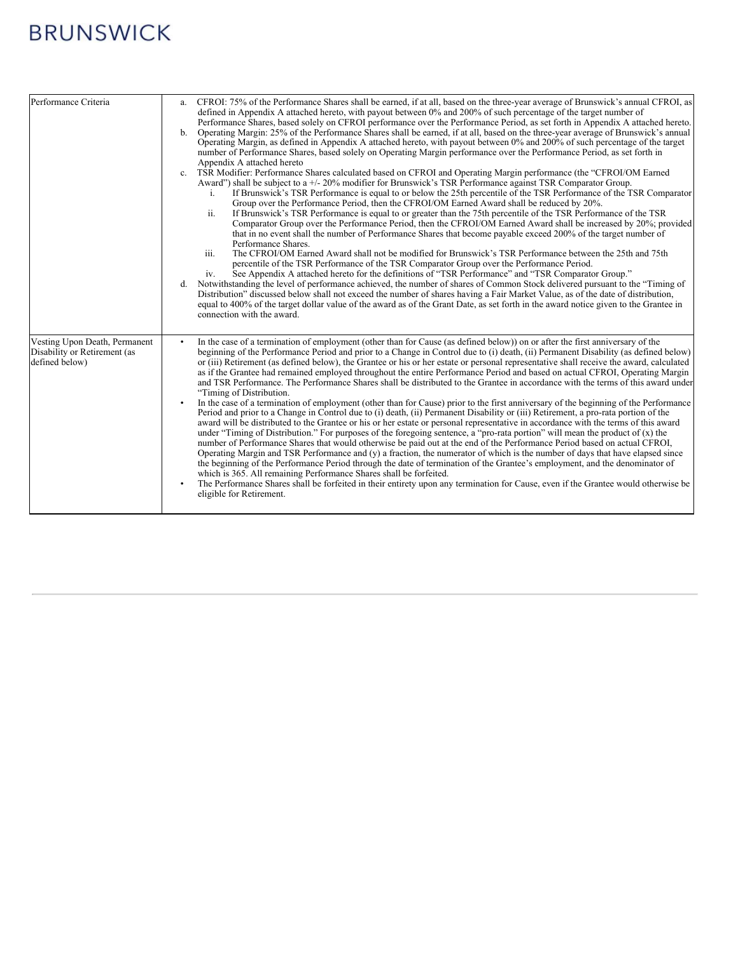| Performance Criteria                                                            | CFROI: 75% of the Performance Shares shall be earned, if at all, based on the three-year average of Brunswick's annual CFROI, as<br>a.<br>defined in Appendix A attached hereto, with payout between 0% and 200% of such percentage of the target number of<br>Performance Shares, based solely on CFROI performance over the Performance Period, as set forth in Appendix A attached hereto.<br>b. Operating Margin: 25% of the Performance Shares shall be earned, if at all, based on the three-year average of Brunswick's annual<br>Operating Margin, as defined in Appendix A attached hereto, with payout between 0% and 200% of such percentage of the target<br>number of Performance Shares, based solely on Operating Margin performance over the Performance Period, as set forth in<br>Appendix A attached hereto<br>TSR Modifier: Performance Shares calculated based on CFROI and Operating Margin performance (the "CFROI/OM Earned<br>$c_{\cdot}$<br>Award") shall be subject to a $+/-20\%$ modifier for Brunswick's TSR Performance against TSR Comparator Group.<br>If Brunswick's TSR Performance is equal to or below the 25th percentile of the TSR Performance of the TSR Comparator<br>i.<br>Group over the Performance Period, then the CFROI/OM Earned Award shall be reduced by 20%.<br>ii.<br>If Brunswick's TSR Performance is equal to or greater than the 75th percentile of the TSR Performance of the TSR<br>Comparator Group over the Performance Period, then the CFROI/OM Earned Award shall be increased by 20%; provided<br>that in no event shall the number of Performance Shares that become payable exceed 200% of the target number of<br>Performance Shares.<br>iii.<br>The CFROI/OM Earned Award shall not be modified for Brunswick's TSR Performance between the 25th and 75th<br>percentile of the TSR Performance of the TSR Comparator Group over the Performance Period.<br>See Appendix A attached hereto for the definitions of "TSR Performance" and "TSR Comparator Group."<br>iv.<br>Notwithstanding the level of performance achieved, the number of shares of Common Stock delivered pursuant to the "Timing of<br>d.<br>Distribution" discussed below shall not exceed the number of shares having a Fair Market Value, as of the date of distribution,<br>equal to 400% of the target dollar value of the award as of the Grant Date, as set forth in the award notice given to the Grantee in<br>connection with the award. |
|---------------------------------------------------------------------------------|-------------------------------------------------------------------------------------------------------------------------------------------------------------------------------------------------------------------------------------------------------------------------------------------------------------------------------------------------------------------------------------------------------------------------------------------------------------------------------------------------------------------------------------------------------------------------------------------------------------------------------------------------------------------------------------------------------------------------------------------------------------------------------------------------------------------------------------------------------------------------------------------------------------------------------------------------------------------------------------------------------------------------------------------------------------------------------------------------------------------------------------------------------------------------------------------------------------------------------------------------------------------------------------------------------------------------------------------------------------------------------------------------------------------------------------------------------------------------------------------------------------------------------------------------------------------------------------------------------------------------------------------------------------------------------------------------------------------------------------------------------------------------------------------------------------------------------------------------------------------------------------------------------------------------------------------------------------------------------------------------------------------------------------------------------------------------------------------------------------------------------------------------------------------------------------------------------------------------------------------------------------------------------------------------------------------------------------------------------------------------------------------------------------------------------------------------------------------------------------------|
| Vesting Upon Death, Permanent<br>Disability or Retirement (as<br>defined below) | In the case of a termination of employment (other than for Cause (as defined below)) on or after the first anniversary of the<br>beginning of the Performance Period and prior to a Change in Control due to (i) death, (ii) Permanent Disability (as defined below)<br>or (iii) Retirement (as defined below), the Grantee or his or her estate or personal representative shall receive the award, calculated<br>as if the Grantee had remained employed throughout the entire Performance Period and based on actual CFROI, Operating Margin<br>and TSR Performance. The Performance Shares shall be distributed to the Grantee in accordance with the terms of this award under<br>"Timing of Distribution.<br>In the case of a termination of employment (other than for Cause) prior to the first anniversary of the beginning of the Performance<br>Period and prior to a Change in Control due to (i) death, (ii) Permanent Disability or (iii) Retirement, a pro-rata portion of the<br>award will be distributed to the Grantee or his or her estate or personal representative in accordance with the terms of this award<br>under "Timing of Distribution." For purposes of the foregoing sentence, a "pro-rata portion" will mean the product of $(x)$ the<br>number of Performance Shares that would otherwise be paid out at the end of the Performance Period based on actual CFROI,<br>Operating Margin and TSR Performance and (y) a fraction, the numerator of which is the number of days that have elapsed since<br>the beginning of the Performance Period through the date of termination of the Grantee's employment, and the denominator of<br>which is 365. All remaining Performance Shares shall be forfeited.<br>The Performance Shares shall be forfeited in their entirety upon any termination for Cause, even if the Grantee would otherwise be<br>eligible for Retirement.                                                                                                                                                                                                                                                                                                                                                                                                                                                                                                                                                                              |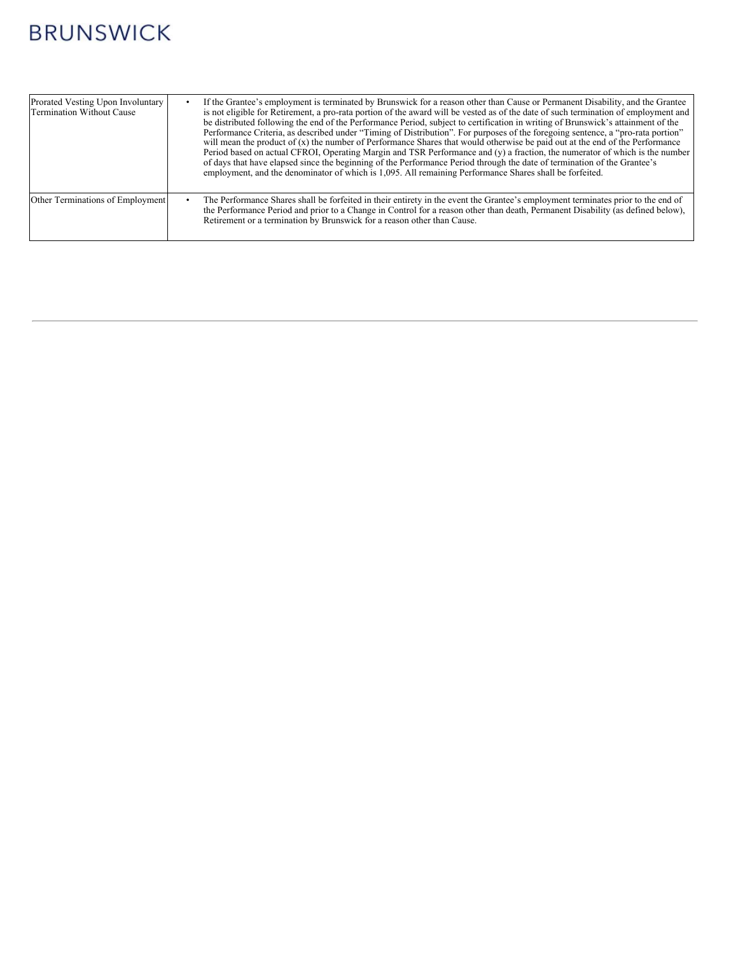| Prorated Vesting Upon Involuntary<br>Termination Without Cause | If the Grantee's employment is terminated by Brunswick for a reason other than Cause or Permanent Disability, and the Grantee<br>is not eligible for Retirement, a pro-rata portion of the award will be vested as of the date of such termination of employment and<br>be distributed following the end of the Performance Period, subject to certification in writing of Brunswick's attainment of the<br>Performance Criteria, as described under "Timing of Distribution". For purposes of the foregoing sentence, a "pro-rata portion"<br>will mean the product of $(x)$ the number of Performance Shares that would otherwise be paid out at the end of the Performance<br>Period based on actual CFROI, Operating Margin and TSR Performance and (y) a fraction, the numerator of which is the number<br>of days that have elapsed since the beginning of the Performance Period through the date of termination of the Grantee's<br>employment, and the denominator of which is 1,095. All remaining Performance Shares shall be forfeited. |
|----------------------------------------------------------------|-----------------------------------------------------------------------------------------------------------------------------------------------------------------------------------------------------------------------------------------------------------------------------------------------------------------------------------------------------------------------------------------------------------------------------------------------------------------------------------------------------------------------------------------------------------------------------------------------------------------------------------------------------------------------------------------------------------------------------------------------------------------------------------------------------------------------------------------------------------------------------------------------------------------------------------------------------------------------------------------------------------------------------------------------------|
| Other Terminations of Employment                               | The Performance Shares shall be forfeited in their entirety in the event the Grantee's employment terminates prior to the end of<br>the Performance Period and prior to a Change in Control for a reason other than death, Permanent Disability (as defined below),<br>Retirement or a termination by Brunswick for a reason other than Cause.                                                                                                                                                                                                                                                                                                                                                                                                                                                                                                                                                                                                                                                                                                      |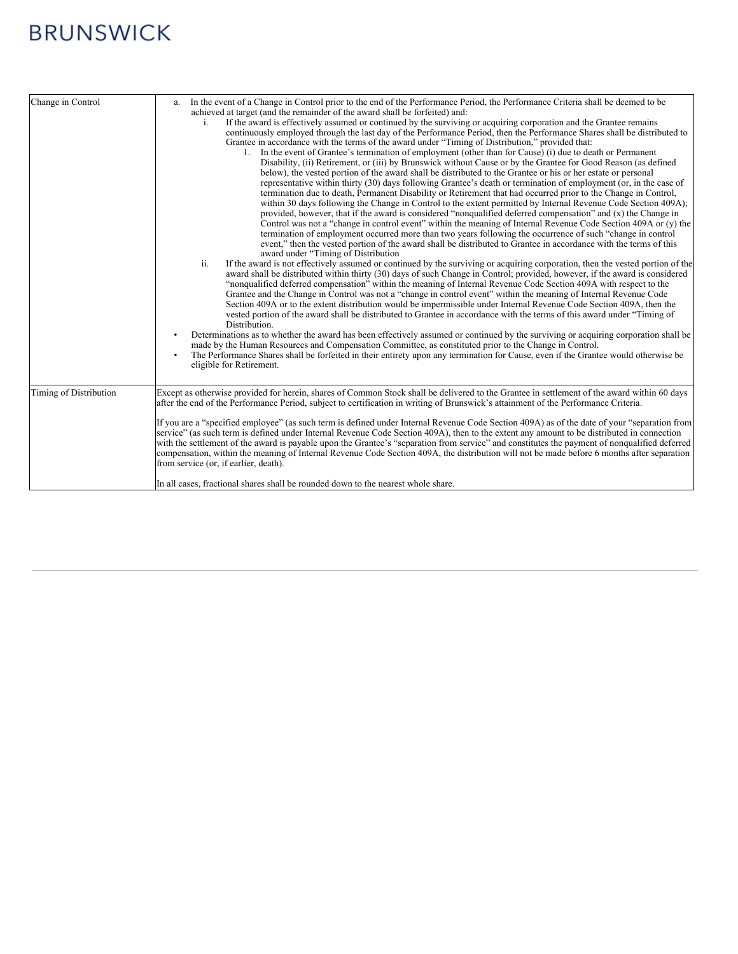| Change in Control      | a. In the event of a Change in Control prior to the end of the Performance Period, the Performance Criteria shall be deemed to be<br>achieved at target (and the remainder of the award shall be forfeited) and:<br>If the award is effectively assumed or continued by the surviving or acquiring corporation and the Grantee remains<br>i.<br>continuously employed through the last day of the Performance Period, then the Performance Shares shall be distributed to<br>Grantee in accordance with the terms of the award under "Timing of Distribution," provided that:<br>1. In the event of Grantee's termination of employment (other than for Cause) (i) due to death or Permanent<br>Disability, (ii) Retirement, or (iii) by Brunswick without Cause or by the Grantee for Good Reason (as defined<br>below), the vested portion of the award shall be distributed to the Grantee or his or her estate or personal<br>representative within thirty (30) days following Grantee's death or termination of employment (or, in the case of<br>termination due to death, Permanent Disability or Retirement that had occurred prior to the Change in Control,<br>within 30 days following the Change in Control to the extent permitted by Internal Revenue Code Section 409A);<br>provided, however, that if the award is considered "nonqualified deferred compensation" and (x) the Change in<br>Control was not a "change in control event" within the meaning of Internal Revenue Code Section 409A or (y) the<br>termination of employment occurred more than two years following the occurrence of such "change in control"<br>event," then the vested portion of the award shall be distributed to Grantee in accordance with the terms of this<br>award under "Timing of Distribution"<br>ii.<br>If the award is not effectively assumed or continued by the surviving or acquiring corporation, then the vested portion of the<br>award shall be distributed within thirty (30) days of such Change in Control; provided, however, if the award is considered<br>"nonqualified deferred compensation" within the meaning of Internal Revenue Code Section 409A with respect to the<br>Grantee and the Change in Control was not a "change in control event" within the meaning of Internal Revenue Code<br>Section 409A or to the extent distribution would be impermissible under Internal Revenue Code Section 409A, then the<br>vested portion of the award shall be distributed to Grantee in accordance with the terms of this award under "Timing of<br>Distribution.<br>Determinations as to whether the award has been effectively assumed or continued by the surviving or acquiring corporation shall be<br>made by the Human Resources and Compensation Committee, as constituted prior to the Change in Control.<br>The Performance Shares shall be forfeited in their entirety upon any termination for Cause, even if the Grantee would otherwise be<br>$\bullet$<br>eligible for Retirement. |
|------------------------|-------------------------------------------------------------------------------------------------------------------------------------------------------------------------------------------------------------------------------------------------------------------------------------------------------------------------------------------------------------------------------------------------------------------------------------------------------------------------------------------------------------------------------------------------------------------------------------------------------------------------------------------------------------------------------------------------------------------------------------------------------------------------------------------------------------------------------------------------------------------------------------------------------------------------------------------------------------------------------------------------------------------------------------------------------------------------------------------------------------------------------------------------------------------------------------------------------------------------------------------------------------------------------------------------------------------------------------------------------------------------------------------------------------------------------------------------------------------------------------------------------------------------------------------------------------------------------------------------------------------------------------------------------------------------------------------------------------------------------------------------------------------------------------------------------------------------------------------------------------------------------------------------------------------------------------------------------------------------------------------------------------------------------------------------------------------------------------------------------------------------------------------------------------------------------------------------------------------------------------------------------------------------------------------------------------------------------------------------------------------------------------------------------------------------------------------------------------------------------------------------------------------------------------------------------------------------------------------------------------------------------------------------------------------------------------------------------------------------------------------------------------------------------------------------------------------------------------------------------------------------------------------------------------------------------------------------------------------------------------------------------------------------------|
| Timing of Distribution | Except as otherwise provided for herein, shares of Common Stock shall be delivered to the Grantee in settlement of the award within 60 days<br>after the end of the Performance Period, subject to certification in writing of Brunswick's attainment of the Performance Criteria.<br>If you are a "specified employee" (as such term is defined under Internal Revenue Code Section 409A) as of the date of your "separation from<br>service" (as such term is defined under Internal Revenue Code Section 409A), then to the extent any amount to be distributed in connection<br>with the settlement of the award is payable upon the Grantee's "separation from service" and constitutes the payment of nonqualified deferred<br>compensation, within the meaning of Internal Revenue Code Section 409A, the distribution will not be made before 6 months after separation<br>from service (or, if earlier, death).                                                                                                                                                                                                                                                                                                                                                                                                                                                                                                                                                                                                                                                                                                                                                                                                                                                                                                                                                                                                                                                                                                                                                                                                                                                                                                                                                                                                                                                                                                                                                                                                                                                                                                                                                                                                                                                                                                                                                                                                                                                                                                      |
|                        | In all cases, fractional shares shall be rounded down to the nearest whole share.                                                                                                                                                                                                                                                                                                                                                                                                                                                                                                                                                                                                                                                                                                                                                                                                                                                                                                                                                                                                                                                                                                                                                                                                                                                                                                                                                                                                                                                                                                                                                                                                                                                                                                                                                                                                                                                                                                                                                                                                                                                                                                                                                                                                                                                                                                                                                                                                                                                                                                                                                                                                                                                                                                                                                                                                                                                                                                                                             |
|                        |                                                                                                                                                                                                                                                                                                                                                                                                                                                                                                                                                                                                                                                                                                                                                                                                                                                                                                                                                                                                                                                                                                                                                                                                                                                                                                                                                                                                                                                                                                                                                                                                                                                                                                                                                                                                                                                                                                                                                                                                                                                                                                                                                                                                                                                                                                                                                                                                                                                                                                                                                                                                                                                                                                                                                                                                                                                                                                                                                                                                                               |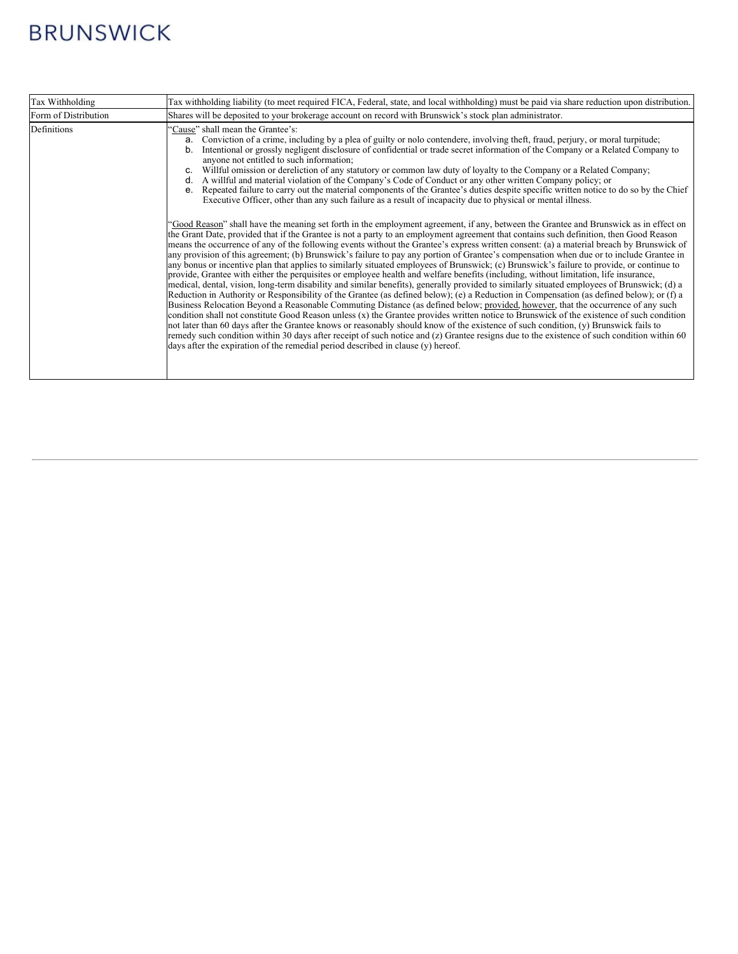<span id="page-51-0"></span>

| Tax Withholding      | Tax withholding liability (to meet required FICA, Federal, state, and local withholding) must be paid via share reduction upon distribution.                                                                                                                                                                                                                                                                                                                                                                                                                                                                                                                                                                                                                                                                                                                                                                                                                                                                                                                                                                                                                                                                                                                                                                                                                                                                                                                                                                                                                                                                                                                                                                                                                                                                                                                                                                                                                                                                                                                                                                                                                                                                                                                                                                                                                                                                                                                                                                                                                                                                                                                                           |  |  |  |
|----------------------|----------------------------------------------------------------------------------------------------------------------------------------------------------------------------------------------------------------------------------------------------------------------------------------------------------------------------------------------------------------------------------------------------------------------------------------------------------------------------------------------------------------------------------------------------------------------------------------------------------------------------------------------------------------------------------------------------------------------------------------------------------------------------------------------------------------------------------------------------------------------------------------------------------------------------------------------------------------------------------------------------------------------------------------------------------------------------------------------------------------------------------------------------------------------------------------------------------------------------------------------------------------------------------------------------------------------------------------------------------------------------------------------------------------------------------------------------------------------------------------------------------------------------------------------------------------------------------------------------------------------------------------------------------------------------------------------------------------------------------------------------------------------------------------------------------------------------------------------------------------------------------------------------------------------------------------------------------------------------------------------------------------------------------------------------------------------------------------------------------------------------------------------------------------------------------------------------------------------------------------------------------------------------------------------------------------------------------------------------------------------------------------------------------------------------------------------------------------------------------------------------------------------------------------------------------------------------------------------------------------------------------------------------------------------------------------|--|--|--|
| Form of Distribution | Shares will be deposited to your brokerage account on record with Brunswick's stock plan administrator.                                                                                                                                                                                                                                                                                                                                                                                                                                                                                                                                                                                                                                                                                                                                                                                                                                                                                                                                                                                                                                                                                                                                                                                                                                                                                                                                                                                                                                                                                                                                                                                                                                                                                                                                                                                                                                                                                                                                                                                                                                                                                                                                                                                                                                                                                                                                                                                                                                                                                                                                                                                |  |  |  |
| Definitions          | 'Cause'' shall mean the Grantee's:<br>a. Conviction of a crime, including by a plea of guilty or nolo contendere, involving theft, fraud, perjury, or moral turpitude;<br>Intentional or grossly negligent disclosure of confidential or trade secret information of the Company or a Related Company to<br>b.<br>anyone not entitled to such information;<br>Willful omission or dereliction of any statutory or common law duty of loyalty to the Company or a Related Company;<br>A willful and material violation of the Company's Code of Conduct or any other written Company policy; or<br>d.<br>Repeated failure to carry out the material components of the Grantee's duties despite specific written notice to do so by the Chief<br>е.<br>Executive Officer, other than any such failure as a result of incapacity due to physical or mental illness.<br>"Good Reason" shall have the meaning set forth in the employment agreement, if any, between the Grantee and Brunswick as in effect on<br>the Grant Date, provided that if the Grantee is not a party to an employment agreement that contains such definition, then Good Reason<br>means the occurrence of any of the following events without the Grantee's express written consent: (a) a material breach by Brunswick of<br>any provision of this agreement; (b) Brunswick's failure to pay any portion of Grantee's compensation when due or to include Grantee in<br>any bonus or incentive plan that applies to similarly situated employees of Brunswick; (c) Brunswick's failure to provide, or continue to<br>provide, Grantee with either the perquisites or employee health and welfare benefits (including, without limitation, life insurance,<br>medical, dental, vision, long-term disability and similar benefits), generally provided to similarly situated employees of Brunswick; (d) a<br>Reduction in Authority or Responsibility of the Grantee (as defined below); (e) a Reduction in Compensation (as defined below); or (f) a<br>Business Relocation Beyond a Reasonable Commuting Distance (as defined below; provided, however, that the occurrence of any such<br>condition shall not constitute Good Reason unless $(x)$ the Grantee provides written notice to Brunswick of the existence of such condition<br>not later than 60 days after the Grantee knows or reasonably should know of the existence of such condition, (y) Brunswick fails to<br>remedy such condition within 30 days after receipt of such notice and (z) Grantee resigns due to the existence of such condition within 60<br>days after the expiration of the remedial period described in clause (y) hereof. |  |  |  |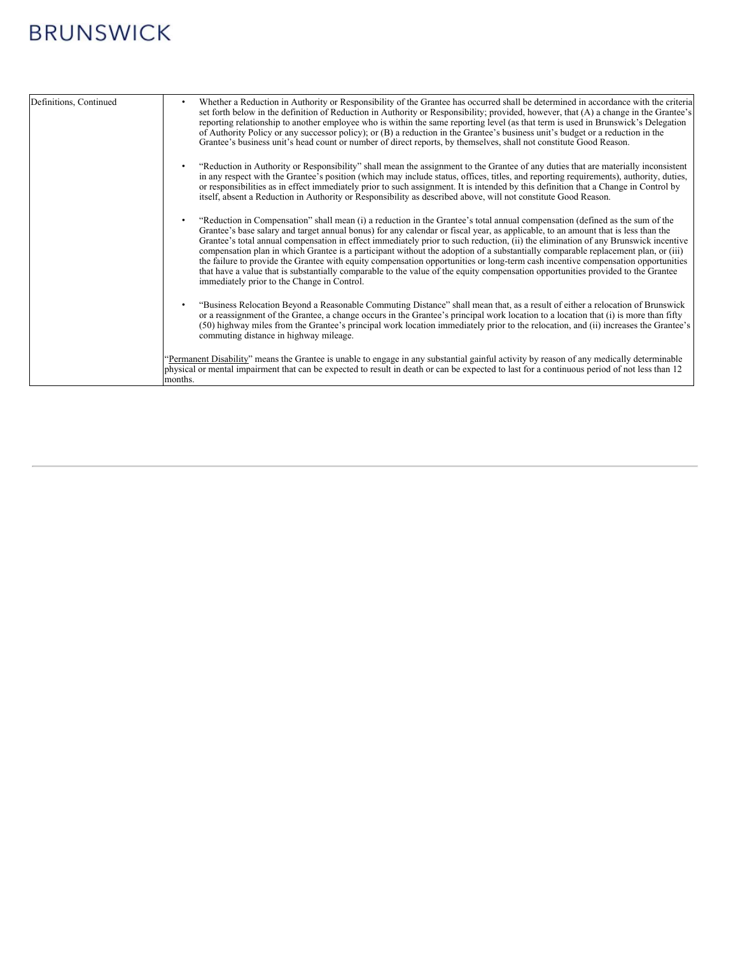| Definitions, Continued | Whether a Reduction in Authority or Responsibility of the Grantee has occurred shall be determined in accordance with the criteria<br>set forth below in the definition of Reduction in Authority or Responsibility; provided, however, that (A) a change in the Grantee's<br>reporting relationship to another employee who is within the same reporting level (as that term is used in Brunswick's Delegation<br>of Authority Policy or any successor policy); or (B) a reduction in the Grantee's business unit's budget or a reduction in the<br>Grantee's business unit's head count or number of direct reports, by themselves, shall not constitute Good Reason.                                                                                                                                                                                             |
|------------------------|---------------------------------------------------------------------------------------------------------------------------------------------------------------------------------------------------------------------------------------------------------------------------------------------------------------------------------------------------------------------------------------------------------------------------------------------------------------------------------------------------------------------------------------------------------------------------------------------------------------------------------------------------------------------------------------------------------------------------------------------------------------------------------------------------------------------------------------------------------------------|
|                        | "Reduction in Authority or Responsibility" shall mean the assignment to the Grantee of any duties that are materially inconsistent<br>in any respect with the Grantee's position (which may include status, offices, titles, and reporting requirements), authority, duties,<br>or responsibilities as in effect immediately prior to such assignment. It is intended by this definition that a Change in Control by<br>itself, absent a Reduction in Authority or Responsibility as described above, will not constitute Good Reason.                                                                                                                                                                                                                                                                                                                              |
|                        | "Reduction in Compensation" shall mean (i) a reduction in the Grantee's total annual compensation (defined as the sum of the<br>Grantee's base salary and target annual bonus) for any calendar or fiscal year, as applicable, to an amount that is less than the<br>Grantee's total annual compensation in effect immediately prior to such reduction, (ii) the elimination of any Brunswick incentive<br>compensation plan in which Grantee is a participant without the adoption of a substantially comparable replacement plan, or (iii)<br>the failure to provide the Grantee with equity compensation opportunities or long-term cash incentive compensation opportunities<br>that have a value that is substantially comparable to the value of the equity compensation opportunities provided to the Grantee<br>immediately prior to the Change in Control. |
|                        | "Business Relocation Beyond a Reasonable Commuting Distance" shall mean that, as a result of either a relocation of Brunswick<br>or a reassignment of the Grantee, a change occurs in the Grantee's principal work location to a location that (i) is more than fifty<br>(50) highway miles from the Grantee's principal work location immediately prior to the relocation, and (ii) increases the Grantee's<br>commuting distance in highway mileage.                                                                                                                                                                                                                                                                                                                                                                                                              |
|                        | Permanent Disability" means the Grantee is unable to engage in any substantial gainful activity by reason of any medically determinable<br>physical or mental impairment that can be expected to result in death or can be expected to last for a continuous period of not less than 12<br>months.                                                                                                                                                                                                                                                                                                                                                                                                                                                                                                                                                                  |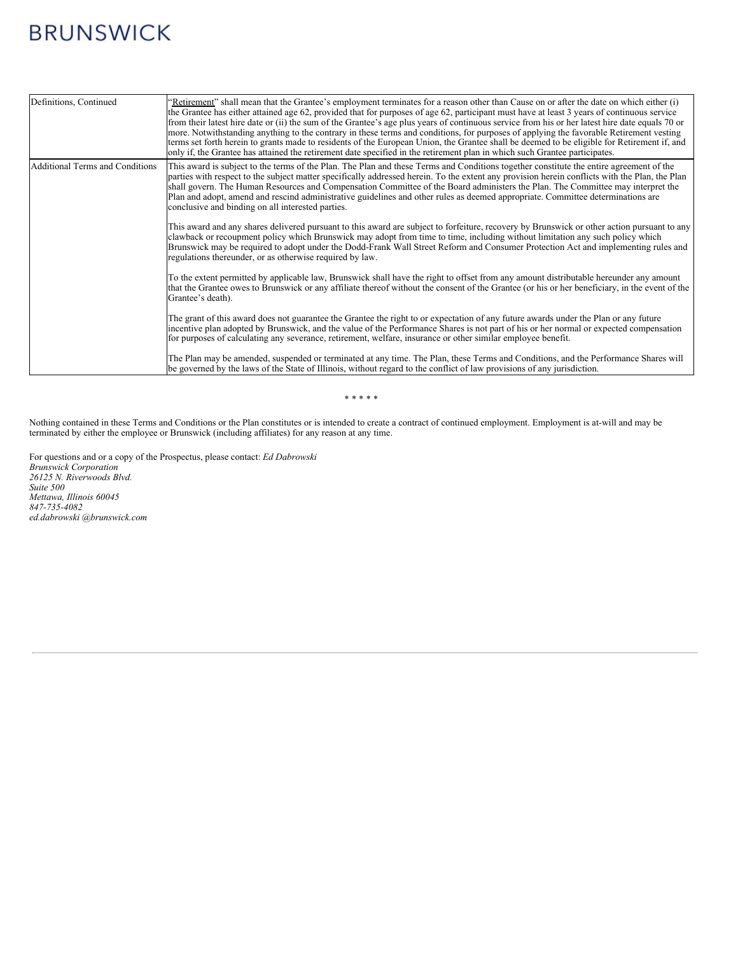| Definitions, Continued                 | 'Retirement'' shall mean that the Grantee's employment terminates for a reason other than Cause on or after the date on which either (i)<br>the Grantee has either attained age 62, provided that for purposes of age 62, participant must have at least 3 years of continuous service<br>from their latest hire date or (ii) the sum of the Grantee's age plus years of continuous service from his or her latest hire date equals 70 or<br>more. Notwithstanding anything to the contrary in these terms and conditions, for purposes of applying the favorable Retirement vesting<br>terms set forth herein to grants made to residents of the European Union, the Grantee shall be deemed to be eligible for Retirement if, and<br>only if, the Grantee has attained the retirement date specified in the retirement plan in which such Grantee participates. |
|----------------------------------------|-------------------------------------------------------------------------------------------------------------------------------------------------------------------------------------------------------------------------------------------------------------------------------------------------------------------------------------------------------------------------------------------------------------------------------------------------------------------------------------------------------------------------------------------------------------------------------------------------------------------------------------------------------------------------------------------------------------------------------------------------------------------------------------------------------------------------------------------------------------------|
| <b>Additional Terms and Conditions</b> | This award is subject to the terms of the Plan. The Plan and these Terms and Conditions together constitute the entire agreement of the<br>parties with respect to the subject matter specifically addressed herein. To the extent any provision herein conflicts with the Plan, the Plan<br>shall govern. The Human Resources and Compensation Committee of the Board administers the Plan. The Committee may interpret the<br>Plan and adopt, amend and rescind administrative guidelines and other rules as deemed appropriate. Committee determinations are<br>conclusive and binding on all interested parties.                                                                                                                                                                                                                                              |
|                                        | This award and any shares delivered pursuant to this award are subject to forfeiture, recovery by Brunswick or other action pursuant to any<br>clawback or recoupment policy which Brunswick may adopt from time to time, including without limitation any such policy which<br>Brunswick may be required to adopt under the Dodd-Frank Wall Street Reform and Consumer Protection Act and implementing rules and<br>regulations thereunder, or as otherwise required by law.                                                                                                                                                                                                                                                                                                                                                                                     |
|                                        | To the extent permitted by applicable law, Brunswick shall have the right to offset from any amount distributable hereunder any amount<br>that the Grantee owes to Brunswick or any affiliate thereof without the consent of the Grantee (or his or her beneficiary, in the event of the<br>Grantee's death).                                                                                                                                                                                                                                                                                                                                                                                                                                                                                                                                                     |
|                                        | The grant of this award does not guarantee the Grantee the right to or expectation of any future awards under the Plan or any future<br>incentive plan adopted by Brunswick, and the value of the Performance Shares is not part of his or her normal or expected compensation<br>for purposes of calculating any severance, retirement, welfare, insurance or other similar employee benefit.                                                                                                                                                                                                                                                                                                                                                                                                                                                                    |
|                                        | The Plan may be amended, suspended or terminated at any time. The Plan, these Terms and Conditions, and the Performance Shares will<br>be governed by the laws of the State of Illinois, without regard to the conflict of law provisions of any jurisdiction.                                                                                                                                                                                                                                                                                                                                                                                                                                                                                                                                                                                                    |

### \* \* \* \* \*

Nothing contained in these Terms and Conditions or the Plan constitutes or is intended to create a contract of continued employment. Employment is at-will and may be terminated by either the employee or Brunswick (including affiliates) for any reason at any time.

For questions and or a copy of the Prospectus, please contact: *Ed Dabrowski Brunswick Corporation 26125 N. Riverwoods Blvd. Suite 500 Mettawa, Illinois 60045 847-735-4082 ed.dabrowski @brunswick.com*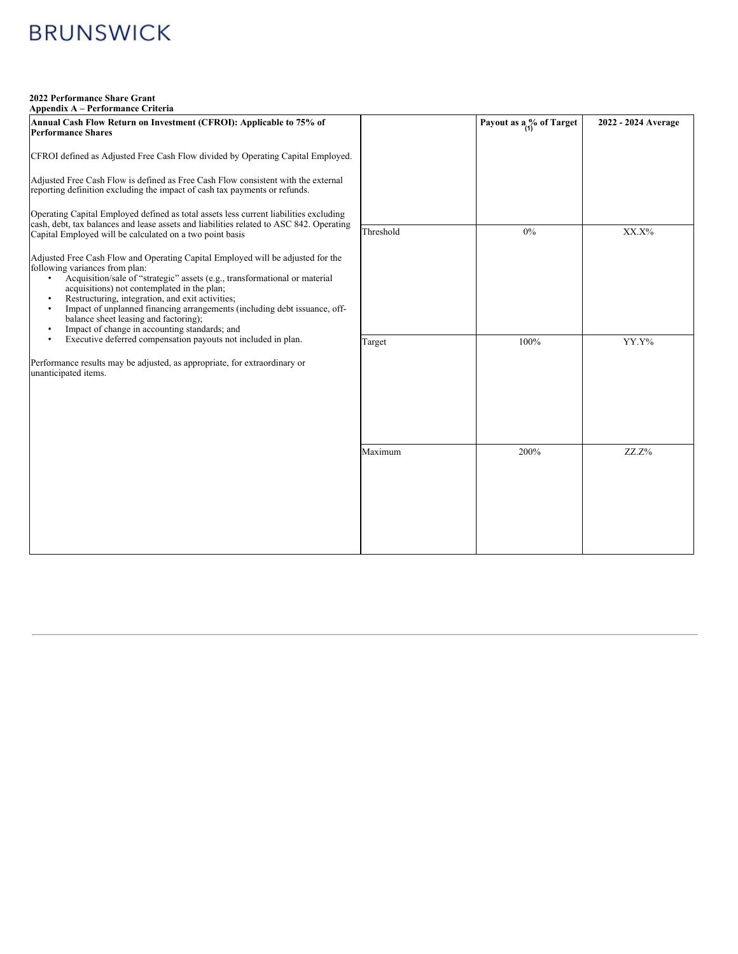## **2022 Performance Share Grant**

| Appendix A - Performance Criteria                                                                                                                                                                                                                                                                                                                                                                                                                                                           |           |                                        |                     |
|---------------------------------------------------------------------------------------------------------------------------------------------------------------------------------------------------------------------------------------------------------------------------------------------------------------------------------------------------------------------------------------------------------------------------------------------------------------------------------------------|-----------|----------------------------------------|---------------------|
| Annual Cash Flow Return on Investment (CFROI): Applicable to 75% of<br><b>Performance Shares</b>                                                                                                                                                                                                                                                                                                                                                                                            |           | Payout as $a_{(1)}^{\theta}$ of Target | 2022 - 2024 Average |
| CFROI defined as Adjusted Free Cash Flow divided by Operating Capital Employed.                                                                                                                                                                                                                                                                                                                                                                                                             |           |                                        |                     |
| Adjusted Free Cash Flow is defined as Free Cash Flow consistent with the external<br>reporting definition excluding the impact of cash tax payments or refunds.                                                                                                                                                                                                                                                                                                                             |           |                                        |                     |
| Operating Capital Employed defined as total assets less current liabilities excluding<br>cash, debt, tax balances and lease assets and liabilities related to ASC 842. Operating                                                                                                                                                                                                                                                                                                            |           |                                        |                     |
| Capital Employed will be calculated on a two point basis                                                                                                                                                                                                                                                                                                                                                                                                                                    | Threshold | 0%                                     | $XX.X\%$            |
| Adjusted Free Cash Flow and Operating Capital Employed will be adjusted for the<br>following variances from plan:<br>Acquisition/sale of "strategic" assets (e.g., transformational or material<br>acquisitions) not contemplated in the plan;<br>Restructuring, integration, and exit activities;<br>Impact of unplanned financing arrangements (including debt issuance, off-<br>٠<br>balance sheet leasing and factoring);<br>Impact of change in accounting standards; and<br>$\bullet$ |           |                                        |                     |
| Executive deferred compensation payouts not included in plan.<br>$\bullet$                                                                                                                                                                                                                                                                                                                                                                                                                  | Target    | 100%                                   | YY.Y%               |
| Performance results may be adjusted, as appropriate, for extraordinary or<br>unanticipated items.                                                                                                                                                                                                                                                                                                                                                                                           |           |                                        |                     |
|                                                                                                                                                                                                                                                                                                                                                                                                                                                                                             |           |                                        |                     |
|                                                                                                                                                                                                                                                                                                                                                                                                                                                                                             | Maximum   | 200%                                   | $ZZ.Z\%$            |
|                                                                                                                                                                                                                                                                                                                                                                                                                                                                                             |           |                                        |                     |
|                                                                                                                                                                                                                                                                                                                                                                                                                                                                                             |           |                                        |                     |
|                                                                                                                                                                                                                                                                                                                                                                                                                                                                                             |           |                                        |                     |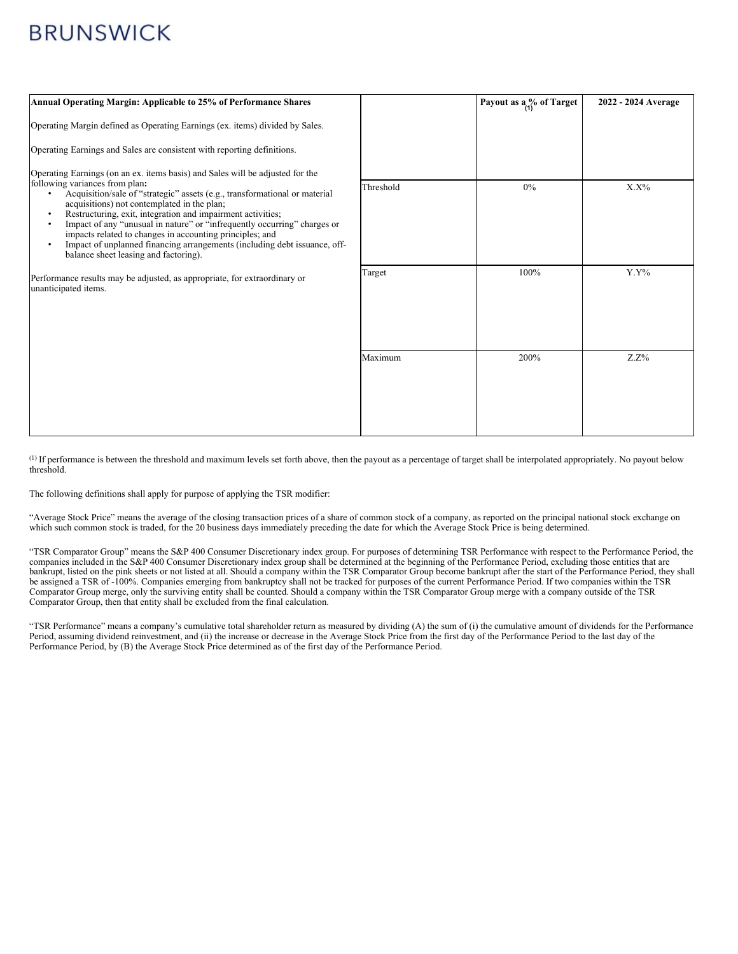| Annual Operating Margin: Applicable to 25% of Performance Shares                                                                                                                                                                                                                                                                                                                                                                                                                                           |           | Payout as $a_{(1)}^{\theta}$ of Target | 2022 - 2024 Average |
|------------------------------------------------------------------------------------------------------------------------------------------------------------------------------------------------------------------------------------------------------------------------------------------------------------------------------------------------------------------------------------------------------------------------------------------------------------------------------------------------------------|-----------|----------------------------------------|---------------------|
| Operating Margin defined as Operating Earnings (ex. items) divided by Sales.                                                                                                                                                                                                                                                                                                                                                                                                                               |           |                                        |                     |
| Operating Earnings and Sales are consistent with reporting definitions.                                                                                                                                                                                                                                                                                                                                                                                                                                    |           |                                        |                     |
| Operating Earnings (on an ex. items basis) and Sales will be adjusted for the<br>following variances from plan:                                                                                                                                                                                                                                                                                                                                                                                            | Threshold | $0\%$                                  | $X.X\%$             |
| Acquisition/sale of "strategic" assets (e.g., transformational or material<br>$\bullet$<br>acquisitions) not contemplated in the plan;<br>Restructuring, exit, integration and impairment activities;<br>$\bullet$<br>Impact of any "unusual in nature" or "infrequently occurring" charges or<br>$\bullet$<br>impacts related to changes in accounting principles; and<br>Impact of unplanned financing arrangements (including debt issuance, off-<br>$\bullet$<br>balance sheet leasing and factoring). |           |                                        |                     |
| Performance results may be adjusted, as appropriate, for extraordinary or<br>unanticipated items.                                                                                                                                                                                                                                                                                                                                                                                                          | Target    | 100%                                   | $Y.Y\%$             |
|                                                                                                                                                                                                                                                                                                                                                                                                                                                                                                            | Maximum   | 200%                                   | $Z.Z\%$             |
|                                                                                                                                                                                                                                                                                                                                                                                                                                                                                                            |           |                                        |                     |

 $<sup>(1)</sup>$  If performance is between the threshold and maximum levels set forth above, then the payout as a percentage of target shall be interpolated appropriately. No payout below</sup> threshold.

The following definitions shall apply for purpose of applying the TSR modifier:

"Average Stock Price" means the average of the closing transaction prices of a share of common stock of a company, as reported on the principal national stock exchange on which such common stock is traded, for the 20 business days immediately preceding the date for which the Average Stock Price is being determined.

"TSR Comparator Group" means the S&P 400 Consumer Discretionary index group. For purposes of determining TSR Performance with respect to the Performance Period, the companies included in the S&P 400 Consumer Discretionary index group shall be determined at the beginning of the Performance Period, excluding those entities that are bankrupt, listed on the pink sheets or not listed at all. Should a company within the TSR Comparator Group become bankrupt after the start of the Performance Period, they shall be assigned a TSR of -100%. Companies emerging from bankruptcy shall not be tracked for purposes of the current Performance Period. If two companies within the TSR Comparator Group merge, only the surviving entity shall be counted. Should a company within the TSR Comparator Group merge with a company outside of the TSR Comparator Group, then that entity shall be excluded from the final calculation.

"TSR Performance" means a company's cumulative total shareholder return as measured by dividing (A) the sum of (i) the cumulative amount of dividends for the Performance Period, assuming dividend reinvestment, and (ii) the increase or decrease in the Average Stock Price from the first day of the Performance Period to the last day of the Performance Period, by (B) the Average Stock Price determined as of the first day of the Performance Period.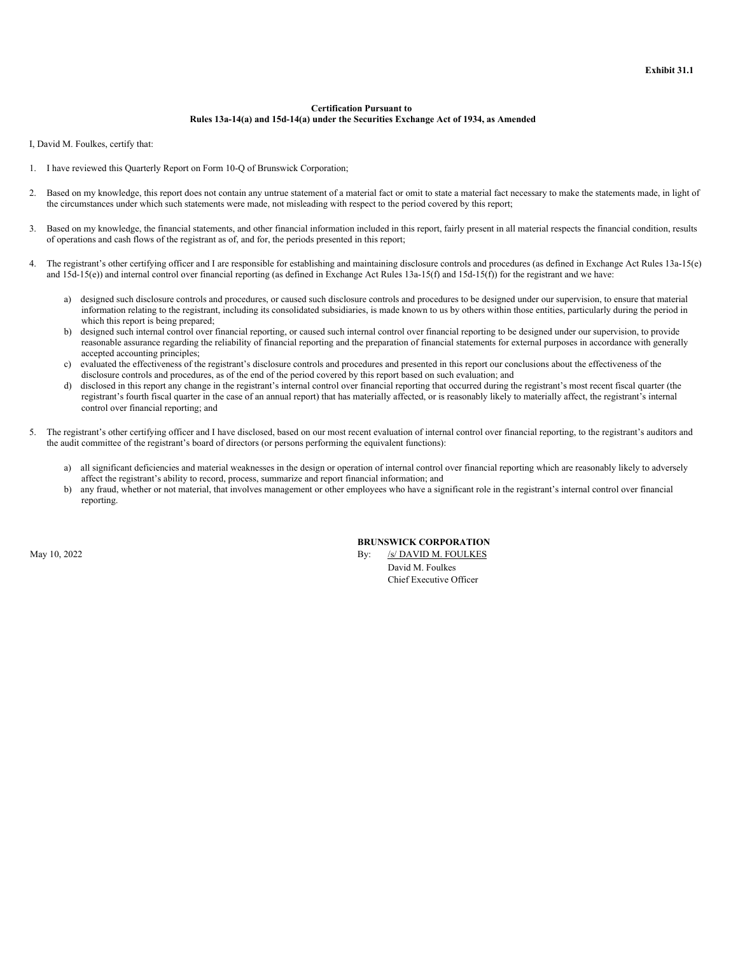#### **Certification Pursuant to Rules 13a-14(a) and 15d-14(a) under the Securities Exchange Act of 1934, as Amended**

<span id="page-56-0"></span>I, David M. Foulkes, certify that:

- 1. I have reviewed this Quarterly Report on Form 10-Q of Brunswick Corporation;
- 2. Based on my knowledge, this report does not contain any untrue statement of a material fact or omit to state a material fact necessary to make the statements made, in light of the circumstances under which such statements were made, not misleading with respect to the period covered by this report;
- 3. Based on my knowledge, the financial statements, and other financial information included in this report, fairly present in all material respects the financial condition, results of operations and cash flows of the registrant as of, and for, the periods presented in this report;
- 4. The registrant's other certifying officer and I are responsible for establishing and maintaining disclosure controls and procedures (as defined in Exchange Act Rules 13a-15(e) and 15d-15(e)) and internal control over financial reporting (as defined in Exchange Act Rules 13a-15(f) and 15d-15(f)) for the registrant and we have:
	- a) designed such disclosure controls and procedures, or caused such disclosure controls and procedures to be designed under our supervision, to ensure that material information relating to the registrant, including its consolidated subsidiaries, is made known to us by others within those entities, particularly during the period in which this report is being prepared;
	- b) designed such internal control over financial reporting, or caused such internal control over financial reporting to be designed under our supervision, to provide reasonable assurance regarding the reliability of financial reporting and the preparation of financial statements for external purposes in accordance with generally accepted accounting principles;
	- c) evaluated the effectiveness of the registrant's disclosure controls and procedures and presented in this report our conclusions about the effectiveness of the disclosure controls and procedures, as of the end of the period covered by this report based on such evaluation; and
	- d) disclosed in this report any change in the registrant's internal control over financial reporting that occurred during the registrant's most recent fiscal quarter (the registrant's fourth fiscal quarter in the case of an annual report) that has materially affected, or is reasonably likely to materially affect, the registrant's internal control over financial reporting; and
- 5. The registrant's other certifying officer and I have disclosed, based on our most recent evaluation of internal control over financial reporting, to the registrant's auditors and the audit committee of the registrant's board of directors (or persons performing the equivalent functions):
	- a) all significant deficiencies and material weaknesses in the design or operation of internal control over financial reporting which are reasonably likely to adversely affect the registrant's ability to record, process, summarize and report financial information; and
	- b) any fraud, whether or not material, that involves management or other employees who have a significant role in the registrant's internal control over financial reporting.

### **BRUNSWICK CORPORATION**

May 10, 2022 By: /s/ DAVID M. FOULKES David M. Foulkes Chief Executive Officer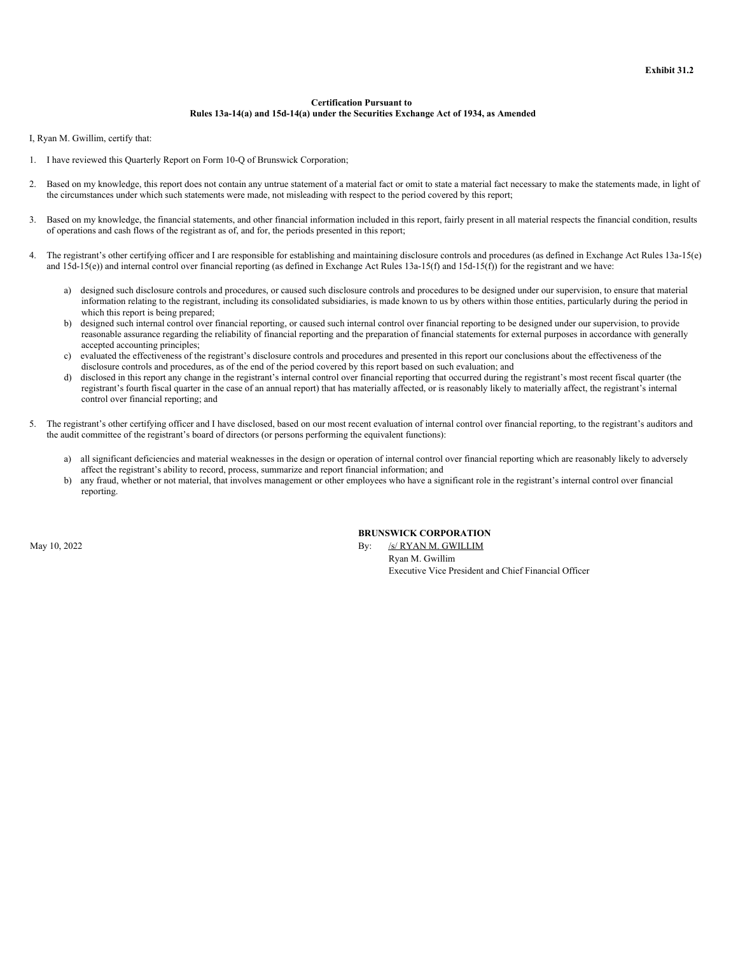#### **Certification Pursuant to Rules 13a-14(a) and 15d-14(a) under the Securities Exchange Act of 1934, as Amended**

<span id="page-57-0"></span>I, Ryan M. Gwillim, certify that:

- 1. I have reviewed this Quarterly Report on Form 10-Q of Brunswick Corporation;
- 2. Based on my knowledge, this report does not contain any untrue statement of a material fact or omit to state a material fact necessary to make the statements made, in light of the circumstances under which such statements were made, not misleading with respect to the period covered by this report;
- 3. Based on my knowledge, the financial statements, and other financial information included in this report, fairly present in all material respects the financial condition, results of operations and cash flows of the registrant as of, and for, the periods presented in this report;
- 4. The registrant's other certifying officer and I are responsible for establishing and maintaining disclosure controls and procedures (as defined in Exchange Act Rules 13a-15(e) and 15d-15(e)) and internal control over financial reporting (as defined in Exchange Act Rules 13a-15(f) and 15d-15(f)) for the registrant and we have:
	- a) designed such disclosure controls and procedures, or caused such disclosure controls and procedures to be designed under our supervision, to ensure that material information relating to the registrant, including its consolidated subsidiaries, is made known to us by others within those entities, particularly during the period in which this report is being prepared;
	- b) designed such internal control over financial reporting, or caused such internal control over financial reporting to be designed under our supervision, to provide reasonable assurance regarding the reliability of financial reporting and the preparation of financial statements for external purposes in accordance with generally accepted accounting principles;
	- c) evaluated the effectiveness of the registrant's disclosure controls and procedures and presented in this report our conclusions about the effectiveness of the disclosure controls and procedures, as of the end of the period covered by this report based on such evaluation; and
	- d) disclosed in this report any change in the registrant's internal control over financial reporting that occurred during the registrant's most recent fiscal quarter (the registrant's fourth fiscal quarter in the case of an annual report) that has materially affected, or is reasonably likely to materially affect, the registrant's internal control over financial reporting; and
- 5. The registrant's other certifying officer and I have disclosed, based on our most recent evaluation of internal control over financial reporting, to the registrant's auditors and the audit committee of the registrant's board of directors (or persons performing the equivalent functions):
	- a) all significant deficiencies and material weaknesses in the design or operation of internal control over financial reporting which are reasonably likely to adversely affect the registrant's ability to record, process, summarize and report financial information; and
	- b) any fraud, whether or not material, that involves management or other employees who have a significant role in the registrant's internal control over financial reporting.

**BRUNSWICK CORPORATION**

May 10, 2022 By: /s/ RYAN M. GWILLIM Ryan M. Gwillim Executive Vice President and Chief Financial Officer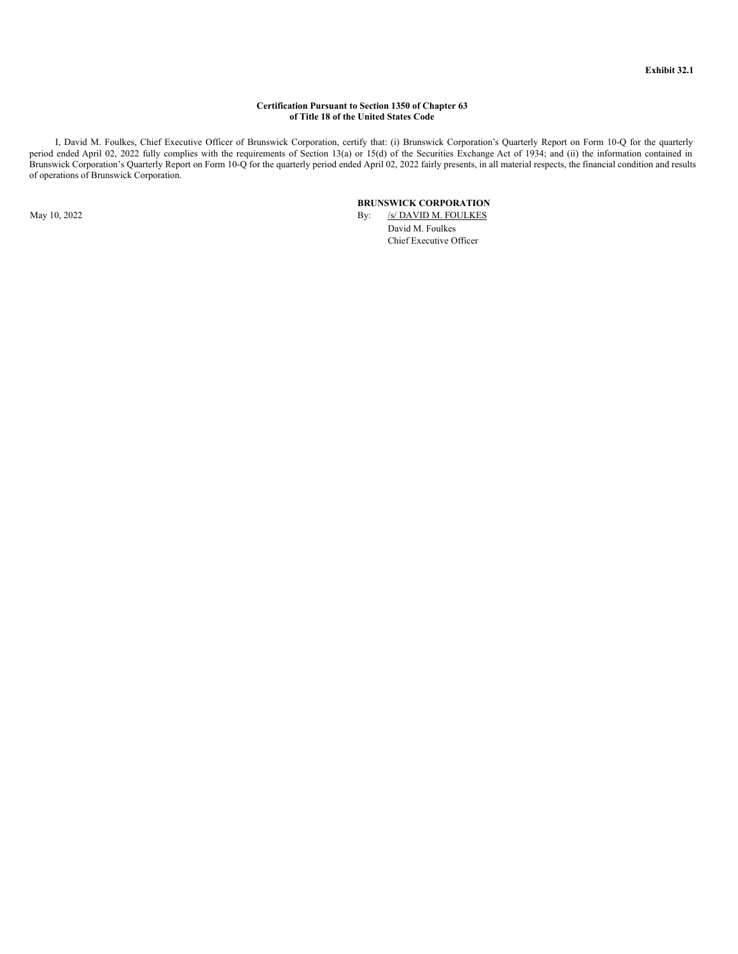#### **Certification Pursuant to Section 1350 of Chapter 63 of Title 18 of the United States Code**

<span id="page-58-0"></span>I, David M. Foulkes, Chief Executive Officer of Brunswick Corporation, certify that: (i) Brunswick Corporation's Quarterly Report on Form 10-Q for the quarterly period ended April 02, 2022 fully complies with the requirements of Section 13(a) or 15(d) of the Securities Exchange Act of 1934; and (ii) the information contained in Brunswick Corporation's Quarterly Report on Form 10-Q for the quarterly period ended April 02, 2022 fairly presents, in all material respects, the financial condition and results of operations of Brunswick Corporation.

**BRUNSWICK CORPORATION**

May 10, 2022 By: /s/ DAVID M. FOULKES David M. Foulkes Chief Executive Officer